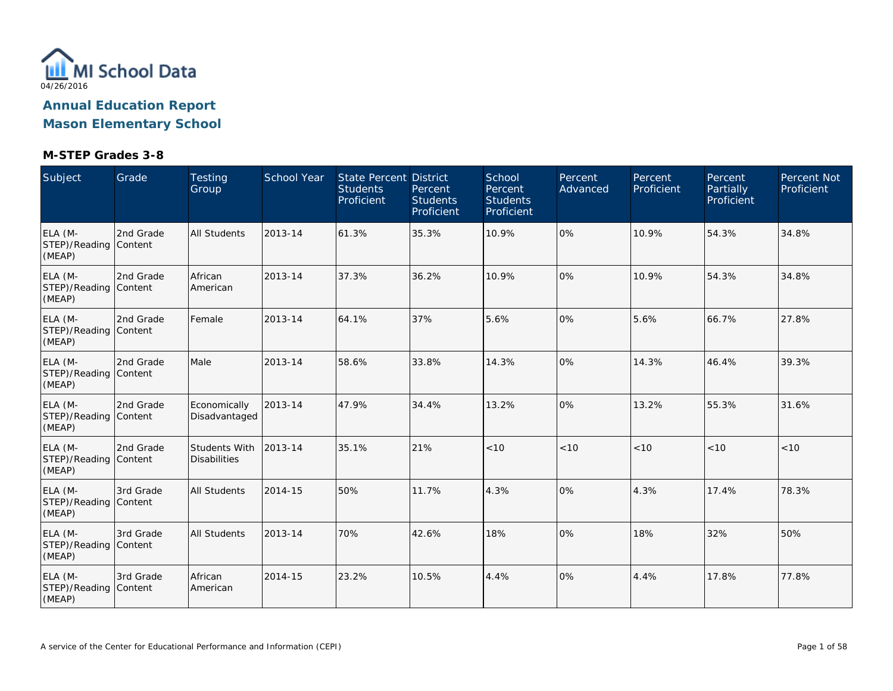

**Mason Elementary School**

| Subject                                    | Grade     | <b>Testing</b><br>Group              | School Year | State Percent District<br><b>Students</b><br>Proficient | Percent<br><b>Students</b><br>Proficient | School<br>Percent<br><b>Students</b><br>Proficient | Percent<br>Advanced | Percent<br>Proficient | Percent<br>Partially<br>Proficient | Percent Not<br>Proficient |
|--------------------------------------------|-----------|--------------------------------------|-------------|---------------------------------------------------------|------------------------------------------|----------------------------------------------------|---------------------|-----------------------|------------------------------------|---------------------------|
| ELA (M-<br>STEP)/Reading Content<br>(MEAP) | 2nd Grade | <b>All Students</b>                  | 2013-14     | 61.3%                                                   | 35.3%                                    | 10.9%                                              | 0%                  | 10.9%                 | 54.3%                              | 34.8%                     |
| ELA (M-<br>STEP)/Reading Content<br>(MEAP) | 2nd Grade | African<br>American                  | 2013-14     | 37.3%                                                   | 36.2%                                    | 10.9%                                              | 0%                  | 10.9%                 | 54.3%                              | 34.8%                     |
| ELA (M-<br>STEP)/Reading Content<br>(MEAP) | 2nd Grade | Female                               | 2013-14     | 64.1%                                                   | 37%                                      | 5.6%                                               | 0%                  | 5.6%                  | 66.7%                              | 27.8%                     |
| ELA (M-<br>STEP)/Reading Content<br>(MEAP) | 2nd Grade | Male                                 | 2013-14     | 58.6%                                                   | 33.8%                                    | 14.3%                                              | 0%                  | 14.3%                 | 46.4%                              | 39.3%                     |
| ELA (M-<br>STEP)/Reading Content<br>(MEAP) | 2nd Grade | Economically<br>Disadvantaged        | 2013-14     | 47.9%                                                   | 34.4%                                    | 13.2%                                              | 0%                  | 13.2%                 | 55.3%                              | 31.6%                     |
| ELA (M-<br>STEP)/Reading Content<br>(MEAP) | 2nd Grade | Students With<br><b>Disabilities</b> | 2013-14     | 35.1%                                                   | 21%                                      | < 10                                               | < 10                | < 10                  | < 10                               | $<10$                     |
| ELA (M-<br>STEP)/Reading Content<br>(MEAP) | 3rd Grade | <b>All Students</b>                  | 2014-15     | 50%                                                     | 11.7%                                    | 4.3%                                               | 0%                  | 4.3%                  | 17.4%                              | 78.3%                     |
| ELA (M-<br>STEP)/Reading Content<br>(MEAP) | 3rd Grade | <b>All Students</b>                  | 2013-14     | 70%                                                     | 42.6%                                    | 18%                                                | 0%                  | 18%                   | 32%                                | 50%                       |
| ELA (M-<br>STEP)/Reading Content<br>(MEAP) | 3rd Grade | African<br>American                  | 2014-15     | 23.2%                                                   | 10.5%                                    | 4.4%                                               | 0%                  | 4.4%                  | 17.8%                              | 77.8%                     |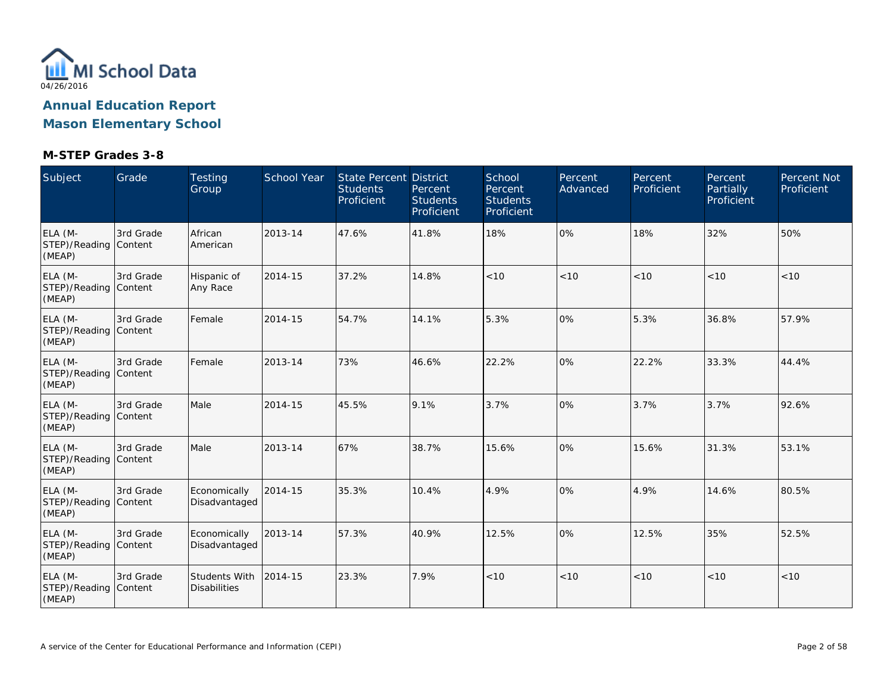

| Subject                                    | Grade                | Testing<br>Group                     | School Year | <b>State Percent District</b><br><b>Students</b><br>Proficient | Percent<br><b>Students</b><br>Proficient | School<br>Percent<br><b>Students</b><br>Proficient | Percent<br>Advanced | Percent<br>Proficient | Percent<br>Partially<br>Proficient | Percent Not<br>Proficient |
|--------------------------------------------|----------------------|--------------------------------------|-------------|----------------------------------------------------------------|------------------------------------------|----------------------------------------------------|---------------------|-----------------------|------------------------------------|---------------------------|
| ELA (M-<br>STEP)/Reading Content<br>(MEAP) | 3rd Grade            | African<br>American                  | 2013-14     | 47.6%                                                          | 41.8%                                    | 18%                                                | 0%                  | 18%                   | 32%                                | 50%                       |
| ELA (M-<br>STEP)/Reading Content<br>(MEAP) | 3rd Grade            | Hispanic of<br>Any Race              | 2014-15     | 37.2%                                                          | 14.8%                                    | < 10                                               | < 10                | < 10                  | < 10                               | < 10                      |
| ELA (M-<br>STEP)/Reading Content<br>(MEAP) | 3rd Grade            | Female                               | 2014-15     | 54.7%                                                          | 14.1%                                    | 5.3%                                               | 0%                  | 5.3%                  | 36.8%                              | 57.9%                     |
| ELA (M-<br>STEP)/Reading Content<br>(MEAP) | 3rd Grade            | Female                               | 2013-14     | 73%                                                            | 46.6%                                    | 22.2%                                              | 0%                  | 22.2%                 | 33.3%                              | 44.4%                     |
| ELA (M-<br>STEP)/Reading Content<br>(MEAP) | 3rd Grade            | Male                                 | 2014-15     | 45.5%                                                          | 9.1%                                     | 3.7%                                               | 0%                  | 3.7%                  | 3.7%                               | 92.6%                     |
| ELA (M-<br>STEP)/Reading Content<br>(MEAP) | 3rd Grade            | Male                                 | 2013-14     | 67%                                                            | 38.7%                                    | 15.6%                                              | 0%                  | 15.6%                 | 31.3%                              | 53.1%                     |
| ELA (M-<br>STEP)/Reading Content<br>(MEAP) | 3rd Grade            | Economically<br>Disadvantaged        | 2014-15     | 35.3%                                                          | 10.4%                                    | 4.9%                                               | 0%                  | 4.9%                  | 14.6%                              | 80.5%                     |
| ELA (M-<br>STEP)/Reading Content<br>(MEAP) | 3rd Grade            | Economically<br>Disadvantaged        | 2013-14     | 57.3%                                                          | 40.9%                                    | 12.5%                                              | 0%                  | 12.5%                 | 35%                                | 52.5%                     |
| ELA (M-<br>STEP)/Reading<br>(MEAP)         | 3rd Grade<br>Content | Students With<br><b>Disabilities</b> | 2014-15     | 23.3%                                                          | 7.9%                                     | < 10                                               | < 10                | < 10                  | < 10                               | < 10                      |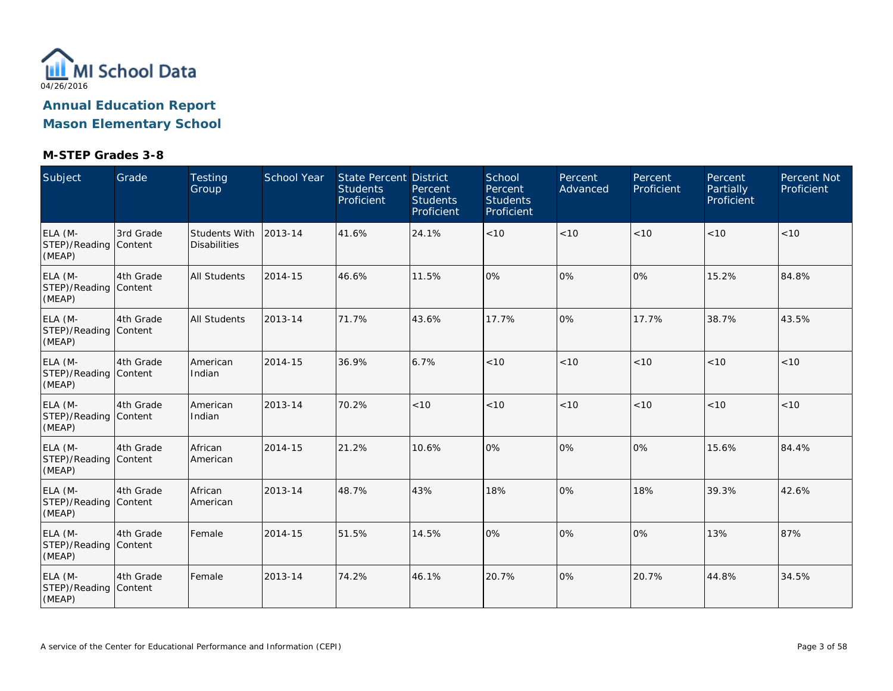

| Subject                                    | Grade     | Testing<br>Group                            | School Year | <b>State Percent District</b><br><b>Students</b><br>Proficient | Percent<br><b>Students</b><br>Proficient | School<br>Percent<br><b>Students</b><br>Proficient | Percent<br>Advanced | Percent<br>Proficient | Percent<br>Partially<br>Proficient | Percent Not<br>Proficient |
|--------------------------------------------|-----------|---------------------------------------------|-------------|----------------------------------------------------------------|------------------------------------------|----------------------------------------------------|---------------------|-----------------------|------------------------------------|---------------------------|
| ELA (M-<br>STEP)/Reading Content<br>(MEAP) | 3rd Grade | <b>Students With</b><br><b>Disabilities</b> | 2013-14     | 41.6%                                                          | 24.1%                                    | < 10                                               | < 10                | < 10                  | < 10                               | < 10                      |
| ELA (M-<br>STEP)/Reading Content<br>(MEAP) | 4th Grade | <b>All Students</b>                         | 2014-15     | 46.6%                                                          | 11.5%                                    | 0%                                                 | 0%                  | 0%                    | 15.2%                              | 84.8%                     |
| ELA (M-<br>STEP)/Reading Content<br>(MEAP) | 4th Grade | <b>All Students</b>                         | 2013-14     | 71.7%                                                          | 43.6%                                    | 17.7%                                              | 0%                  | 17.7%                 | 38.7%                              | 43.5%                     |
| ELA (M-<br>STEP)/Reading Content<br>(MEAP) | 4th Grade | American<br>Indian                          | 2014-15     | 36.9%                                                          | 6.7%                                     | < 10                                               | < 10                | < 10                  | < 10                               | < 10                      |
| ELA (M-<br>STEP)/Reading Content<br>(MEAP) | 4th Grade | American<br>Indian                          | 2013-14     | 70.2%                                                          | < 10                                     | < 10                                               | < 10                | < 10                  | < 10                               | < 10                      |
| ELA (M-<br>STEP)/Reading Content<br>(MEAP) | 4th Grade | African<br>American                         | 2014-15     | 21.2%                                                          | 10.6%                                    | $0\%$                                              | 0%                  | 10%                   | 15.6%                              | 84.4%                     |
| ELA (M-<br>STEP)/Reading Content<br>(MEAP) | 4th Grade | African<br>American                         | 2013-14     | 48.7%                                                          | 43%                                      | 18%                                                | 0%                  | 18%                   | 39.3%                              | 42.6%                     |
| ELA (M-<br>STEP)/Reading Content<br>(MEAP) | 4th Grade | Female                                      | 2014-15     | 51.5%                                                          | 14.5%                                    | 0%                                                 | 0%                  | 0%                    | 13%                                | 87%                       |
| ELA (M-<br>STEP)/Reading Content<br>(MEAP) | 4th Grade | Female                                      | 2013-14     | 74.2%                                                          | 46.1%                                    | 20.7%                                              | 0%                  | 20.7%                 | 44.8%                              | 34.5%                     |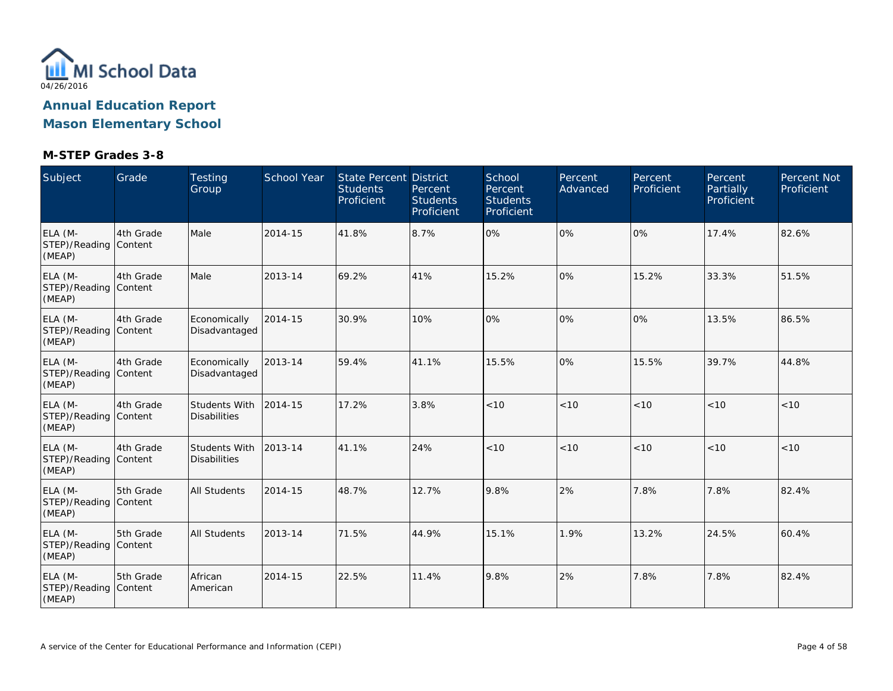

**Mason Elementary School**

| Subject                                    | Grade     | <b>Testing</b><br>Group              | School Year | State Percent District<br><b>Students</b><br>Proficient | Percent<br><b>Students</b><br>Proficient | School<br>Percent<br><b>Students</b><br>Proficient | Percent<br>Advanced | Percent<br>Proficient | Percent<br>Partially<br>Proficient | Percent Not<br>Proficient |
|--------------------------------------------|-----------|--------------------------------------|-------------|---------------------------------------------------------|------------------------------------------|----------------------------------------------------|---------------------|-----------------------|------------------------------------|---------------------------|
| ELA (M-<br>STEP)/Reading Content<br>(MEAP) | 4th Grade | Male                                 | 2014-15     | 41.8%                                                   | 8.7%                                     | 0%                                                 | 0%                  | 0%                    | 17.4%                              | 82.6%                     |
| ELA (M-<br>STEP)/Reading Content<br>(MEAP) | 4th Grade | Male                                 | 2013-14     | 69.2%                                                   | 41%                                      | 15.2%                                              | 0%                  | 15.2%                 | 33.3%                              | 51.5%                     |
| ELA (M-<br>STEP)/Reading Content<br>(MEAP) | 4th Grade | Economically<br>Disadvantaged        | 2014-15     | 30.9%                                                   | 10%                                      | 0%                                                 | 0%                  | 0%                    | 13.5%                              | 86.5%                     |
| ELA (M-<br>STEP)/Reading Content<br>(MEAP) | 4th Grade | Economically<br>Disadvantaged        | 2013-14     | 59.4%                                                   | 41.1%                                    | 15.5%                                              | 0%                  | 15.5%                 | 39.7%                              | 44.8%                     |
| ELA (M-<br>STEP)/Reading Content<br>(MEAP) | 4th Grade | Students With<br><b>Disabilities</b> | 2014-15     | 17.2%                                                   | 3.8%                                     | < 10                                               | < 10                | < 10                  | < 10                               | < 10                      |
| ELA (M-<br>STEP)/Reading Content<br>(MEAP) | 4th Grade | Students With<br><b>Disabilities</b> | 2013-14     | 41.1%                                                   | 24%                                      | < 10                                               | < 10                | < 10                  | < 10                               | < 10                      |
| ELA (M-<br>STEP)/Reading Content<br>(MEAP) | 5th Grade | <b>All Students</b>                  | 2014-15     | 48.7%                                                   | 12.7%                                    | 9.8%                                               | 2%                  | 7.8%                  | 7.8%                               | 82.4%                     |
| ELA (M-<br>STEP)/Reading Content<br>(MEAP) | 5th Grade | <b>All Students</b>                  | 2013-14     | 71.5%                                                   | 44.9%                                    | 15.1%                                              | 1.9%                | 13.2%                 | 24.5%                              | 60.4%                     |
| ELA (M-<br>STEP)/Reading Content<br>(MEAP) | 5th Grade | African<br>American                  | 2014-15     | 22.5%                                                   | 11.4%                                    | 9.8%                                               | 2%                  | 7.8%                  | 7.8%                               | 82.4%                     |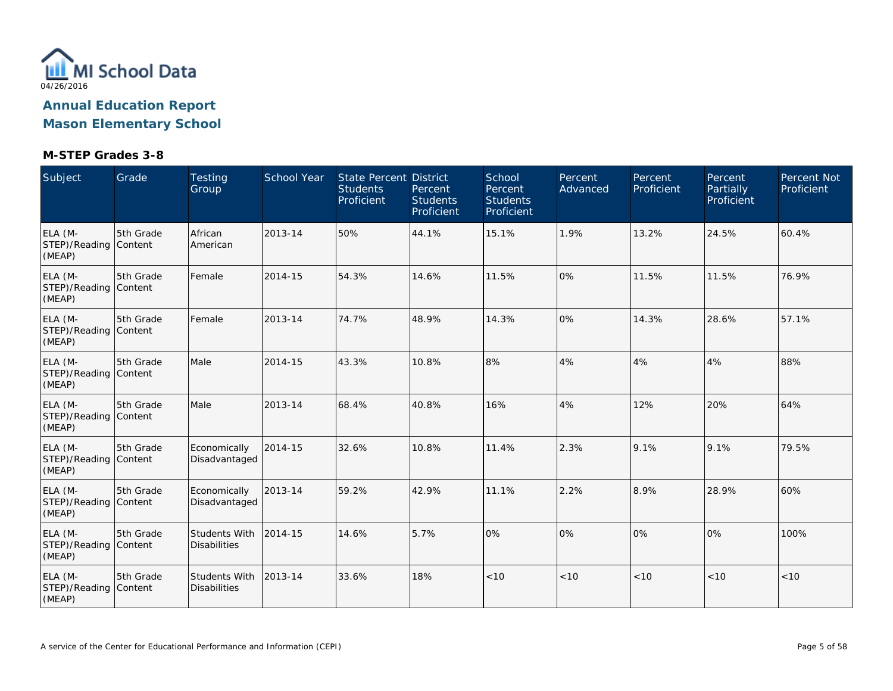

| Subject                                    | Grade     | Testing<br>Group                            | School Year | <b>State Percent District</b><br><b>Students</b><br>Proficient | Percent<br><b>Students</b><br>Proficient | School<br>Percent<br><b>Students</b><br>Proficient | Percent<br>Advanced | Percent<br>Proficient | Percent<br>Partially<br>Proficient | Percent Not<br>Proficient |
|--------------------------------------------|-----------|---------------------------------------------|-------------|----------------------------------------------------------------|------------------------------------------|----------------------------------------------------|---------------------|-----------------------|------------------------------------|---------------------------|
| ELA (M-<br>STEP)/Reading Content<br>(MEAP) | 5th Grade | African<br>American                         | 2013-14     | 50%                                                            | 44.1%                                    | 15.1%                                              | 1.9%                | 13.2%                 | 24.5%                              | 60.4%                     |
| ELA (M-<br>STEP)/Reading Content<br>(MEAP) | 5th Grade | Female                                      | 2014-15     | 54.3%                                                          | 14.6%                                    | 11.5%                                              | 0%                  | 11.5%                 | 11.5%                              | 76.9%                     |
| ELA (M-<br>STEP)/Reading Content<br>(MEAP) | 5th Grade | Female                                      | 2013-14     | 74.7%                                                          | 48.9%                                    | 14.3%                                              | 0%                  | 14.3%                 | 28.6%                              | 57.1%                     |
| ELA (M-<br>STEP)/Reading Content<br>(MEAP) | 5th Grade | Male                                        | 2014-15     | 43.3%                                                          | 10.8%                                    | 8%                                                 | 4%                  | 4%                    | 4%                                 | 88%                       |
| ELA (M-<br>STEP)/Reading Content<br>(MEAP) | 5th Grade | Male                                        | 2013-14     | 68.4%                                                          | 40.8%                                    | 16%                                                | 4%                  | 12%                   | 20%                                | 64%                       |
| ELA (M-<br>STEP)/Reading Content<br>(MEAP) | 5th Grade | Economically<br>Disadvantaged               | 2014-15     | 32.6%                                                          | 10.8%                                    | 11.4%                                              | 2.3%                | 9.1%                  | 9.1%                               | 79.5%                     |
| ELA (M-<br>STEP)/Reading Content<br>(MEAP) | 5th Grade | Economically<br>Disadvantaged               | 2013-14     | 59.2%                                                          | 42.9%                                    | 11.1%                                              | 2.2%                | 8.9%                  | 28.9%                              | 60%                       |
| ELA (M-<br>STEP)/Reading Content<br>(MEAP) | 5th Grade | <b>Students With</b><br><b>Disabilities</b> | 2014-15     | 14.6%                                                          | 5.7%                                     | 0%                                                 | 0%                  | 0%                    | 0%                                 | 100%                      |
| ELA (M-<br>STEP)/Reading Content<br>(MEAP) | 5th Grade | Students With<br><b>Disabilities</b>        | 2013-14     | 33.6%                                                          | 18%                                      | < 10                                               | < 10                | < 10                  | < 10                               | < 10                      |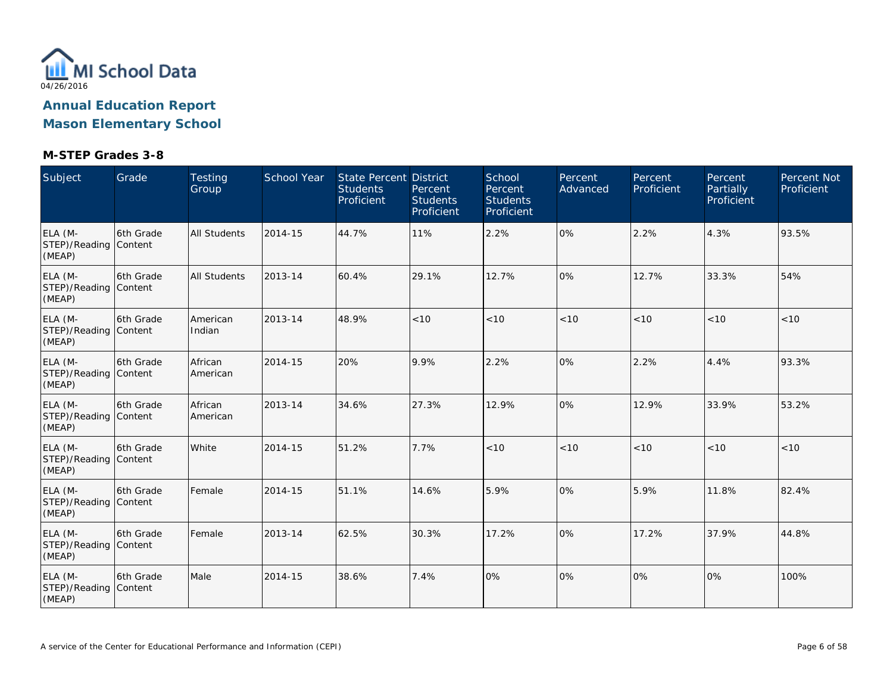

**Mason Elementary School**

| Subject                                    | Grade      | <b>Testing</b><br>Group | <b>School Year</b> | State Percent District<br><b>Students</b><br>Proficient | Percent<br><b>Students</b><br>Proficient | School<br>Percent<br><b>Students</b><br>Proficient | Percent<br>Advanced | Percent<br>Proficient | Percent<br>Partially<br>Proficient | Percent Not<br>Proficient |
|--------------------------------------------|------------|-------------------------|--------------------|---------------------------------------------------------|------------------------------------------|----------------------------------------------------|---------------------|-----------------------|------------------------------------|---------------------------|
| ELA (M-<br>STEP)/Reading Content<br>(MEAP) | 6th Grade  | <b>All Students</b>     | 2014-15            | 44.7%                                                   | 11%                                      | 2.2%                                               | 0%                  | 2.2%                  | 4.3%                               | 93.5%                     |
| ELA (M-<br>STEP)/Reading Content<br>(MEAP) | 6th Grade  | <b>All Students</b>     | 2013-14            | 60.4%                                                   | 29.1%                                    | 12.7%                                              | 0%                  | 12.7%                 | 33.3%                              | 54%                       |
| ELA (M-<br>STEP)/Reading Content<br>(MEAP) | 6th Grade  | American<br>Indian      | 2013-14            | 48.9%                                                   | < 10                                     | < 10                                               | < 10                | < 10                  | < 10                               | < 10                      |
| ELA (M-<br>STEP)/Reading Content<br>(MEAP) | l6th Grade | African<br>American     | 2014-15            | 20%                                                     | 9.9%                                     | 2.2%                                               | 0%                  | 2.2%                  | 4.4%                               | 93.3%                     |
| ELA (M-<br>STEP)/Reading Content<br>(MEAP) | l6th Grade | African<br>American     | 2013-14            | 34.6%                                                   | 27.3%                                    | 12.9%                                              | 0%                  | 12.9%                 | 33.9%                              | 53.2%                     |
| ELA (M-<br>STEP)/Reading Content<br>(MEAP) | 6th Grade  | White                   | 2014-15            | 51.2%                                                   | 7.7%                                     | < 10                                               | < 10                | < 10                  | < 10                               | < 10                      |
| ELA (M-<br>STEP)/Reading Content<br>(MEAP) | l6th Grade | Female                  | 2014-15            | 51.1%                                                   | 14.6%                                    | 5.9%                                               | 0%                  | 5.9%                  | 11.8%                              | 82.4%                     |
| ELA (M-<br>STEP)/Reading Content<br>(MEAP) | l6th Grade | Female                  | 2013-14            | 62.5%                                                   | 30.3%                                    | 17.2%                                              | 0%                  | 17.2%                 | 37.9%                              | 44.8%                     |
| ELA (M-<br>STEP)/Reading Content<br>(MEAP) | 6th Grade  | Male                    | 2014-15            | 38.6%                                                   | 7.4%                                     | 0%                                                 | 0%                  | 0%                    | 0%                                 | 100%                      |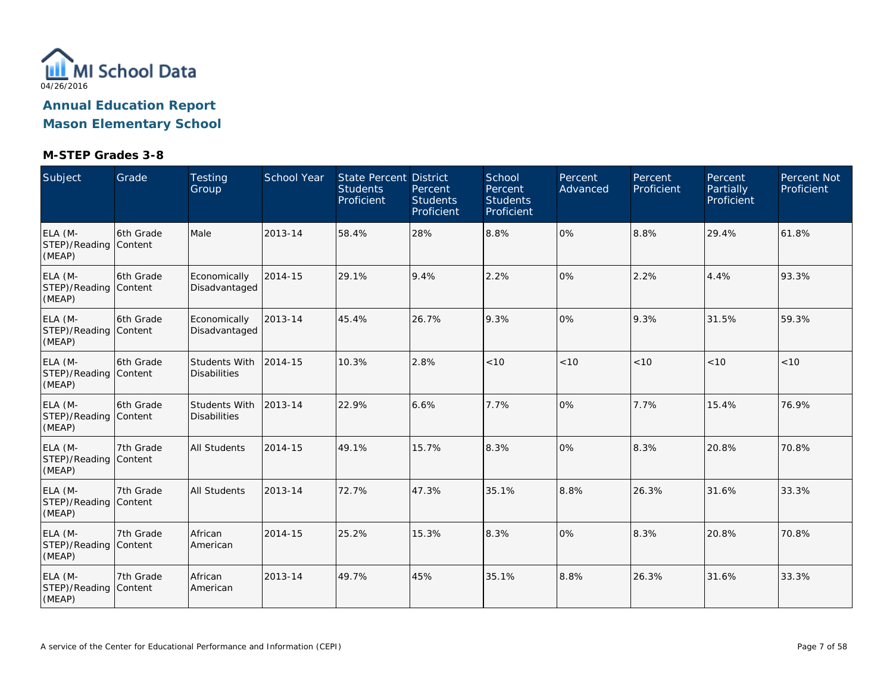

**Mason Elementary School**

| Subject                                    | Grade      | <b>Testing</b><br>Group                     | <b>School Year</b> | State Percent District<br><b>Students</b><br>Proficient | Percent<br><b>Students</b><br>Proficient | School<br>Percent<br><b>Students</b><br>Proficient | Percent<br>Advanced | Percent<br>Proficient | Percent<br>Partially<br>Proficient | Percent Not<br>Proficient |
|--------------------------------------------|------------|---------------------------------------------|--------------------|---------------------------------------------------------|------------------------------------------|----------------------------------------------------|---------------------|-----------------------|------------------------------------|---------------------------|
| ELA (M-<br>STEP)/Reading Content<br>(MEAP) | 6th Grade  | Male                                        | 2013-14            | 58.4%                                                   | 28%                                      | 8.8%                                               | 0%                  | 8.8%                  | 29.4%                              | 61.8%                     |
| ELA (M-<br>STEP)/Reading Content<br>(MEAP) | 6th Grade  | Economically<br>Disadvantaged               | 2014-15            | 29.1%                                                   | 9.4%                                     | 2.2%                                               | 0%                  | 2.2%                  | 4.4%                               | 93.3%                     |
| ELA (M-<br>STEP)/Reading Content<br>(MEAP) | 6th Grade  | Economically<br>Disadvantaged               | 2013-14            | 45.4%                                                   | 26.7%                                    | 9.3%                                               | 0%                  | 9.3%                  | 31.5%                              | 59.3%                     |
| ELA (M-<br>STEP)/Reading Content<br>(MEAP) | l6th Grade | Students With<br><b>Disabilities</b>        | 2014-15            | 10.3%                                                   | 2.8%                                     | < 10                                               | < 10                | < 10                  | < 10                               | < 10                      |
| ELA (M-<br>STEP)/Reading Content<br>(MEAP) | 6th Grade  | <b>Students With</b><br><b>Disabilities</b> | 2013-14            | 22.9%                                                   | 6.6%                                     | 7.7%                                               | 0%                  | 7.7%                  | 15.4%                              | 76.9%                     |
| ELA (M-<br>STEP)/Reading Content<br>(MEAP) | 7th Grade  | <b>All Students</b>                         | 2014-15            | 49.1%                                                   | 15.7%                                    | 8.3%                                               | 0%                  | 8.3%                  | 20.8%                              | 70.8%                     |
| ELA (M-<br>STEP)/Reading Content<br>(MEAP) | 7th Grade  | <b>All Students</b>                         | 2013-14            | 72.7%                                                   | 47.3%                                    | 35.1%                                              | 8.8%                | 26.3%                 | 31.6%                              | 33.3%                     |
| ELA (M-<br>STEP)/Reading Content<br>(MEAP) | 7th Grade  | African<br>American                         | 2014-15            | 25.2%                                                   | 15.3%                                    | 8.3%                                               | 0%                  | 8.3%                  | 20.8%                              | 70.8%                     |
| ELA (M-<br>STEP)/Reading Content<br>(MEAP) | 7th Grade  | African<br>American                         | 2013-14            | 49.7%                                                   | 45%                                      | 35.1%                                              | 8.8%                | 26.3%                 | 31.6%                              | 33.3%                     |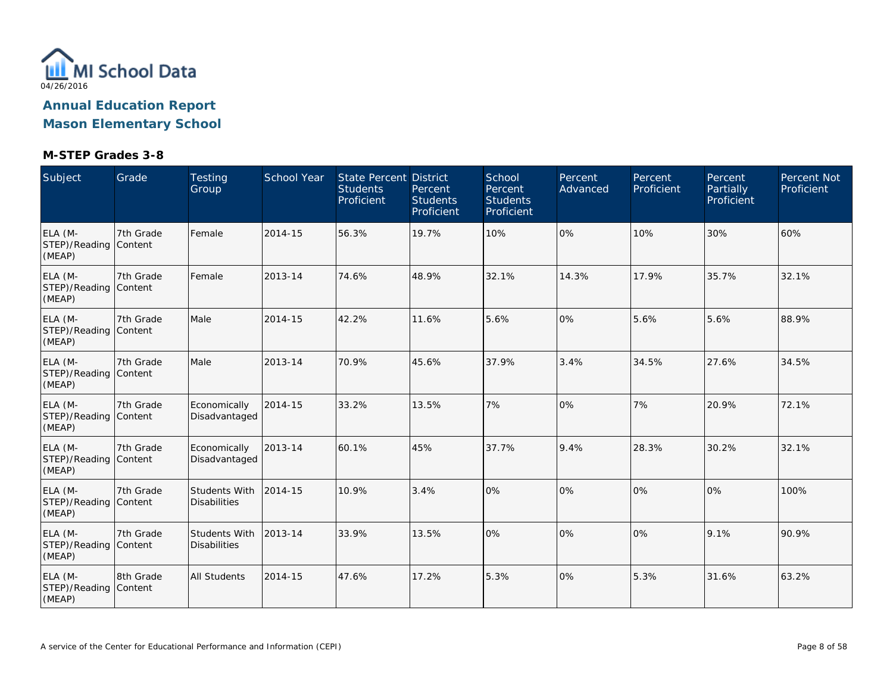

**Mason Elementary School**

| Subject                                    | Grade     | <b>Testing</b><br>Group              | <b>School Year</b> | State Percent District<br><b>Students</b><br>Proficient | Percent<br><b>Students</b><br>Proficient | School<br>Percent<br><b>Students</b><br>Proficient | Percent<br>Advanced | Percent<br>Proficient | Percent<br>Partially<br>Proficient | Percent Not<br>Proficient |
|--------------------------------------------|-----------|--------------------------------------|--------------------|---------------------------------------------------------|------------------------------------------|----------------------------------------------------|---------------------|-----------------------|------------------------------------|---------------------------|
| ELA (M-<br>STEP)/Reading Content<br>(MEAP) | 7th Grade | Female                               | 2014-15            | 56.3%                                                   | 19.7%                                    | 10%                                                | 0%                  | 10%                   | 30%                                | 60%                       |
| ELA (M-<br>STEP)/Reading Content<br>(MEAP) | 7th Grade | Female                               | 2013-14            | 74.6%                                                   | 48.9%                                    | 32.1%                                              | 14.3%               | 17.9%                 | 35.7%                              | 32.1%                     |
| ELA (M-<br>STEP)/Reading Content<br>(MEAP) | 7th Grade | Male                                 | 2014-15            | 42.2%                                                   | 11.6%                                    | 5.6%                                               | 0%                  | 5.6%                  | 5.6%                               | 88.9%                     |
| ELA (M-<br>STEP)/Reading Content<br>(MEAP) | 7th Grade | Male                                 | 2013-14            | 70.9%                                                   | 45.6%                                    | 37.9%                                              | 3.4%                | 34.5%                 | 27.6%                              | 34.5%                     |
| ELA (M-<br>STEP)/Reading Content<br>(MEAP) | 7th Grade | Economically<br>Disadvantaged        | 2014-15            | 33.2%                                                   | 13.5%                                    | 7%                                                 | 0%                  | 7%                    | 20.9%                              | 72.1%                     |
| ELA (M-<br>STEP)/Reading Content<br>(MEAP) | 7th Grade | Economically<br>Disadvantaged        | 2013-14            | 60.1%                                                   | 45%                                      | 37.7%                                              | 9.4%                | 28.3%                 | 30.2%                              | 32.1%                     |
| ELA (M-<br>STEP)/Reading Content<br>(MEAP) | 7th Grade | Students With<br><b>Disabilities</b> | 2014-15            | 10.9%                                                   | 3.4%                                     | 0%                                                 | 0%                  | 0%                    | 0%                                 | 100%                      |
| ELA (M-<br>STEP)/Reading Content<br>(MEAP) | 7th Grade | Students With<br><b>Disabilities</b> | 2013-14            | 33.9%                                                   | 13.5%                                    | 0%                                                 | 0%                  | 0%                    | 9.1%                               | 90.9%                     |
| ELA (M-<br>STEP)/Reading Content<br>(MEAP) | 8th Grade | <b>All Students</b>                  | 2014-15            | 47.6%                                                   | 17.2%                                    | 5.3%                                               | 0%                  | 5.3%                  | 31.6%                              | 63.2%                     |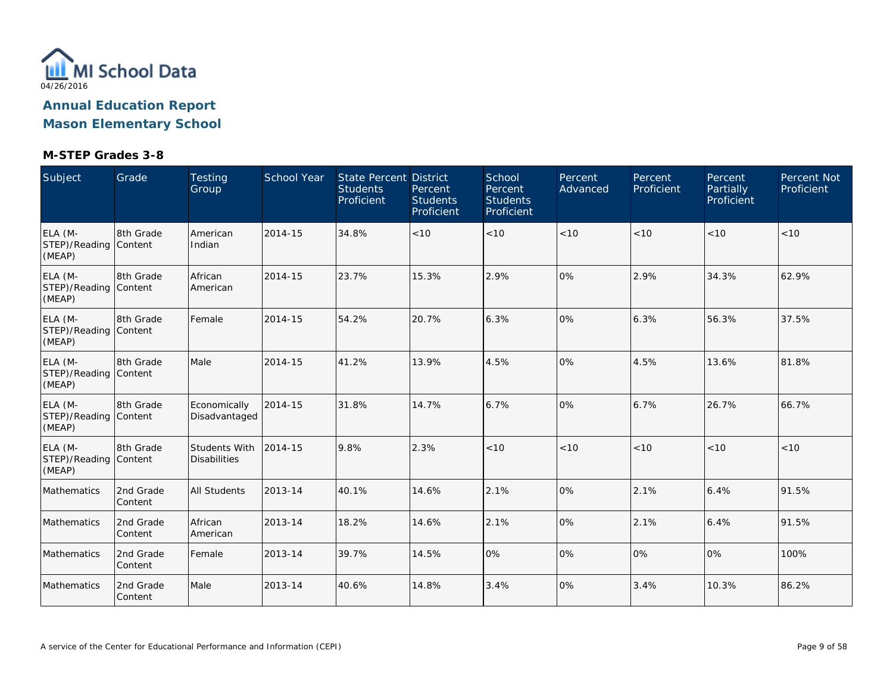

| Subject                                    | Grade                | <b>Testing</b><br>Group              | School Year | <b>State Percent District</b><br><b>Students</b><br>Proficient | Percent<br><b>Students</b><br>Proficient | School<br>Percent<br><b>Students</b><br>Proficient | Percent<br>Advanced | Percent<br>Proficient | Percent<br>Partially<br>Proficient | Percent Not<br>Proficient |
|--------------------------------------------|----------------------|--------------------------------------|-------------|----------------------------------------------------------------|------------------------------------------|----------------------------------------------------|---------------------|-----------------------|------------------------------------|---------------------------|
| ELA (M-<br>STEP)/Reading Content<br>(MEAP) | 18th Grade           | American<br>Indian                   | 2014-15     | 34.8%                                                          | < 10                                     | < 10                                               | < 10                | < 10                  | < 10                               | < 10                      |
| ELA (M-<br>STEP)/Reading Content<br>(MEAP) | 8th Grade            | African<br>American                  | 2014-15     | 23.7%                                                          | 15.3%                                    | 2.9%                                               | 0%                  | 2.9%                  | 34.3%                              | 62.9%                     |
| ELA (M-<br>STEP)/Reading Content<br>(MEAP) | 8th Grade            | Female                               | 2014-15     | 54.2%                                                          | 20.7%                                    | 6.3%                                               | 0%                  | 6.3%                  | 56.3%                              | 37.5%                     |
| ELA (M-<br>STEP)/Reading Content<br>(MEAP) | 8th Grade            | Male                                 | 2014-15     | 41.2%                                                          | 13.9%                                    | 4.5%                                               | 0%                  | 4.5%                  | 13.6%                              | 81.8%                     |
| ELA (M-<br>STEP)/Reading Content<br>(MEAP) | 8th Grade            | Economically<br>Disadvantaged        | 2014-15     | 31.8%                                                          | 14.7%                                    | 6.7%                                               | 0%                  | 6.7%                  | 26.7%                              | 66.7%                     |
| ELA (M-<br>STEP)/Reading Content<br>(MEAP) | 8th Grade            | Students With<br><b>Disabilities</b> | 2014-15     | 9.8%                                                           | 2.3%                                     | < 10                                               | < 10                | < 10                  | < 10                               | < 10                      |
| Mathematics                                | 2nd Grade<br>Content | <b>All Students</b>                  | 2013-14     | 40.1%                                                          | 14.6%                                    | 2.1%                                               | 0%                  | 2.1%                  | 6.4%                               | 91.5%                     |
| <b>Mathematics</b>                         | 2nd Grade<br>Content | African<br>American                  | 2013-14     | 18.2%                                                          | 14.6%                                    | 2.1%                                               | 0%                  | 2.1%                  | 6.4%                               | 91.5%                     |
| Mathematics                                | 2nd Grade<br>Content | Female                               | 2013-14     | 39.7%                                                          | 14.5%                                    | 0%                                                 | 0%                  | $\overline{0\%}$      | 0%                                 | 100%                      |
| Mathematics                                | 2nd Grade<br>Content | Male                                 | 2013-14     | 40.6%                                                          | 14.8%                                    | 3.4%                                               | 0%                  | 3.4%                  | 10.3%                              | 86.2%                     |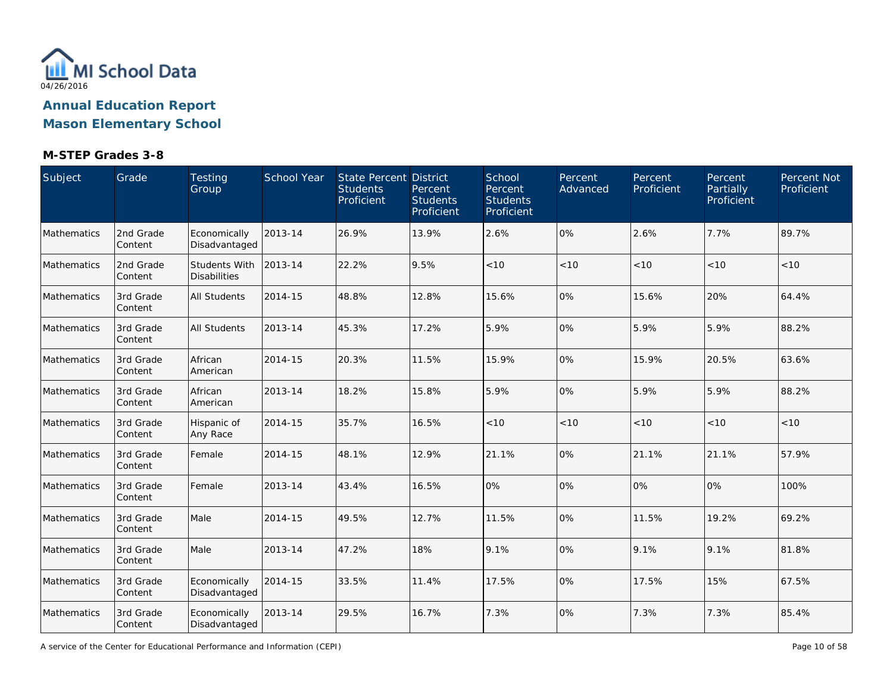

#### **M-STEP Grades 3-8**

| Subject            | Grade                | Testing<br>Group                     | School Year | State Percent District<br><b>Students</b><br>Proficient | Percent<br><b>Students</b><br>Proficient | School<br>Percent<br><b>Students</b><br>Proficient | Percent<br>Advanced | Percent<br>Proficient | Percent<br>Partially<br>Proficient | Percent Not<br>Proficient |
|--------------------|----------------------|--------------------------------------|-------------|---------------------------------------------------------|------------------------------------------|----------------------------------------------------|---------------------|-----------------------|------------------------------------|---------------------------|
| Mathematics        | 2nd Grade<br>Content | Economically<br>Disadvantaged        | 2013-14     | 26.9%                                                   | 13.9%                                    | 2.6%                                               | 0%                  | 2.6%                  | 7.7%                               | 89.7%                     |
| Mathematics        | 2nd Grade<br>Content | Students With<br><b>Disabilities</b> | 2013-14     | 22.2%                                                   | 9.5%                                     | < 10                                               | < 10                | < 10                  | < 10                               | < 10                      |
| <b>Mathematics</b> | 3rd Grade<br>Content | <b>All Students</b>                  | 2014-15     | 48.8%                                                   | 12.8%                                    | 15.6%                                              | 0%                  | 15.6%                 | 20%                                | 64.4%                     |
| Mathematics        | 3rd Grade<br>Content | <b>All Students</b>                  | 2013-14     | 45.3%                                                   | 17.2%                                    | 5.9%                                               | 0%                  | 5.9%                  | 5.9%                               | 88.2%                     |
| Mathematics        | 3rd Grade<br>Content | African<br>American                  | 2014-15     | 20.3%                                                   | 11.5%                                    | 15.9%                                              | 0%                  | 15.9%                 | 20.5%                              | 63.6%                     |
| Mathematics        | 3rd Grade<br>Content | African<br>American                  | 2013-14     | 18.2%                                                   | 15.8%                                    | 5.9%                                               | 0%                  | 5.9%                  | 5.9%                               | 88.2%                     |
| Mathematics        | 3rd Grade<br>Content | Hispanic of<br>Any Race              | 2014-15     | 35.7%                                                   | 16.5%                                    | < 10                                               | < 10                | < 10                  | < 10                               | $<10$                     |
| Mathematics        | 3rd Grade<br>Content | Female                               | 2014-15     | 48.1%                                                   | 12.9%                                    | 21.1%                                              | 0%                  | 21.1%                 | 21.1%                              | 57.9%                     |
| Mathematics        | 3rd Grade<br>Content | Female                               | 2013-14     | 43.4%                                                   | 16.5%                                    | 0%                                                 | 0%                  | 0%                    | 0%                                 | 100%                      |
| Mathematics        | 3rd Grade<br>Content | Male                                 | 2014-15     | 49.5%                                                   | 12.7%                                    | 11.5%                                              | 0%                  | 11.5%                 | 19.2%                              | 69.2%                     |
| Mathematics        | 3rd Grade<br>Content | Male                                 | 2013-14     | 47.2%                                                   | 18%                                      | 9.1%                                               | 0%                  | 9.1%                  | 9.1%                               | 81.8%                     |
| Mathematics        | 3rd Grade<br>Content | Economically<br>Disadvantaged        | 2014-15     | 33.5%                                                   | 11.4%                                    | 17.5%                                              | 0%                  | 17.5%                 | 15%                                | 67.5%                     |
| Mathematics        | 3rd Grade<br>Content | Economically<br>Disadvantaged        | 2013-14     | 29.5%                                                   | 16.7%                                    | 7.3%                                               | 0%                  | 7.3%                  | 7.3%                               | 85.4%                     |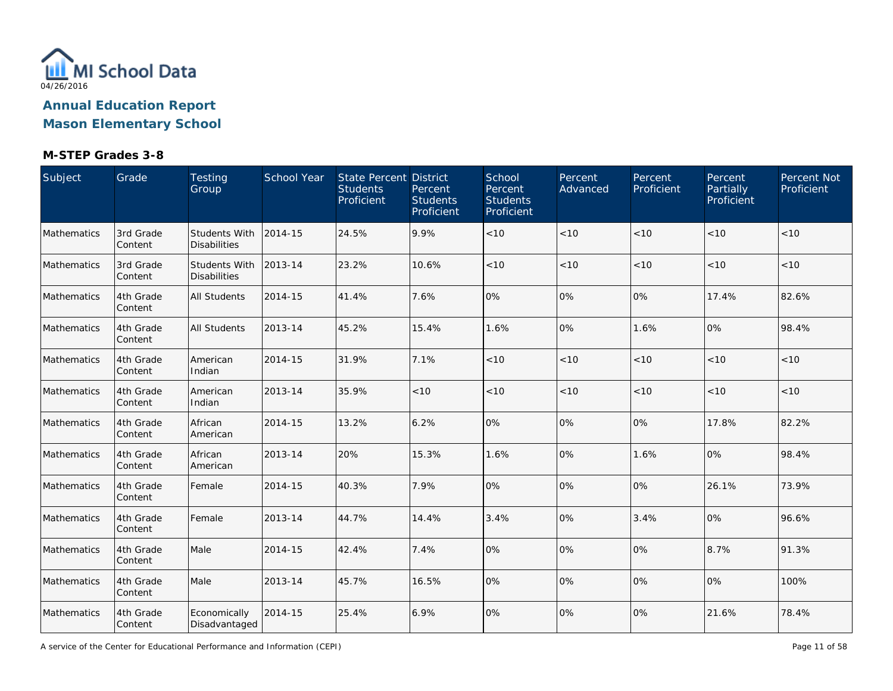

| Subject     | Grade                | Testing<br>Group                            | School Year | State Percent District<br><b>Students</b><br>Proficient | Percent<br><b>Students</b><br>Proficient | School<br>Percent<br><b>Students</b><br>Proficient | Percent<br>Advanced | Percent<br>Proficient | Percent<br>Partially<br>Proficient | Percent Not<br>Proficient |
|-------------|----------------------|---------------------------------------------|-------------|---------------------------------------------------------|------------------------------------------|----------------------------------------------------|---------------------|-----------------------|------------------------------------|---------------------------|
| Mathematics | 3rd Grade<br>Content | <b>Students With</b><br><b>Disabilities</b> | 2014-15     | 24.5%                                                   | 9.9%                                     | < 10                                               | < 10                | < 10                  | < 10                               | $<10$                     |
| Mathematics | 3rd Grade<br>Content | Students With<br><b>Disabilities</b>        | 2013-14     | 23.2%                                                   | 10.6%                                    | < 10                                               | < 10                | < 10                  | < 10                               | < 10                      |
| Mathematics | 4th Grade<br>Content | <b>All Students</b>                         | 2014-15     | 41.4%                                                   | 7.6%                                     | 0%                                                 | 0%                  | 0%                    | 17.4%                              | 82.6%                     |
| Mathematics | 4th Grade<br>Content | <b>All Students</b>                         | 2013-14     | 45.2%                                                   | 15.4%                                    | 1.6%                                               | 0%                  | 1.6%                  | 0%                                 | 98.4%                     |
| Mathematics | 4th Grade<br>Content | American<br>Indian                          | 2014-15     | 31.9%                                                   | 7.1%                                     | < 10                                               | < 10                | < 10                  | < 10                               | < 10                      |
| Mathematics | 4th Grade<br>Content | American<br>Indian                          | 2013-14     | 35.9%                                                   | $<10$                                    | < 10                                               | < 10                | < 10                  | < 10                               | $<10$                     |
| Mathematics | 4th Grade<br>Content | African<br>American                         | 2014-15     | 13.2%                                                   | 6.2%                                     | 0%                                                 | 0%                  | 0%                    | 17.8%                              | 82.2%                     |
| Mathematics | 4th Grade<br>Content | African<br>American                         | 2013-14     | 20%                                                     | 15.3%                                    | 1.6%                                               | 0%                  | 1.6%                  | 0%                                 | 98.4%                     |
| Mathematics | 4th Grade<br>Content | Female                                      | 2014-15     | 40.3%                                                   | 7.9%                                     | 0%                                                 | 0%                  | 0%                    | 26.1%                              | 73.9%                     |
| Mathematics | 4th Grade<br>Content | Female                                      | 2013-14     | 44.7%                                                   | 14.4%                                    | 3.4%                                               | 0%                  | 3.4%                  | 0%                                 | 96.6%                     |
| Mathematics | 4th Grade<br>Content | Male                                        | 2014-15     | 42.4%                                                   | 7.4%                                     | 0%                                                 | 0%                  | 0%                    | 8.7%                               | 91.3%                     |
| Mathematics | 4th Grade<br>Content | Male                                        | 2013-14     | 45.7%                                                   | 16.5%                                    | 0%                                                 | 0%                  | 0%                    | 0%                                 | 100%                      |
| Mathematics | 4th Grade<br>Content | Economically<br>Disadvantaged               | 2014-15     | 25.4%                                                   | 6.9%                                     | 0%                                                 | 0%                  | 0%                    | 21.6%                              | 78.4%                     |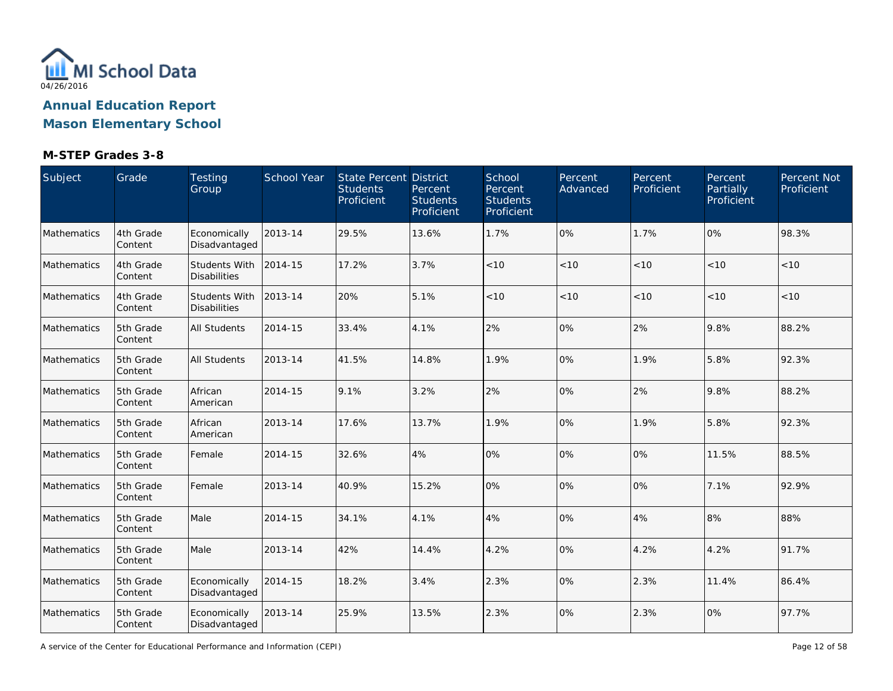

#### **M-STEP Grades 3-8**

| Subject     | Grade                | Testing<br>Group                     | School Year | State Percent District<br><b>Students</b><br>Proficient | Percent<br><b>Students</b><br>Proficient | School<br>Percent<br><b>Students</b><br>Proficient | Percent<br>Advanced | Percent<br>Proficient | Percent<br>Partially<br>Proficient | Percent Not<br>Proficient |
|-------------|----------------------|--------------------------------------|-------------|---------------------------------------------------------|------------------------------------------|----------------------------------------------------|---------------------|-----------------------|------------------------------------|---------------------------|
| Mathematics | 4th Grade<br>Content | Economically<br>Disadvantaged        | 2013-14     | 29.5%                                                   | 13.6%                                    | 1.7%                                               | 0%                  | 1.7%                  | 0%                                 | 98.3%                     |
| Mathematics | 4th Grade<br>Content | Students With<br><b>Disabilities</b> | 2014-15     | 17.2%                                                   | 3.7%                                     | < 10                                               | < 10                | < 10                  | < 10                               | < 10                      |
| Mathematics | 4th Grade<br>Content | Students With<br><b>Disabilities</b> | 2013-14     | 20%                                                     | 5.1%                                     | < 10                                               | < 10                | < 10                  | < 10                               | $<10$                     |
| Mathematics | 5th Grade<br>Content | <b>All Students</b>                  | 2014-15     | 33.4%                                                   | 4.1%                                     | 2%                                                 | 0%                  | 2%                    | 9.8%                               | 88.2%                     |
| Mathematics | 5th Grade<br>Content | <b>All Students</b>                  | 2013-14     | 41.5%                                                   | 14.8%                                    | 1.9%                                               | 0%                  | 1.9%                  | 5.8%                               | 92.3%                     |
| Mathematics | 5th Grade<br>Content | African<br>American                  | 2014-15     | 9.1%                                                    | 3.2%                                     | 2%                                                 | 0%                  | 2%                    | 9.8%                               | 88.2%                     |
| Mathematics | 5th Grade<br>Content | African<br>American                  | 2013-14     | 17.6%                                                   | 13.7%                                    | 1.9%                                               | 0%                  | 1.9%                  | 5.8%                               | 92.3%                     |
| Mathematics | 5th Grade<br>Content | Female                               | 2014-15     | 32.6%                                                   | 4%                                       | 0%                                                 | 0%                  | 0%                    | 11.5%                              | 88.5%                     |
| Mathematics | 5th Grade<br>Content | Female                               | 2013-14     | 40.9%                                                   | 15.2%                                    | 0%                                                 | 0%                  | 0%                    | 7.1%                               | 92.9%                     |
| Mathematics | 5th Grade<br>Content | Male                                 | 2014-15     | 34.1%                                                   | 4.1%                                     | 4%                                                 | 0%                  | 4%                    | 8%                                 | 88%                       |
| Mathematics | 5th Grade<br>Content | Male                                 | 2013-14     | 42%                                                     | 14.4%                                    | 4.2%                                               | 0%                  | 4.2%                  | 4.2%                               | 91.7%                     |
| Mathematics | 5th Grade<br>Content | Economically<br>Disadvantaged        | 2014-15     | 18.2%                                                   | 3.4%                                     | 2.3%                                               | 0%                  | 2.3%                  | 11.4%                              | 86.4%                     |
| Mathematics | 5th Grade<br>Content | Economically<br>Disadvantaged        | 2013-14     | 25.9%                                                   | 13.5%                                    | 2.3%                                               | 0%                  | 2.3%                  | 0%                                 | 97.7%                     |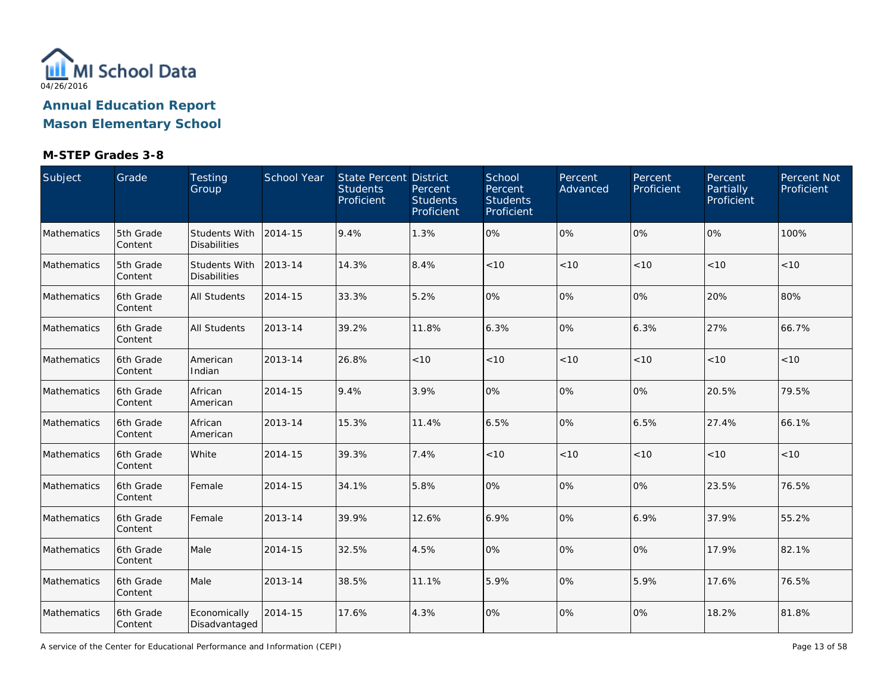

| Subject     | Grade                | Testing<br>Group                            | School Year | State Percent District<br><b>Students</b><br>Proficient | Percent<br><b>Students</b><br>Proficient | School<br>Percent<br><b>Students</b><br>Proficient | Percent<br>Advanced | Percent<br>Proficient | Percent<br>Partially<br>Proficient | Percent Not<br>Proficient |
|-------------|----------------------|---------------------------------------------|-------------|---------------------------------------------------------|------------------------------------------|----------------------------------------------------|---------------------|-----------------------|------------------------------------|---------------------------|
| Mathematics | 5th Grade<br>Content | <b>Students With</b><br><b>Disabilities</b> | 2014-15     | 9.4%                                                    | 1.3%                                     | 0%                                                 | 0%                  | 0%                    | 0%                                 | 100%                      |
| Mathematics | 5th Grade<br>Content | <b>Students With</b><br><b>Disabilities</b> | 2013-14     | 14.3%                                                   | 8.4%                                     | < 10                                               | < 10                | < 10                  | < 10                               | < 10                      |
| Mathematics | 6th Grade<br>Content | All Students                                | 2014-15     | 33.3%                                                   | 5.2%                                     | 0%                                                 | 0%                  | 0%                    | 20%                                | 80%                       |
| Mathematics | 6th Grade<br>Content | <b>All Students</b>                         | 2013-14     | 39.2%                                                   | 11.8%                                    | 6.3%                                               | 0%                  | 6.3%                  | 27%                                | 66.7%                     |
| Mathematics | 6th Grade<br>Content | American<br>Indian                          | 2013-14     | 26.8%                                                   | < 10                                     | < 10                                               | < 10                | < 10                  | < 10                               | $<10$                     |
| Mathematics | 6th Grade<br>Content | African<br>American                         | 2014-15     | 9.4%                                                    | 3.9%                                     | 0%                                                 | 0%                  | 10%                   | 20.5%                              | 79.5%                     |
| Mathematics | 6th Grade<br>Content | African<br>American                         | 2013-14     | 15.3%                                                   | 11.4%                                    | 6.5%                                               | 0%                  | 6.5%                  | 27.4%                              | 66.1%                     |
| Mathematics | 6th Grade<br>Content | White                                       | 2014-15     | 39.3%                                                   | 7.4%                                     | < 10                                               | < 10                | < 10                  | < 10                               | < 10                      |
| Mathematics | 6th Grade<br>Content | Female                                      | 2014-15     | 34.1%                                                   | 5.8%                                     | 0%                                                 | 0%                  | 0%                    | 23.5%                              | 76.5%                     |
| Mathematics | 6th Grade<br>Content | Female                                      | 2013-14     | 39.9%                                                   | 12.6%                                    | 6.9%                                               | 0%                  | 6.9%                  | 37.9%                              | 55.2%                     |
| Mathematics | 6th Grade<br>Content | Male                                        | 2014-15     | 32.5%                                                   | 4.5%                                     | 0%                                                 | 0%                  | 0%                    | 17.9%                              | 82.1%                     |
| Mathematics | 6th Grade<br>Content | Male                                        | 2013-14     | 38.5%                                                   | 11.1%                                    | 5.9%                                               | 0%                  | 5.9%                  | 17.6%                              | 76.5%                     |
| Mathematics | 6th Grade<br>Content | Economically<br>Disadvantaged               | 2014-15     | 17.6%                                                   | 4.3%                                     | 0%                                                 | 0%                  | 0%                    | 18.2%                              | 81.8%                     |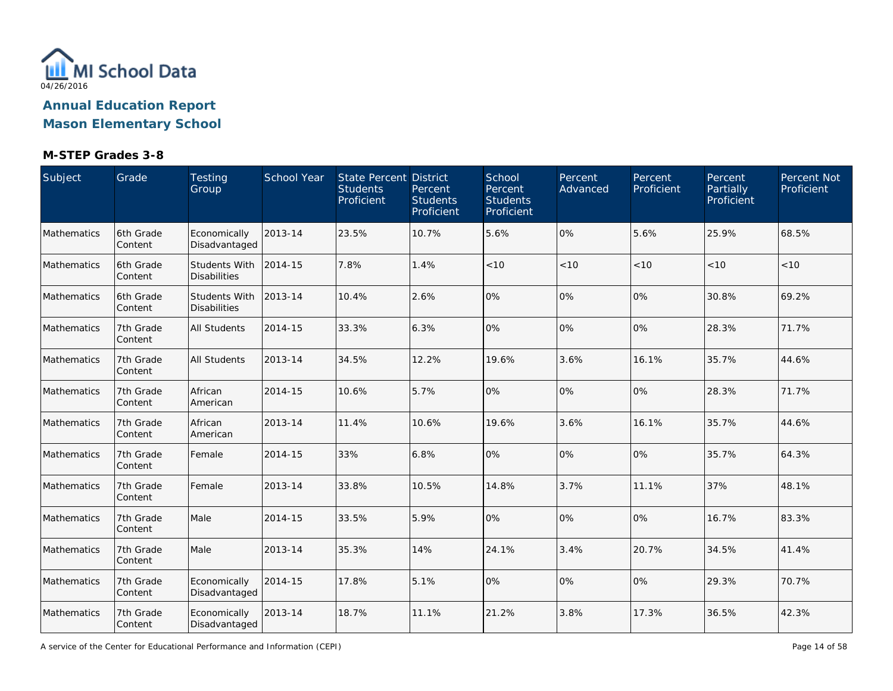

| Subject     | Grade                | Testing<br>Group                     | <b>School Year</b> | State Percent District<br><b>Students</b><br>Proficient | Percent<br><b>Students</b><br>Proficient | School<br>Percent<br><b>Students</b><br>Proficient | Percent<br>Advanced | Percent<br>Proficient | Percent<br>Partially<br>Proficient | Percent Not<br>Proficient |
|-------------|----------------------|--------------------------------------|--------------------|---------------------------------------------------------|------------------------------------------|----------------------------------------------------|---------------------|-----------------------|------------------------------------|---------------------------|
| Mathematics | 6th Grade<br>Content | Economically<br>Disadvantaged        | 2013-14            | 23.5%                                                   | 10.7%                                    | 5.6%                                               | 0%                  | 5.6%                  | 25.9%                              | 68.5%                     |
| Mathematics | 6th Grade<br>Content | Students With<br><b>Disabilities</b> | 2014-15            | 7.8%                                                    | 1.4%                                     | < 10                                               | < 10                | < 10                  | < 10                               | < 10                      |
| Mathematics | 6th Grade<br>Content | Students With<br><b>Disabilities</b> | 2013-14            | 10.4%                                                   | 2.6%                                     | 0%                                                 | 0%                  | 0%                    | 30.8%                              | 69.2%                     |
| Mathematics | 7th Grade<br>Content | <b>All Students</b>                  | 2014-15            | 33.3%                                                   | 6.3%                                     | 0%                                                 | 0%                  | 10%                   | 28.3%                              | 71.7%                     |
| Mathematics | 7th Grade<br>Content | <b>All Students</b>                  | 2013-14            | 34.5%                                                   | 12.2%                                    | 19.6%                                              | 3.6%                | 16.1%                 | 35.7%                              | 44.6%                     |
| Mathematics | 7th Grade<br>Content | African<br>American                  | 2014-15            | 10.6%                                                   | 5.7%                                     | 0%                                                 | 0%                  | 10%                   | 28.3%                              | 71.7%                     |
| Mathematics | 7th Grade<br>Content | African<br>American                  | 2013-14            | 11.4%                                                   | 10.6%                                    | 19.6%                                              | 3.6%                | 16.1%                 | 35.7%                              | 44.6%                     |
| Mathematics | 7th Grade<br>Content | Female                               | 2014-15            | 33%                                                     | 6.8%                                     | 0%                                                 | 0%                  | 10%                   | 35.7%                              | 64.3%                     |
| Mathematics | 7th Grade<br>Content | Female                               | 2013-14            | 33.8%                                                   | 10.5%                                    | 14.8%                                              | 3.7%                | 11.1%                 | 37%                                | 48.1%                     |
| Mathematics | 7th Grade<br>Content | Male                                 | 2014-15            | 33.5%                                                   | 5.9%                                     | 0%                                                 | 0%                  | 0%                    | 16.7%                              | 83.3%                     |
| Mathematics | 7th Grade<br>Content | Male                                 | 2013-14            | 35.3%                                                   | 14%                                      | 24.1%                                              | 3.4%                | 20.7%                 | 34.5%                              | 41.4%                     |
| Mathematics | 7th Grade<br>Content | Economically<br>Disadvantaged        | 2014-15            | 17.8%                                                   | 5.1%                                     | 0%                                                 | 0%                  | 0%                    | 29.3%                              | 70.7%                     |
| Mathematics | 7th Grade<br>Content | Economically<br>Disadvantaged        | 2013-14            | 18.7%                                                   | 11.1%                                    | 21.2%                                              | 3.8%                | 17.3%                 | 36.5%                              | 42.3%                     |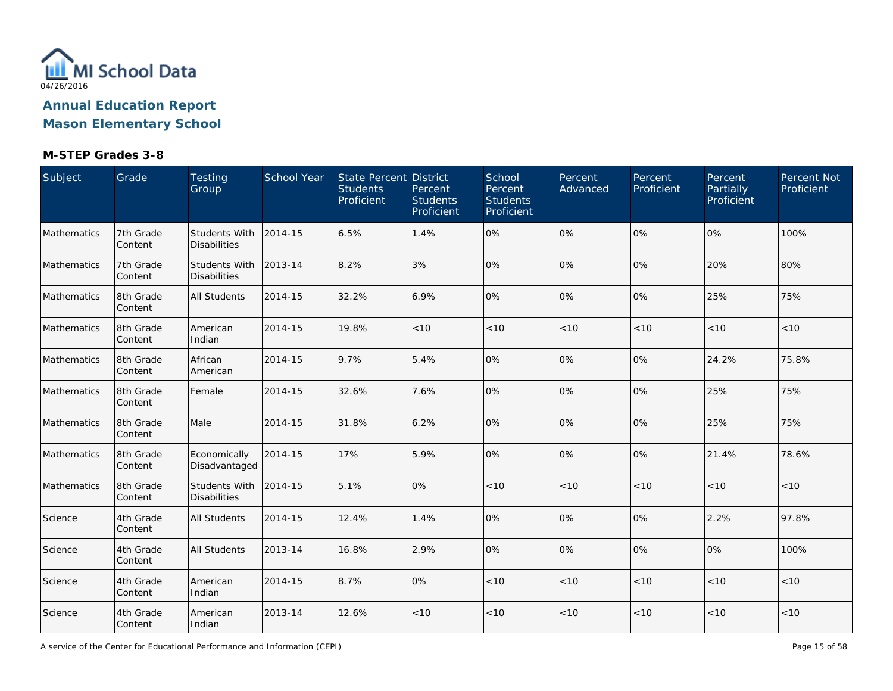

| Subject     | Grade                | Testing<br>Group                            | School Year | State Percent District<br><b>Students</b><br>Proficient | Percent<br><b>Students</b><br>Proficient | School<br>Percent<br><b>Students</b><br>Proficient | Percent<br>Advanced | Percent<br>Proficient | Percent<br>Partially<br>Proficient | Percent Not<br>Proficient |
|-------------|----------------------|---------------------------------------------|-------------|---------------------------------------------------------|------------------------------------------|----------------------------------------------------|---------------------|-----------------------|------------------------------------|---------------------------|
| Mathematics | 7th Grade<br>Content | <b>Students With</b><br><b>Disabilities</b> | 2014-15     | 6.5%                                                    | 1.4%                                     | 0%                                                 | 0%                  | 0%                    | 0%                                 | 100%                      |
| Mathematics | 7th Grade<br>Content | <b>Students With</b><br><b>Disabilities</b> | 2013-14     | 8.2%                                                    | 3%                                       | 0%                                                 | 0%                  | 0%                    | 20%                                | 80%                       |
| Mathematics | 8th Grade<br>Content | All Students                                | 2014-15     | 32.2%                                                   | 6.9%                                     | 0%                                                 | 0%                  | 0%                    | 25%                                | 75%                       |
| Mathematics | 8th Grade<br>Content | American<br>Indian                          | 2014-15     | 19.8%                                                   | $<10$                                    | < 10                                               | < 10                | < 10                  | < 10                               | < 10                      |
| Mathematics | 8th Grade<br>Content | African<br>American                         | 2014-15     | 9.7%                                                    | 5.4%                                     | 0%                                                 | 0%                  | 0%                    | 24.2%                              | 75.8%                     |
| Mathematics | 8th Grade<br>Content | Female                                      | 2014-15     | 32.6%                                                   | 7.6%                                     | 0%                                                 | 0%                  | 10%                   | 25%                                | 75%                       |
| Mathematics | 8th Grade<br>Content | Male                                        | 2014-15     | 31.8%                                                   | 6.2%                                     | 0%                                                 | 0%                  | 10%                   | 25%                                | 75%                       |
| Mathematics | 8th Grade<br>Content | Economically<br>Disadvantaged               | 2014-15     | 17%                                                     | 5.9%                                     | 0%                                                 | 0%                  | 0%                    | 21.4%                              | 78.6%                     |
| Mathematics | 8th Grade<br>Content | Students With<br><b>Disabilities</b>        | 2014-15     | 5.1%                                                    | 0%                                       | < 10                                               | < 10                | < 10                  | < 10                               | < 10                      |
| Science     | 4th Grade<br>Content | <b>All Students</b>                         | 2014-15     | 12.4%                                                   | 1.4%                                     | 0%                                                 | 0%                  | 0%                    | 2.2%                               | 97.8%                     |
| Science     | 4th Grade<br>Content | <b>All Students</b>                         | 2013-14     | 16.8%                                                   | 2.9%                                     | 0%                                                 | 0%                  | 0%                    | 0%                                 | 100%                      |
| Science     | 4th Grade<br>Content | American<br>Indian                          | 2014-15     | 8.7%                                                    | 0%                                       | < 10                                               | < 10                | < 10                  | < 10                               | $<10$                     |
| Science     | 4th Grade<br>Content | American<br>Indian                          | 2013-14     | 12.6%                                                   | < 10                                     | < 10                                               | < 10                | < 10                  | < 10                               | $<10$                     |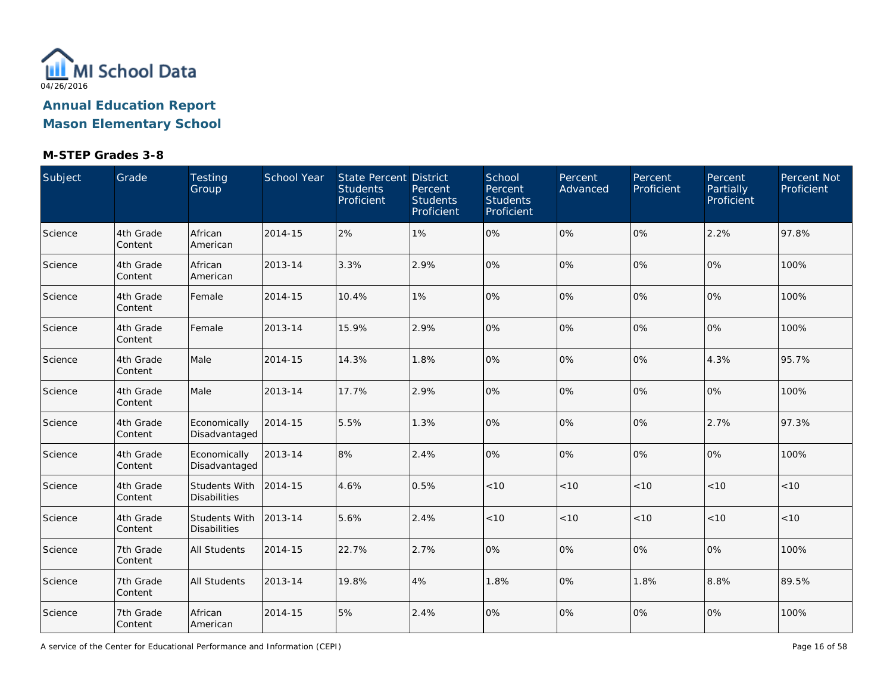

| Subject | Grade                | Testing<br>Group                            | School Year | State Percent District<br><b>Students</b><br>Proficient | Percent<br><b>Students</b><br>Proficient | School<br>Percent<br><b>Students</b><br>Proficient | Percent<br>Advanced | Percent<br>Proficient | Percent<br>Partially<br>Proficient | Percent Not<br>Proficient |
|---------|----------------------|---------------------------------------------|-------------|---------------------------------------------------------|------------------------------------------|----------------------------------------------------|---------------------|-----------------------|------------------------------------|---------------------------|
| Science | 4th Grade<br>Content | African<br>American                         | 2014-15     | 2%                                                      | 1%                                       | 0%                                                 | 0%                  | 0%                    | 2.2%                               | 97.8%                     |
| Science | 4th Grade<br>Content | African<br>American                         | 2013-14     | 3.3%                                                    | 2.9%                                     | 0%                                                 | 0%                  | 0%                    | 0%                                 | 100%                      |
| Science | 4th Grade<br>Content | Female                                      | 2014-15     | 10.4%                                                   | 1%                                       | 0%                                                 | 0%                  | 0%                    | 0%                                 | 100%                      |
| Science | 4th Grade<br>Content | Female                                      | 2013-14     | 15.9%                                                   | 2.9%                                     | 0%                                                 | 0%                  | 0%                    | 0%                                 | 100%                      |
| Science | 4th Grade<br>Content | Male                                        | 2014-15     | 14.3%                                                   | 1.8%                                     | 0%                                                 | 0%                  | 0%                    | 4.3%                               | 95.7%                     |
| Science | 4th Grade<br>Content | Male                                        | 2013-14     | 17.7%                                                   | 2.9%                                     | 0%                                                 | 0%                  | 10%                   | 0%                                 | 100%                      |
| Science | 4th Grade<br>Content | Economically<br>Disadvantaged               | 2014-15     | 5.5%                                                    | 1.3%                                     | 0%                                                 | 0%                  | 0%                    | 2.7%                               | 97.3%                     |
| Science | 4th Grade<br>Content | Economically<br>Disadvantaged               | 2013-14     | 8%                                                      | 2.4%                                     | 0%                                                 | 0%                  | 0%                    | 0%                                 | 100%                      |
| Science | 4th Grade<br>Content | Students With<br><b>Disabilities</b>        | 2014-15     | 4.6%                                                    | 0.5%                                     | < 10                                               | < 10                | < 10                  | < 10                               | < 10                      |
| Science | 4th Grade<br>Content | <b>Students With</b><br><b>Disabilities</b> | 2013-14     | 5.6%                                                    | 2.4%                                     | $<10$                                              | < 10                | < 10                  | < 10                               | < 10                      |
| Science | 7th Grade<br>Content | <b>All Students</b>                         | 2014-15     | 22.7%                                                   | 2.7%                                     | 0%                                                 | 0%                  | 10%                   | 0%                                 | 100%                      |
| Science | 7th Grade<br>Content | <b>All Students</b>                         | 2013-14     | 19.8%                                                   | 4%                                       | 1.8%                                               | 0%                  | 1.8%                  | 8.8%                               | 89.5%                     |
| Science | 7th Grade<br>Content | African<br>American                         | 2014-15     | 5%                                                      | 2.4%                                     | 0%                                                 | 0%                  | 0%                    | 0%                                 | 100%                      |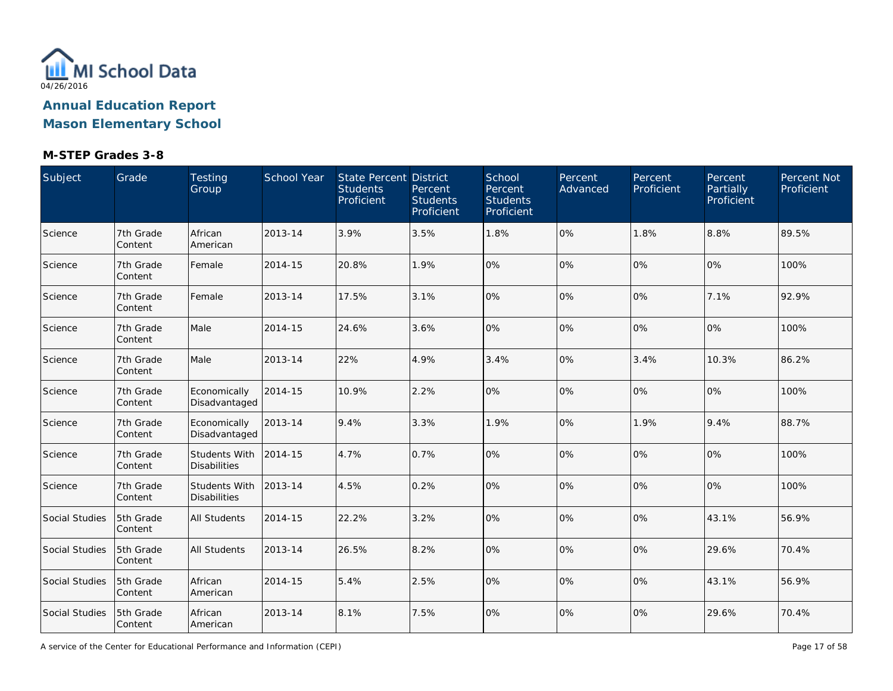

**Mason Elementary School**

### **M-STEP Grades 3-8**

| Subject        | Grade                | Testing<br>Group                            | School Year | <b>State Percent District</b><br><b>Students</b><br>Proficient | Percent<br><b>Students</b><br>Proficient | School<br>Percent<br><b>Students</b><br>Proficient | Percent<br>Advanced | Percent<br>Proficient | Percent<br>Partially<br>Proficient | Percent Not<br>Proficient |
|----------------|----------------------|---------------------------------------------|-------------|----------------------------------------------------------------|------------------------------------------|----------------------------------------------------|---------------------|-----------------------|------------------------------------|---------------------------|
| Science        | 7th Grade<br>Content | African<br>American                         | 2013-14     | 3.9%                                                           | 3.5%                                     | 1.8%                                               | 0%                  | 1.8%                  | 8.8%                               | 89.5%                     |
| Science        | 7th Grade<br>Content | Female                                      | 2014-15     | 20.8%                                                          | 1.9%                                     | 0%                                                 | 0%                  | 0%                    | 0%                                 | 100%                      |
| Science        | 7th Grade<br>Content | Female                                      | 2013-14     | 17.5%                                                          | 3.1%                                     | 0%                                                 | 0%                  | 0%                    | 7.1%                               | 92.9%                     |
| Science        | 7th Grade<br>Content | Male                                        | 2014-15     | 24.6%                                                          | 3.6%                                     | 0%                                                 | 0%                  | $0\%$                 | 0%                                 | 100%                      |
| Science        | 7th Grade<br>Content | Male                                        | 2013-14     | 22%                                                            | 4.9%                                     | 3.4%                                               | 0%                  | 3.4%                  | 10.3%                              | 86.2%                     |
| Science        | 7th Grade<br>Content | Economically<br>Disadvantaged               | 2014-15     | 10.9%                                                          | 2.2%                                     | 0%                                                 | 0%                  | 0%                    | 0%                                 | 100%                      |
| Science        | 7th Grade<br>Content | Economically<br>Disadvantaged               | 2013-14     | 9.4%                                                           | 3.3%                                     | 1.9%                                               | 0%                  | 1.9%                  | 9.4%                               | 88.7%                     |
| Science        | 7th Grade<br>Content | Students With<br><b>Disabilities</b>        | 2014-15     | 4.7%                                                           | 0.7%                                     | 0%                                                 | 0%                  | 0%                    | 0%                                 | 100%                      |
| Science        | 7th Grade<br>Content | <b>Students With</b><br><b>Disabilities</b> | 2013-14     | 4.5%                                                           | 0.2%                                     | 0%                                                 | 0%                  | 0%                    | 0%                                 | 100%                      |
| Social Studies | 5th Grade<br>Content | <b>All Students</b>                         | 2014-15     | 22.2%                                                          | 3.2%                                     | 0%                                                 | 0%                  | 0%                    | 43.1%                              | 56.9%                     |
| Social Studies | 5th Grade<br>Content | All Students                                | 2013-14     | 26.5%                                                          | 8.2%                                     | 0%                                                 | 0%                  | 0%                    | 29.6%                              | 70.4%                     |
| Social Studies | 5th Grade<br>Content | African<br>American                         | 2014-15     | 5.4%                                                           | 2.5%                                     | 0%                                                 | 0%                  | 0%                    | 43.1%                              | 56.9%                     |
| Social Studies | 5th Grade<br>Content | African<br>American                         | 2013-14     | 8.1%                                                           | 7.5%                                     | 0%                                                 | 0%                  | 0%                    | 29.6%                              | 70.4%                     |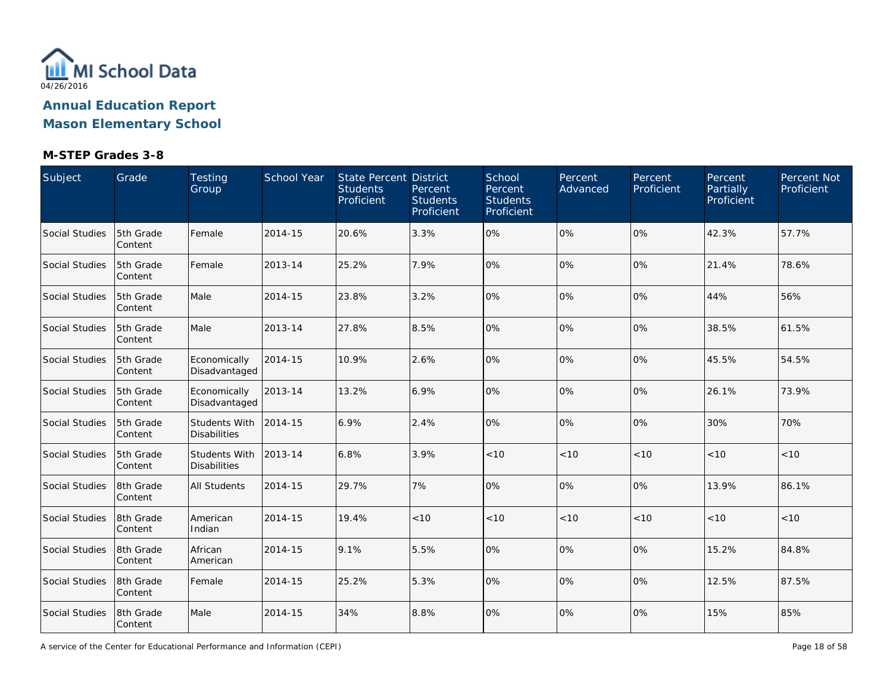

| Subject        | Grade                | Testing<br>Group                            | School Year | State Percent District<br><b>Students</b><br>Proficient | Percent<br><b>Students</b><br>Proficient | School<br>Percent<br><b>Students</b><br>Proficient | Percent<br>Advanced | Percent<br>Proficient | Percent<br>Partially<br>Proficient | Percent Not<br>Proficient |
|----------------|----------------------|---------------------------------------------|-------------|---------------------------------------------------------|------------------------------------------|----------------------------------------------------|---------------------|-----------------------|------------------------------------|---------------------------|
| Social Studies | 5th Grade<br>Content | Female                                      | 2014-15     | 20.6%                                                   | 3.3%                                     | 0%                                                 | 0%                  | 0%                    | 42.3%                              | 57.7%                     |
| Social Studies | 5th Grade<br>Content | Female                                      | 2013-14     | 25.2%                                                   | 7.9%                                     | 0%                                                 | 0%                  | 0%                    | 21.4%                              | 78.6%                     |
| Social Studies | 5th Grade<br>Content | Male                                        | 2014-15     | 23.8%                                                   | 3.2%                                     | 0%                                                 | 0%                  | 0%                    | 44%                                | 56%                       |
| Social Studies | 5th Grade<br>Content | Male                                        | 2013-14     | 27.8%                                                   | 8.5%                                     | 0%                                                 | 0%                  | 0%                    | 38.5%                              | 61.5%                     |
| Social Studies | 5th Grade<br>Content | Economically<br>Disadvantaged               | 2014-15     | 10.9%                                                   | 2.6%                                     | 0%                                                 | 0%                  | 10%                   | 45.5%                              | 54.5%                     |
| Social Studies | 5th Grade<br>Content | Economically<br>Disadvantaged               | 2013-14     | 13.2%                                                   | 6.9%                                     | 0%                                                 | 0%                  | 10%                   | 26.1%                              | 73.9%                     |
| Social Studies | 5th Grade<br>Content | <b>Students With</b><br><b>Disabilities</b> | 2014-15     | 6.9%                                                    | 2.4%                                     | 0%                                                 | 0%                  | 0%                    | 30%                                | 70%                       |
| Social Studies | 5th Grade<br>Content | <b>Students With</b><br><b>Disabilities</b> | 2013-14     | 6.8%                                                    | 3.9%                                     | < 10                                               | < 10                | < 10                  | < 10                               | < 10                      |
| Social Studies | 8th Grade<br>Content | <b>All Students</b>                         | 2014-15     | 29.7%                                                   | 7%                                       | 0%                                                 | 0%                  | 0%                    | 13.9%                              | 86.1%                     |
| Social Studies | 8th Grade<br>Content | American<br>Indian                          | 2014-15     | 19.4%                                                   | < 10                                     | < 10                                               | < 10                | < 10                  | < 10                               | $<10$                     |
| Social Studies | 8th Grade<br>Content | African<br>American                         | 2014-15     | 9.1%                                                    | 5.5%                                     | 0%                                                 | 0%                  | 0%                    | 15.2%                              | 84.8%                     |
| Social Studies | 8th Grade<br>Content | Female                                      | 2014-15     | 25.2%                                                   | 5.3%                                     | 0%                                                 | 0%                  | 0%                    | 12.5%                              | 87.5%                     |
| Social Studies | 8th Grade<br>Content | Male                                        | 2014-15     | 34%                                                     | 8.8%                                     | 0%                                                 | 0%                  | 0%                    | 15%                                | 85%                       |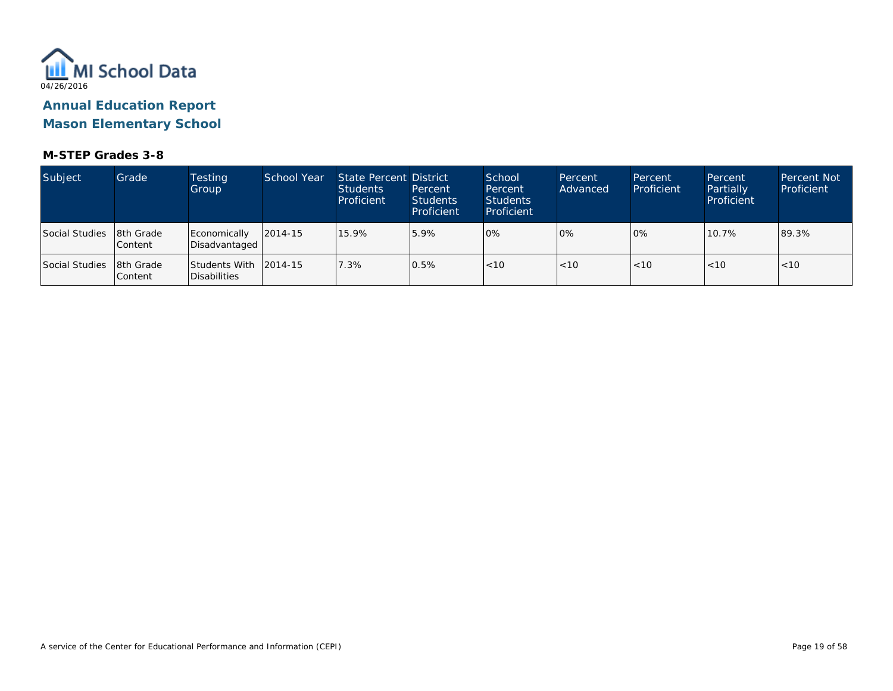

**Mason Elementary School**

| Subject        | Grade                  | Testing<br>Group              | <b>School Year</b> | State Percent District<br><b>Students</b><br>Proficient | Percent<br><b>Students</b><br>Proficient | School<br>Percent<br>Students<br>Proficient | Percent<br>Advanced | Percent<br>Proficient | Percent<br>Partially<br>Proficient | <b>Percent Not</b><br>Proficient |
|----------------|------------------------|-------------------------------|--------------------|---------------------------------------------------------|------------------------------------------|---------------------------------------------|---------------------|-----------------------|------------------------------------|----------------------------------|
| Social Studies | 8th Grade<br>lContent  | Economically<br>Disadvantaged | $12014 - 15$       | 15.9%                                                   | 5.9%                                     | 0%                                          | $0\%$               | 10%                   | 10.7%                              | 89.3%                            |
| Social Studies | 18th Grade<br>lContent | Students With<br>Disabilities | $ 2014-15$         | 7.3%                                                    | 0.5%                                     | $\vert$ < 10                                | < 10                | < 10                  | < 10                               | < 10                             |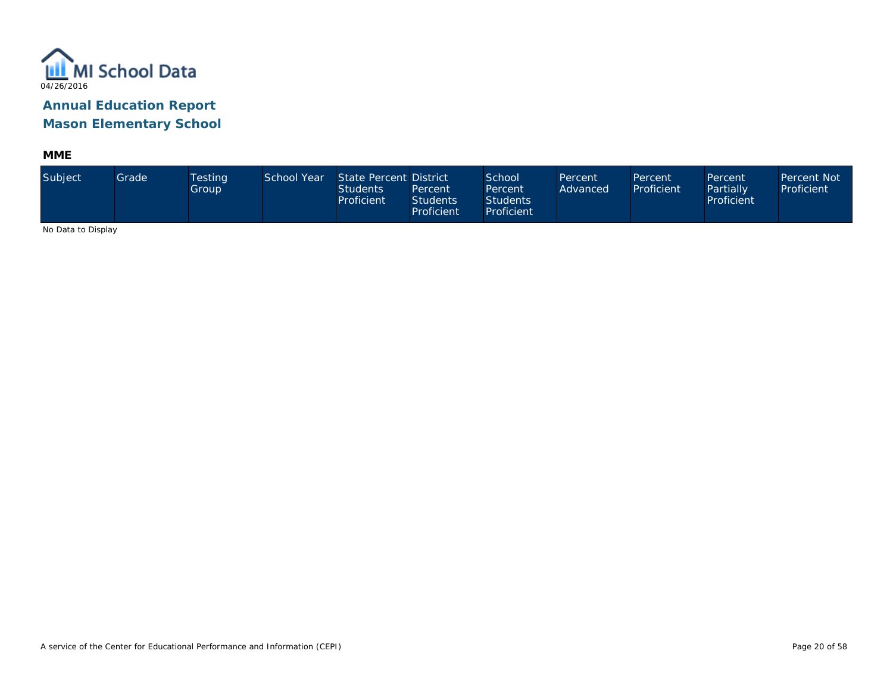

**MME**

| Subject                     | Grade | Testing<br>Group | School Year | State Percent District<br><b>Students</b><br>Proficient | Percent<br><b>Students</b><br>Proficient | School<br>Percent<br><b>Students</b><br>Proficient | Percent<br>Advanced | Percent<br>Proficient | Percent<br>Partially<br>Proficient | <b>Percent Not</b><br>Proficient |
|-----------------------------|-------|------------------|-------------|---------------------------------------------------------|------------------------------------------|----------------------------------------------------|---------------------|-----------------------|------------------------------------|----------------------------------|
| <b>ALCOHOL: U. D. L. L.</b> |       |                  |             |                                                         |                                          |                                                    |                     |                       |                                    |                                  |

No Data to Display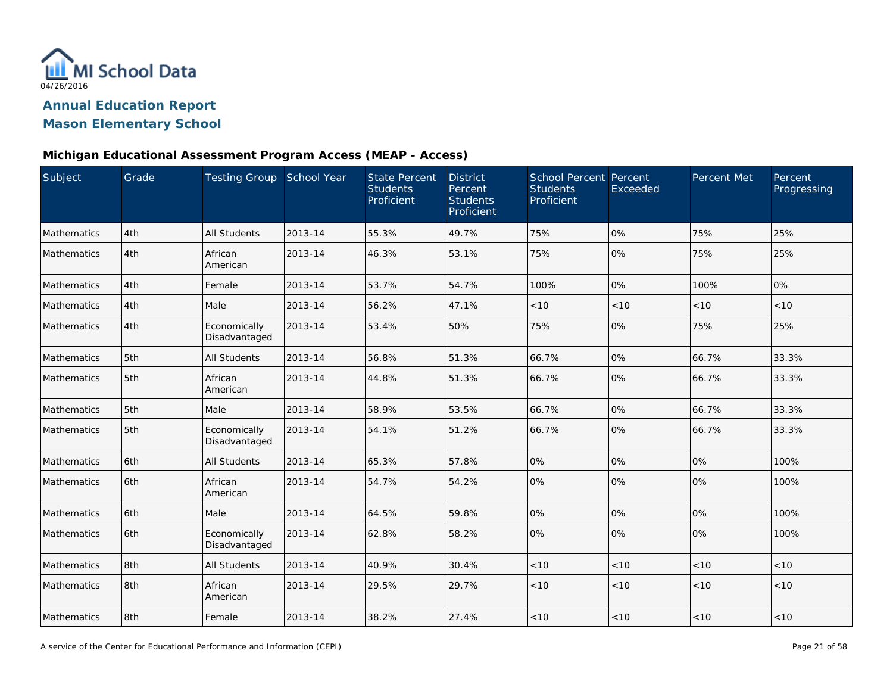

## **Mason Elementary School**

#### **Michigan Educational Assessment Program Access (MEAP - Access)**

| Subject     | Grade | Testing Group School Year     |         | <b>State Percent</b><br><b>Students</b><br>Proficient | <b>District</b><br>Percent<br><b>Students</b><br>Proficient | <b>School Percent Percent</b><br><b>Students</b><br>Proficient | Exceeded | Percent Met | Percent<br>Progressing |
|-------------|-------|-------------------------------|---------|-------------------------------------------------------|-------------------------------------------------------------|----------------------------------------------------------------|----------|-------------|------------------------|
| Mathematics | 4th   | <b>All Students</b>           | 2013-14 | 55.3%                                                 | 49.7%                                                       | 75%                                                            | 0%       | 75%         | 25%                    |
| Mathematics | 4th   | African<br>American           | 2013-14 | 46.3%                                                 | 53.1%                                                       | 75%                                                            | 0%       | 75%         | 25%                    |
| Mathematics | 4th   | Female                        | 2013-14 | 53.7%                                                 | 54.7%                                                       | 100%                                                           | 0%       | 100%        | 0%                     |
| Mathematics | 4th   | Male                          | 2013-14 | 56.2%                                                 | 47.1%                                                       | < 10                                                           | < 10     | < 10        | < 10                   |
| Mathematics | 4th   | Economically<br>Disadvantaged | 2013-14 | 53.4%                                                 | 50%                                                         | 75%                                                            | 0%       | 75%         | 25%                    |
| Mathematics | 5th   | <b>All Students</b>           | 2013-14 | 56.8%                                                 | 51.3%                                                       | 66.7%                                                          | 0%       | 66.7%       | 33.3%                  |
| Mathematics | 5th   | African<br>American           | 2013-14 | 44.8%                                                 | 51.3%                                                       | 66.7%                                                          | 0%       | 66.7%       | 33.3%                  |
| Mathematics | 5th   | Male                          | 2013-14 | 58.9%                                                 | 53.5%                                                       | 66.7%                                                          | 0%       | 66.7%       | 33.3%                  |
| Mathematics | 5th   | Economically<br>Disadvantaged | 2013-14 | 54.1%                                                 | 51.2%                                                       | 66.7%                                                          | 0%       | 66.7%       | 33.3%                  |
| Mathematics | 6th   | All Students                  | 2013-14 | 65.3%                                                 | 57.8%                                                       | 0%                                                             | 0%       | 0%          | 100%                   |
| Mathematics | 6th   | African<br>American           | 2013-14 | 54.7%                                                 | 54.2%                                                       | 0%                                                             | 0%       | 0%          | 100%                   |
| Mathematics | 6th   | Male                          | 2013-14 | 64.5%                                                 | 59.8%                                                       | 0%                                                             | 0%       | 0%          | 100%                   |
| Mathematics | 6th   | Economically<br>Disadvantaged | 2013-14 | 62.8%                                                 | 58.2%                                                       | 0%                                                             | 0%       | 0%          | 100%                   |
| Mathematics | 8th   | All Students                  | 2013-14 | 40.9%                                                 | 30.4%                                                       | < 10                                                           | < 10     | < 10        | < 10                   |
| Mathematics | 8th   | African<br>American           | 2013-14 | 29.5%                                                 | 29.7%                                                       | < 10                                                           | < 10     | < 10        | < 10                   |
| Mathematics | 8th   | Female                        | 2013-14 | 38.2%                                                 | 27.4%                                                       | < 10                                                           | < 10     | < 10        | < 10                   |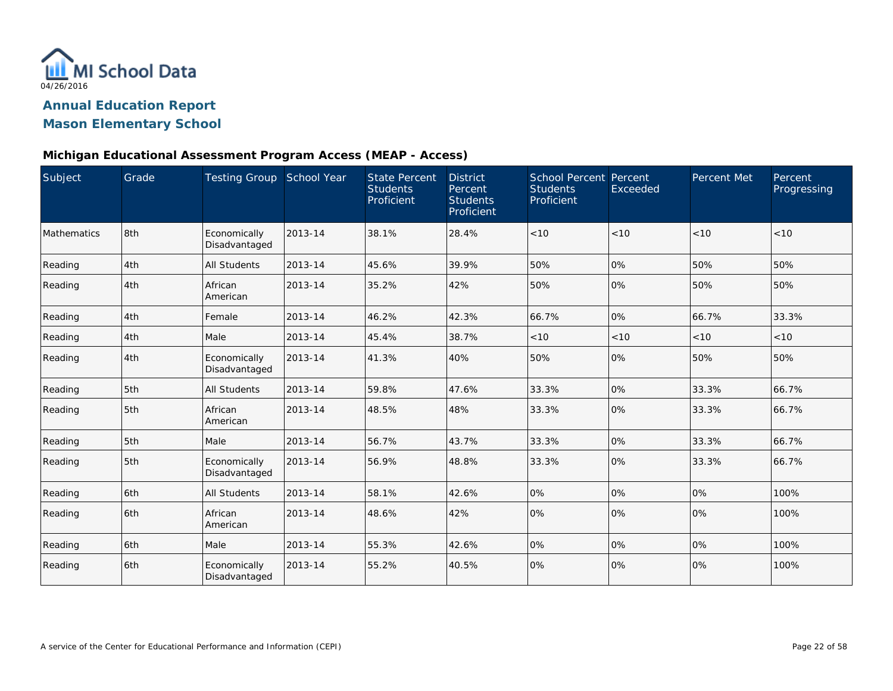

### **Mason Elementary School**

#### **Michigan Educational Assessment Program Access (MEAP - Access)**

| Subject     | Grade | Testing Group School Year     |         | <b>State Percent</b><br><b>Students</b><br>Proficient | <b>District</b><br>Percent<br><b>Students</b><br>Proficient | <b>School Percent Percent</b><br><b>Students</b><br>Proficient | Exceeded | Percent Met | Percent<br>Progressing |
|-------------|-------|-------------------------------|---------|-------------------------------------------------------|-------------------------------------------------------------|----------------------------------------------------------------|----------|-------------|------------------------|
| Mathematics | 8th   | Economically<br>Disadvantaged | 2013-14 | 38.1%                                                 | 28.4%                                                       | < 10                                                           | < 10     | <10         | < 10                   |
| Reading     | 4th   | All Students                  | 2013-14 | 45.6%                                                 | 39.9%                                                       | 50%                                                            | 0%       | 50%         | 50%                    |
| Reading     | 4th   | African<br>American           | 2013-14 | 35.2%                                                 | 42%                                                         | 50%                                                            | 0%       | 50%         | 50%                    |
| Reading     | 4th   | Female                        | 2013-14 | 46.2%                                                 | 42.3%                                                       | 66.7%                                                          | 0%       | 66.7%       | 33.3%                  |
| Reading     | 4th   | Male                          | 2013-14 | 45.4%                                                 | 38.7%                                                       | < 10                                                           | < 10     | < 10        | <10                    |
| Reading     | 4th   | Economically<br>Disadvantaged | 2013-14 | 41.3%                                                 | 40%                                                         | 50%                                                            | 0%       | 50%         | 50%                    |
| Reading     | 5th   | All Students                  | 2013-14 | 59.8%                                                 | 47.6%                                                       | 33.3%                                                          | 0%       | 33.3%       | 66.7%                  |
| Reading     | 5th   | African<br>American           | 2013-14 | 48.5%                                                 | 48%                                                         | 33.3%                                                          | 0%       | 33.3%       | 66.7%                  |
| Reading     | 5th   | Male                          | 2013-14 | 56.7%                                                 | 43.7%                                                       | 33.3%                                                          | 0%       | 33.3%       | 66.7%                  |
| Reading     | 5th   | Economically<br>Disadvantaged | 2013-14 | 56.9%                                                 | 48.8%                                                       | 33.3%                                                          | 0%       | 33.3%       | 66.7%                  |
| Reading     | 6th   | <b>All Students</b>           | 2013-14 | 58.1%                                                 | 42.6%                                                       | 0%                                                             | 0%       | 0%          | 100%                   |
| Reading     | 6th   | African<br>American           | 2013-14 | 48.6%                                                 | 42%                                                         | 0%                                                             | 0%       | 0%          | 100%                   |
| Reading     | 6th   | Male                          | 2013-14 | 55.3%                                                 | 42.6%                                                       | 0%                                                             | 0%       | 0%          | 100%                   |
| Reading     | 6th   | Economically<br>Disadvantaged | 2013-14 | 55.2%                                                 | 40.5%                                                       | 0%                                                             | 0%       | 0%          | 100%                   |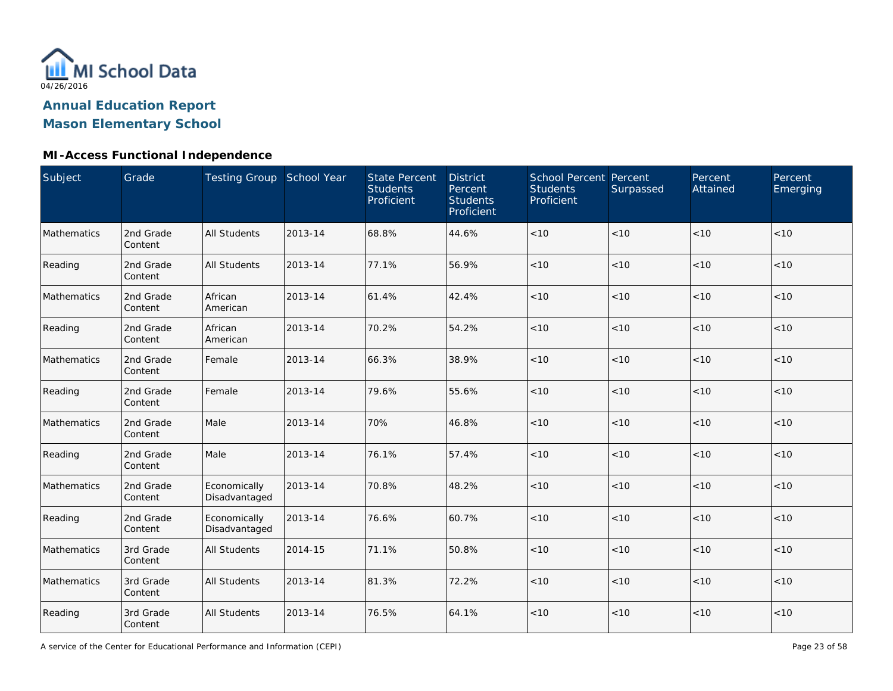

## **Mason Elementary School**

### **MI-Access Functional Independence**

| Subject     | Grade                | Testing Group School Year     |         | <b>State Percent</b><br><b>Students</b><br>Proficient | <b>District</b><br>Percent<br><b>Students</b><br>Proficient | School Percent Percent<br><b>Students</b><br>Proficient | Surpassed | Percent<br>Attained | Percent<br>Emerging |
|-------------|----------------------|-------------------------------|---------|-------------------------------------------------------|-------------------------------------------------------------|---------------------------------------------------------|-----------|---------------------|---------------------|
| Mathematics | 2nd Grade<br>Content | <b>All Students</b>           | 2013-14 | 68.8%                                                 | 44.6%                                                       | $<10$                                                   | < 10      | < 10                | < 10                |
| Reading     | 2nd Grade<br>Content | <b>All Students</b>           | 2013-14 | 77.1%                                                 | 56.9%                                                       | < 10                                                    | < 10      | < 10                | < 10                |
| Mathematics | 2nd Grade<br>Content | African<br>American           | 2013-14 | 61.4%                                                 | 42.4%                                                       | < 10                                                    | < 10      | < 10                | < 10                |
| Reading     | 2nd Grade<br>Content | African<br>American           | 2013-14 | 70.2%                                                 | 54.2%                                                       | < 10                                                    | < 10      | <10                 | $<10$               |
| Mathematics | 2nd Grade<br>Content | Female                        | 2013-14 | 66.3%                                                 | 38.9%                                                       | < 10                                                    | <10       | < 10                | < 10                |
| Reading     | 2nd Grade<br>Content | Female                        | 2013-14 | 79.6%                                                 | 55.6%                                                       | < 10                                                    | < 10      | < 10                | < 10                |
| Mathematics | 2nd Grade<br>Content | Male                          | 2013-14 | 70%                                                   | 46.8%                                                       | < 10                                                    | < 10      | < 10                | < 10                |
| Reading     | 2nd Grade<br>Content | Male                          | 2013-14 | 76.1%                                                 | 57.4%                                                       | $<10$                                                   | < 10      | < 10                | < 10                |
| Mathematics | 2nd Grade<br>Content | Economically<br>Disadvantaged | 2013-14 | 70.8%                                                 | 48.2%                                                       | < 10                                                    | < 10      | < 10                | < 10                |
| Reading     | 2nd Grade<br>Content | Economically<br>Disadvantaged | 2013-14 | 76.6%                                                 | 60.7%                                                       | $<10$                                                   | < 10      | < 10                | < 10                |
| Mathematics | 3rd Grade<br>Content | <b>All Students</b>           | 2014-15 | 71.1%                                                 | 50.8%                                                       | $<10$                                                   | < 10      | < 10                | < 10                |
| Mathematics | 3rd Grade<br>Content | <b>All Students</b>           | 2013-14 | 81.3%                                                 | 72.2%                                                       | $<10$                                                   | < 10      | < 10                | < 10                |
| Reading     | 3rd Grade<br>Content | <b>All Students</b>           | 2013-14 | 76.5%                                                 | 64.1%                                                       | < 10                                                    | $<10$     | < 10                | < 10                |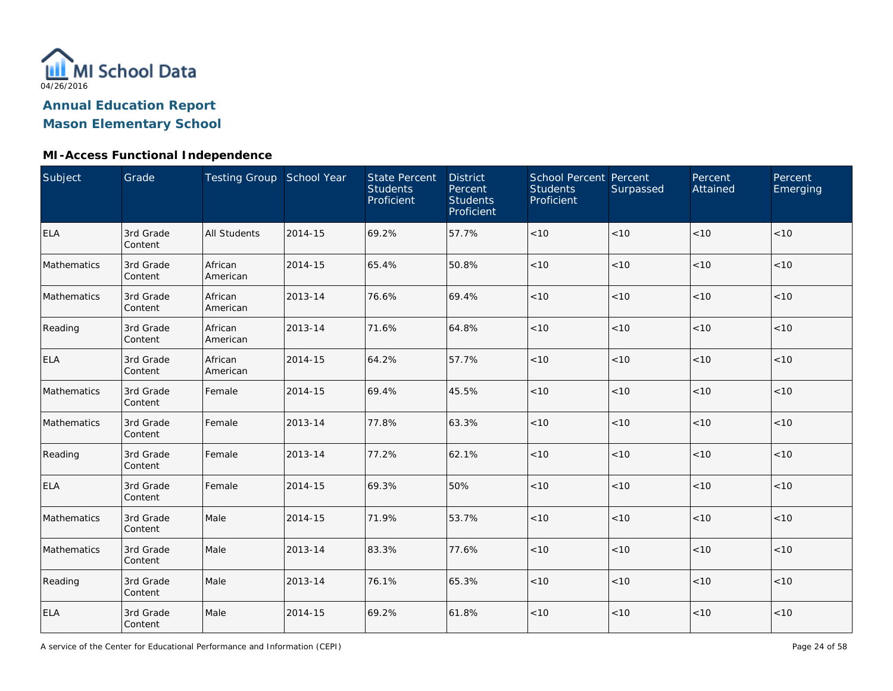

## **Mason Elementary School**

### **MI-Access Functional Independence**

| Subject     | Grade                | Testing Group School Year |         | <b>State Percent</b><br><b>Students</b><br>Proficient | <b>District</b><br>Percent<br><b>Students</b><br>Proficient | <b>School Percent Percent</b><br><b>Students</b><br>Proficient | Surpassed | Percent<br>Attained | Percent<br>Emerging |
|-------------|----------------------|---------------------------|---------|-------------------------------------------------------|-------------------------------------------------------------|----------------------------------------------------------------|-----------|---------------------|---------------------|
| <b>ELA</b>  | 3rd Grade<br>Content | <b>All Students</b>       | 2014-15 | 69.2%                                                 | 57.7%                                                       | $<10$                                                          | < 10      | < 10                | < 10                |
| Mathematics | 3rd Grade<br>Content | African<br>American       | 2014-15 | 65.4%                                                 | 50.8%                                                       | < 10                                                           | < 10      | < 10                | < 10                |
| Mathematics | 3rd Grade<br>Content | African<br>American       | 2013-14 | 76.6%                                                 | 69.4%                                                       | < 10                                                           | < 10      | < 10                | < 10                |
| Reading     | 3rd Grade<br>Content | African<br>American       | 2013-14 | 71.6%                                                 | 64.8%                                                       | $<10$                                                          | < 10      | < 10                | < 10                |
| <b>ELA</b>  | 3rd Grade<br>Content | African<br>American       | 2014-15 | 64.2%                                                 | 57.7%                                                       | $<10$                                                          | < 10      | < 10                | < 10                |
| Mathematics | 3rd Grade<br>Content | Female                    | 2014-15 | 69.4%                                                 | 45.5%                                                       | < 10                                                           | $<10$     | < 10                | < 10                |
| Mathematics | 3rd Grade<br>Content | Female                    | 2013-14 | 77.8%                                                 | 63.3%                                                       | < 10                                                           | < 10      | < 10                | < 10                |
| Reading     | 3rd Grade<br>Content | Female                    | 2013-14 | 77.2%                                                 | 62.1%                                                       | < 10                                                           | < 10      | < 10                | < 10                |
| <b>ELA</b>  | 3rd Grade<br>Content | Female                    | 2014-15 | 69.3%                                                 | 50%                                                         | $<10$                                                          | < 10      | < 10                | < 10                |
| Mathematics | 3rd Grade<br>Content | Male                      | 2014-15 | 71.9%                                                 | 53.7%                                                       | $<10$                                                          | $<10$     | < 10                | < 10                |
| Mathematics | 3rd Grade<br>Content | Male                      | 2013-14 | 83.3%                                                 | 77.6%                                                       | < 10                                                           | < 10      | < 10                | < 10                |
| Reading     | 3rd Grade<br>Content | Male                      | 2013-14 | 76.1%                                                 | 65.3%                                                       | $<10$                                                          | $<10$     | < 10                | < 10                |
| <b>ELA</b>  | 3rd Grade<br>Content | Male                      | 2014-15 | 69.2%                                                 | 61.8%                                                       | $<10$                                                          | $<10$     | < 10                | < 10                |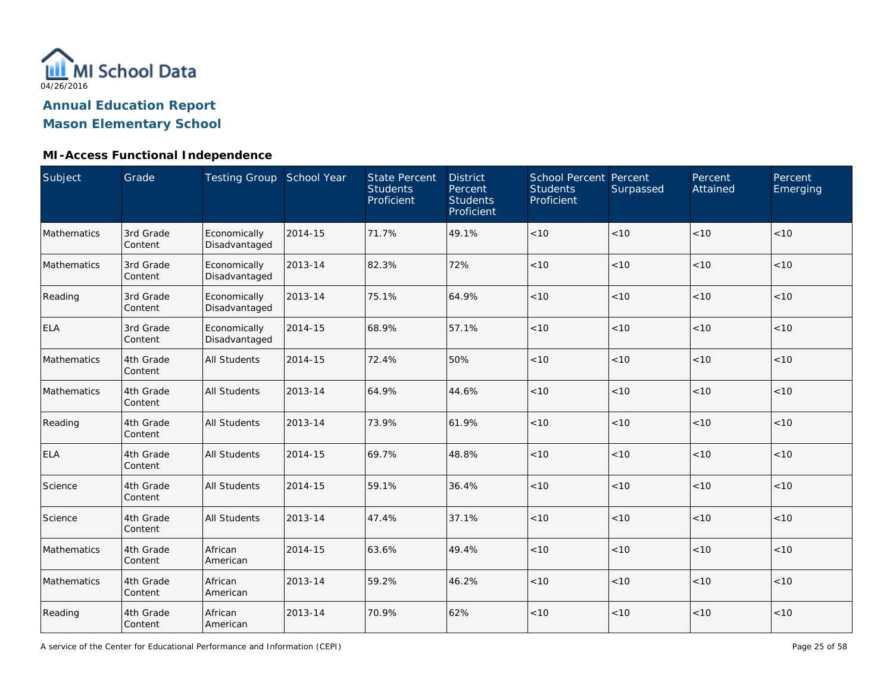

### **MI-Access Functional Independence**

| Subject     | Grade                | Testing Group School Year     |         | <b>State Percent</b><br><b>Students</b><br>Proficient | <b>District</b><br>Percent<br><b>Students</b><br>Proficient | School Percent Percent<br><b>Students</b><br>Proficient | Surpassed | Percent<br>Attained | Percent<br>Emerging |
|-------------|----------------------|-------------------------------|---------|-------------------------------------------------------|-------------------------------------------------------------|---------------------------------------------------------|-----------|---------------------|---------------------|
| Mathematics | 3rd Grade<br>Content | Economically<br>Disadvantaged | 2014-15 | 71.7%                                                 | 49.1%                                                       | < 10                                                    | < 10      | < 10                | < 10                |
| Mathematics | 3rd Grade<br>Content | Economically<br>Disadvantaged | 2013-14 | 82.3%                                                 | 72%                                                         | < 10                                                    | < 10      | < 10                | < 10                |
| Reading     | 3rd Grade<br>Content | Economically<br>Disadvantaged | 2013-14 | 75.1%                                                 | 64.9%                                                       | < 10                                                    | < 10      | < 10                | < 10                |
| <b>ELA</b>  | 3rd Grade<br>Content | Economically<br>Disadvantaged | 2014-15 | 68.9%                                                 | 57.1%                                                       | < 10                                                    | < 10      | < 10                | < 10                |
| Mathematics | 4th Grade<br>Content | All Students                  | 2014-15 | 72.4%                                                 | 50%                                                         | < 10                                                    | < 10      | < 10                | < 10                |
| Mathematics | 4th Grade<br>Content | <b>All Students</b>           | 2013-14 | 64.9%                                                 | 44.6%                                                       | < 10                                                    | < 10      | < 10                | < 10                |
| Reading     | 4th Grade<br>Content | <b>All Students</b>           | 2013-14 | 73.9%                                                 | 61.9%                                                       | < 10                                                    | < 10      | < 10                | < 10                |
| <b>ELA</b>  | 4th Grade<br>Content | <b>All Students</b>           | 2014-15 | 69.7%                                                 | 48.8%                                                       | < 10                                                    | < 10      | < 10                | < 10                |
| Science     | 4th Grade<br>Content | <b>All Students</b>           | 2014-15 | 59.1%                                                 | 36.4%                                                       | $<10$                                                   | < 10      | < 10                | < 10                |
| Science     | 4th Grade<br>Content | <b>All Students</b>           | 2013-14 | 47.4%                                                 | 37.1%                                                       | $<10$                                                   | < 10      | <10                 | < 10                |
| Mathematics | 4th Grade<br>Content | African<br>American           | 2014-15 | 63.6%                                                 | 49.4%                                                       | $<10$                                                   | < 10      | < 10                | < 10                |
| Mathematics | 4th Grade<br>Content | African<br>American           | 2013-14 | 59.2%                                                 | 46.2%                                                       | $<10$                                                   | < 10      | < 10                | < 10                |
| Reading     | 4th Grade<br>Content | African<br>American           | 2013-14 | 70.9%                                                 | 62%                                                         | < 10                                                    | $<10$     | < 10                | < 10                |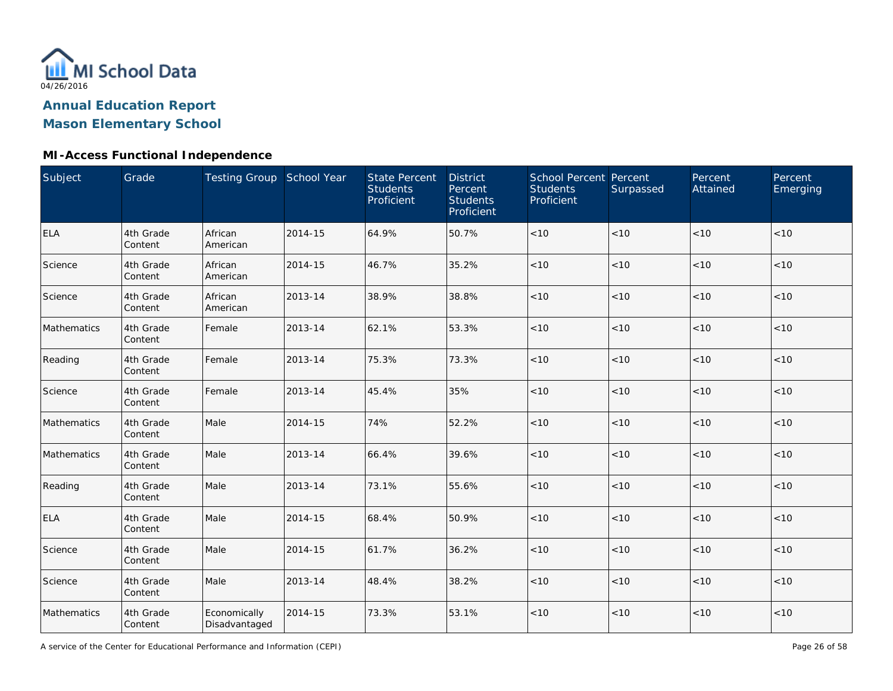

## **Mason Elementary School**

### **MI-Access Functional Independence**

| Subject     | Grade                | Testing Group School Year     |         | <b>State Percent</b><br><b>Students</b><br>Proficient | <b>District</b><br>Percent<br><b>Students</b><br>Proficient | School Percent Percent<br><b>Students</b><br>Proficient | Surpassed | Percent<br>Attained | Percent<br>Emerging |
|-------------|----------------------|-------------------------------|---------|-------------------------------------------------------|-------------------------------------------------------------|---------------------------------------------------------|-----------|---------------------|---------------------|
| <b>ELA</b>  | 4th Grade<br>Content | African<br>American           | 2014-15 | 64.9%                                                 | 50.7%                                                       | $<10$                                                   | < 10      | < 10                | < 10                |
| Science     | 4th Grade<br>Content | African<br>American           | 2014-15 | 46.7%                                                 | 35.2%                                                       | $<10$                                                   | < 10      | < 10                | < 10                |
| Science     | 4th Grade<br>Content | African<br>American           | 2013-14 | 38.9%                                                 | 38.8%                                                       | < 10                                                    | < 10      | < 10                | < 10                |
| Mathematics | 4th Grade<br>Content | Female                        | 2013-14 | 62.1%                                                 | 53.3%                                                       | $<10$                                                   | < 10      | < 10                | < 10                |
| Reading     | 4th Grade<br>Content | Female                        | 2013-14 | 75.3%                                                 | 73.3%                                                       | $<10$                                                   | < 10      | < 10                | < 10                |
| Science     | 4th Grade<br>Content | Female                        | 2013-14 | 45.4%                                                 | 35%                                                         | < 10                                                    | < 10      | < 10                | < 10                |
| Mathematics | 4th Grade<br>Content | Male                          | 2014-15 | 74%                                                   | 52.2%                                                       | $<10$                                                   | < 10      | < 10                | < 10                |
| Mathematics | 4th Grade<br>Content | Male                          | 2013-14 | 66.4%                                                 | 39.6%                                                       | < 10                                                    | $<10$     | < 10                | < 10                |
| Reading     | 4th Grade<br>Content | Male                          | 2013-14 | 73.1%                                                 | 55.6%                                                       | $<10$                                                   | $<10$     | < 10                | < 10                |
| <b>ELA</b>  | 4th Grade<br>Content | Male                          | 2014-15 | 68.4%                                                 | 50.9%                                                       | $<10$                                                   | < 10      | < 10                | < 10                |
| Science     | 4th Grade<br>Content | Male                          | 2014-15 | 61.7%                                                 | 36.2%                                                       | $<10$                                                   | $<10$     | < 10                | < 10                |
| Science     | 4th Grade<br>Content | Male                          | 2013-14 | 48.4%                                                 | 38.2%                                                       | $<10$                                                   | < 10      | < 10                | < 10                |
| Mathematics | 4th Grade<br>Content | Economically<br>Disadvantaged | 2014-15 | 73.3%                                                 | 53.1%                                                       | $<10$                                                   | $<10$     | < 10                | $<10$               |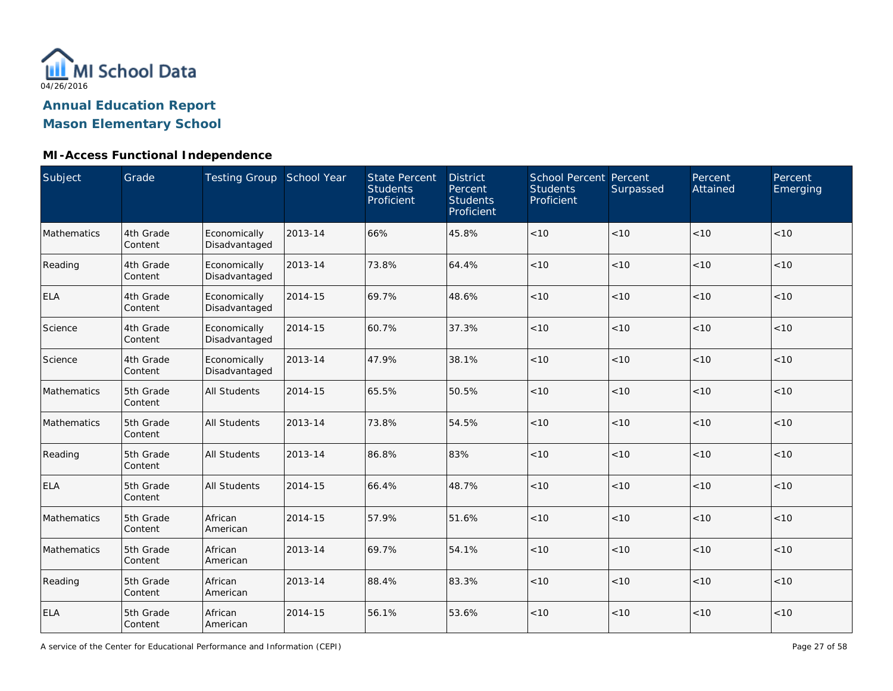

## **MI-Access Functional Independence**

| Subject            | Grade                | Testing Group School Year     |         | <b>State Percent</b><br><b>Students</b><br>Proficient | <b>District</b><br>Percent<br><b>Students</b><br>Proficient | School Percent Percent<br><b>Students</b><br>Proficient | Surpassed | Percent<br>Attained | Percent<br>Emerging |
|--------------------|----------------------|-------------------------------|---------|-------------------------------------------------------|-------------------------------------------------------------|---------------------------------------------------------|-----------|---------------------|---------------------|
| <b>Mathematics</b> | 4th Grade<br>Content | Economically<br>Disadvantaged | 2013-14 | 66%                                                   | 45.8%                                                       | <10                                                     | < 10      | <10                 | < 10                |
| Reading            | 4th Grade<br>Content | Economically<br>Disadvantaged | 2013-14 | 73.8%                                                 | 64.4%                                                       | < 10                                                    | < 10      | < 10                | < 10                |
| <b>ELA</b>         | 4th Grade<br>Content | Economically<br>Disadvantaged | 2014-15 | 69.7%                                                 | 48.6%                                                       | < 10                                                    | < 10      | < 10                | < 10                |
| Science            | 4th Grade<br>Content | Economically<br>Disadvantaged | 2014-15 | 60.7%                                                 | 37.3%                                                       | < 10                                                    | < 10      | < 10                | < 10                |
| Science            | 4th Grade<br>Content | Economically<br>Disadvantaged | 2013-14 | 47.9%                                                 | 38.1%                                                       | < 10                                                    | < 10      | < 10                | < 10                |
| Mathematics        | 5th Grade<br>Content | <b>All Students</b>           | 2014-15 | 65.5%                                                 | 50.5%                                                       | < 10                                                    | < 10      | < 10                | < 10                |
| Mathematics        | 5th Grade<br>Content | <b>All Students</b>           | 2013-14 | 73.8%                                                 | 54.5%                                                       | $<10$                                                   | < 10      | < 10                | < 10                |
| Reading            | 5th Grade<br>Content | <b>All Students</b>           | 2013-14 | 86.8%                                                 | 83%                                                         | $<10$                                                   | < 10      | < 10                | < 10                |
| <b>ELA</b>         | 5th Grade<br>Content | <b>All Students</b>           | 2014-15 | 66.4%                                                 | 48.7%                                                       | < 10                                                    | < 10      | < 10                | < 10                |
| Mathematics        | 5th Grade<br>Content | African<br>American           | 2014-15 | 57.9%                                                 | 51.6%                                                       | < 10                                                    | < 10      | < 10                | < 10                |
| Mathematics        | 5th Grade<br>Content | African<br>American           | 2013-14 | 69.7%                                                 | 54.1%                                                       | < 10                                                    | < 10      | < 10                | < 10                |
| Reading            | 5th Grade<br>Content | African<br>American           | 2013-14 | 88.4%                                                 | 83.3%                                                       | < 10                                                    | < 10      | < 10                | < 10                |
| <b>ELA</b>         | 5th Grade<br>Content | African<br>American           | 2014-15 | 56.1%                                                 | 53.6%                                                       | $<10$                                                   | < 10      | < 10                | $<10$               |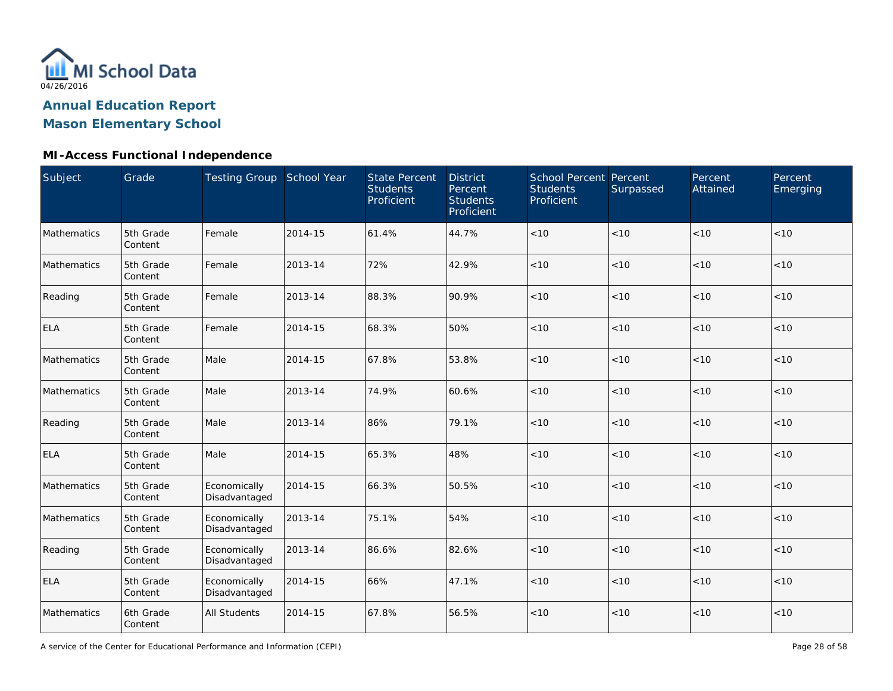

## **Mason Elementary School**

### **MI-Access Functional Independence**

| Subject     | Grade                | Testing Group School Year     |         | <b>State Percent</b><br><b>Students</b><br>Proficient | <b>District</b><br>Percent<br><b>Students</b><br>Proficient | School Percent Percent<br><b>Students</b><br>Proficient | Surpassed | Percent<br>Attained | Percent<br>Emerging |
|-------------|----------------------|-------------------------------|---------|-------------------------------------------------------|-------------------------------------------------------------|---------------------------------------------------------|-----------|---------------------|---------------------|
| Mathematics | 5th Grade<br>Content | Female                        | 2014-15 | 61.4%                                                 | 44.7%                                                       | $<10$                                                   | < 10      | < 10                | < 10                |
| Mathematics | 5th Grade<br>Content | Female                        | 2013-14 | 72%                                                   | 42.9%                                                       | < 10                                                    | < 10      | < 10                | < 10                |
| Reading     | 5th Grade<br>Content | Female                        | 2013-14 | 88.3%                                                 | 90.9%                                                       | < 10                                                    | < 10      | < 10                | $<10$               |
| <b>ELA</b>  | 5th Grade<br>Content | Female                        | 2014-15 | 68.3%                                                 | 50%                                                         | $<10$                                                   | < 10      | < 10                | < 10                |
| Mathematics | 5th Grade<br>Content | Male                          | 2014-15 | 67.8%                                                 | 53.8%                                                       | $<10$                                                   | < 10      | < 10                | < 10                |
| Mathematics | 5th Grade<br>Content | Male                          | 2013-14 | 74.9%                                                 | 60.6%                                                       | $<10$                                                   | < 10      | < 10                | < 10                |
| Reading     | 5th Grade<br>Content | Male                          | 2013-14 | 86%                                                   | 79.1%                                                       | < 10                                                    | < 10      | < 10                | < 10                |
| ELA         | 5th Grade<br>Content | Male                          | 2014-15 | 65.3%                                                 | 48%                                                         | < 10                                                    | < 10      | < 10                | < 10                |
| Mathematics | 5th Grade<br>Content | Economically<br>Disadvantaged | 2014-15 | 66.3%                                                 | 50.5%                                                       | $<10$                                                   | < 10      | < 10                | < 10                |
| Mathematics | 5th Grade<br>Content | Economically<br>Disadvantaged | 2013-14 | 75.1%                                                 | 54%                                                         | $<10$                                                   | < 10      | < 10                | < 10                |
| Reading     | 5th Grade<br>Content | Economically<br>Disadvantaged | 2013-14 | 86.6%                                                 | 82.6%                                                       | $<10$                                                   | < 10      | < 10                | < 10                |
| ELA         | 5th Grade<br>Content | Economically<br>Disadvantaged | 2014-15 | 66%                                                   | 47.1%                                                       | $<10$                                                   | < 10      | < 10                | < 10                |
| Mathematics | 6th Grade<br>Content | <b>All Students</b>           | 2014-15 | 67.8%                                                 | 56.5%                                                       | $<10$                                                   | $<10$     | < 10                | < 10                |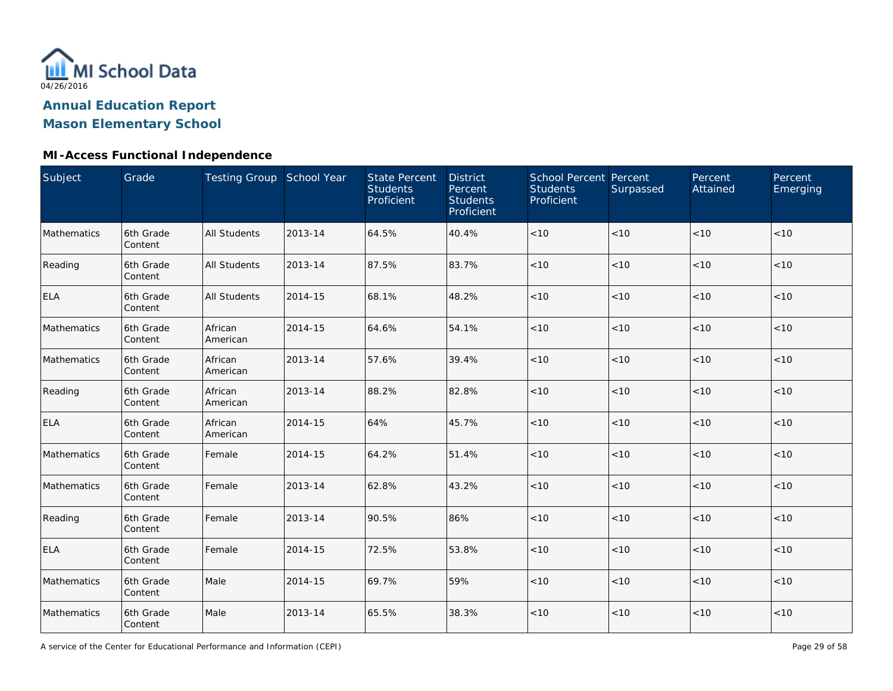

## **Mason Elementary School**

### **MI-Access Functional Independence**

| <b>Subject</b> | Grade                | Testing Group School Year |         | <b>State Percent</b><br><b>Students</b><br>Proficient | <b>District</b><br>Percent<br><b>Students</b><br>Proficient | School Percent Percent<br><b>Students</b><br>Proficient | Surpassed | Percent<br>Attained | Percent<br>Emerging |
|----------------|----------------------|---------------------------|---------|-------------------------------------------------------|-------------------------------------------------------------|---------------------------------------------------------|-----------|---------------------|---------------------|
| Mathematics    | 6th Grade<br>Content | <b>All Students</b>       | 2013-14 | 64.5%                                                 | 40.4%                                                       | $<10$                                                   | < 10      | < 10                | < 10                |
| Reading        | 6th Grade<br>Content | <b>All Students</b>       | 2013-14 | 87.5%                                                 | 83.7%                                                       | $<10$                                                   | < 10      | < 10                | < 10                |
| ELA            | 6th Grade<br>Content | <b>All Students</b>       | 2014-15 | 68.1%                                                 | 48.2%                                                       | < 10                                                    | < 10      | < 10                | < 10                |
| Mathematics    | 6th Grade<br>Content | African<br>American       | 2014-15 | 64.6%                                                 | 54.1%                                                       | $<10$                                                   | < 10      | < 10                | < 10                |
| Mathematics    | 6th Grade<br>Content | African<br>American       | 2013-14 | 57.6%                                                 | 39.4%                                                       | $<10$                                                   | < 10      | < 10                | < 10                |
| Reading        | 6th Grade<br>Content | African<br>American       | 2013-14 | 88.2%                                                 | 82.8%                                                       | $<10$                                                   | < 10      | < 10                | < 10                |
| <b>ELA</b>     | 6th Grade<br>Content | African<br>American       | 2014-15 | 64%                                                   | 45.7%                                                       | $<10$                                                   | < 10      | < 10                | < 10                |
| Mathematics    | 6th Grade<br>Content | Female                    | 2014-15 | 64.2%                                                 | 51.4%                                                       | < 10                                                    | < 10      | < 10                | < 10                |
| Mathematics    | 6th Grade<br>Content | Female                    | 2013-14 | 62.8%                                                 | 43.2%                                                       | < 10                                                    | < 10      | < 10                | < 10                |
| Reading        | 6th Grade<br>Content | Female                    | 2013-14 | 90.5%                                                 | 86%                                                         | < 10                                                    | < 10      | < 10                | < 10                |
| ELA            | 6th Grade<br>Content | Female                    | 2014-15 | 72.5%                                                 | 53.8%                                                       | $<10$                                                   | $<10$     | < 10                | < 10                |
| Mathematics    | 6th Grade<br>Content | Male                      | 2014-15 | 69.7%                                                 | 59%                                                         | $<10$                                                   | $<10$     | < 10                | < 10                |
| Mathematics    | 6th Grade<br>Content | Male                      | 2013-14 | 65.5%                                                 | 38.3%                                                       | < 10                                                    | $<10$     | < 10                | $<10$               |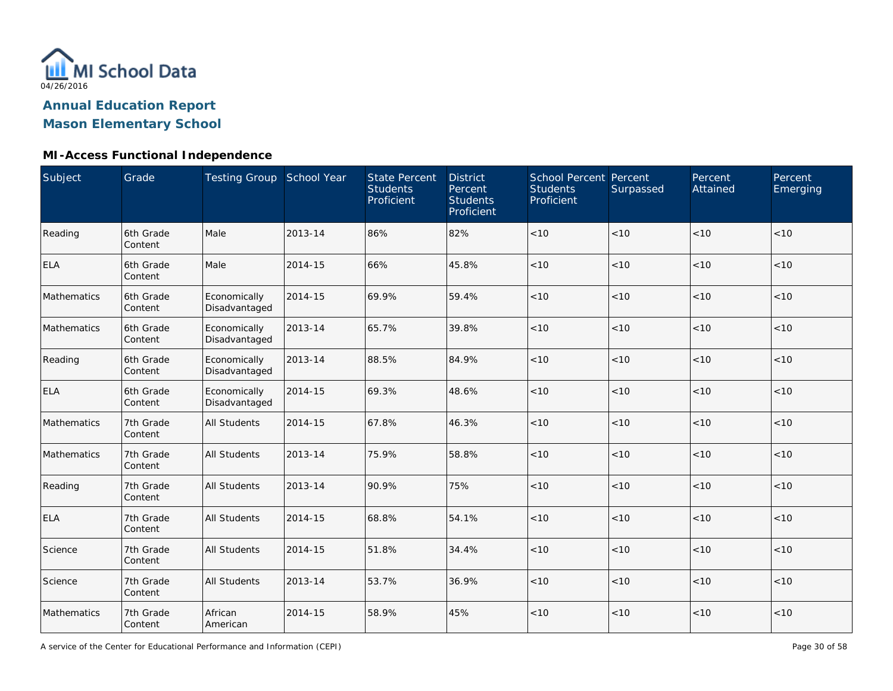

## **Mason Elementary School**

### **MI-Access Functional Independence**

| Subject     | Grade                | Testing Group School Year     |         | <b>State Percent</b><br><b>Students</b><br>Proficient | <b>District</b><br>Percent<br><b>Students</b><br>Proficient | School Percent Percent<br><b>Students</b><br>Proficient | Surpassed | Percent<br>Attained | Percent<br>Emerging |
|-------------|----------------------|-------------------------------|---------|-------------------------------------------------------|-------------------------------------------------------------|---------------------------------------------------------|-----------|---------------------|---------------------|
| Reading     | 6th Grade<br>Content | Male                          | 2013-14 | 86%                                                   | 82%                                                         | $<10$                                                   | < 10      | < 10                | < 10                |
| <b>ELA</b>  | 6th Grade<br>Content | Male                          | 2014-15 | 66%                                                   | 45.8%                                                       | < 10                                                    | < 10      | < 10                | < 10                |
| Mathematics | 6th Grade<br>Content | Economically<br>Disadvantaged | 2014-15 | 69.9%                                                 | 59.4%                                                       | < 10                                                    | < 10      | < 10                | < 10                |
| Mathematics | 6th Grade<br>Content | Economically<br>Disadvantaged | 2013-14 | 65.7%                                                 | 39.8%                                                       | < 10                                                    | < 10      | < 10                | < 10                |
| Reading     | 6th Grade<br>Content | Economically<br>Disadvantaged | 2013-14 | 88.5%                                                 | 84.9%                                                       | < 10                                                    | < 10      | < 10                | < 10                |
| <b>ELA</b>  | 6th Grade<br>Content | Economically<br>Disadvantaged | 2014-15 | 69.3%                                                 | 48.6%                                                       | < 10                                                    | < 10      | < 10                | < 10                |
| Mathematics | 7th Grade<br>Content | All Students                  | 2014-15 | 67.8%                                                 | 46.3%                                                       | < 10                                                    | < 10      | < 10                | < 10                |
| Mathematics | 7th Grade<br>Content | <b>All Students</b>           | 2013-14 | 75.9%                                                 | 58.8%                                                       | < 10                                                    | < 10      | < 10                | < 10                |
| Reading     | 7th Grade<br>Content | <b>All Students</b>           | 2013-14 | 90.9%                                                 | 75%                                                         | < 10                                                    | < 10      | < 10                | < 10                |
| <b>ELA</b>  | 7th Grade<br>Content | <b>All Students</b>           | 2014-15 | 68.8%                                                 | 54.1%                                                       | $<10$                                                   | < 10      | < 10                | < 10                |
| Science     | 7th Grade<br>Content | <b>All Students</b>           | 2014-15 | 51.8%                                                 | 34.4%                                                       | $<10$                                                   | < 10      | < 10                | < 10                |
| Science     | 7th Grade<br>Content | <b>All Students</b>           | 2013-14 | 53.7%                                                 | 36.9%                                                       | $<10$                                                   | < 10      | < 10                | < 10                |
| Mathematics | 7th Grade<br>Content | African<br>American           | 2014-15 | 58.9%                                                 | 45%                                                         | < 10                                                    | < 10      | < 10                | < 10                |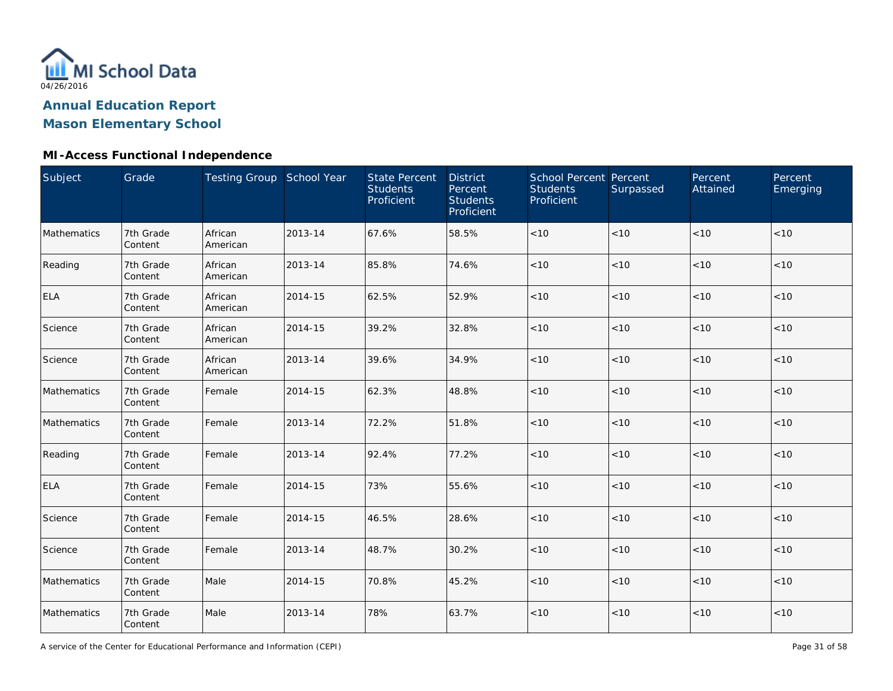

# **Mason Elementary School**

### **MI-Access Functional Independence**

| <b>Subject</b> | Grade                | Testing Group School Year |         | <b>State Percent</b><br><b>Students</b><br>Proficient | <b>District</b><br>Percent<br><b>Students</b><br>Proficient | <b>School Percent Percent</b><br><b>Students</b><br>Proficient | Surpassed | Percent<br>Attained | Percent<br>Emerging |
|----------------|----------------------|---------------------------|---------|-------------------------------------------------------|-------------------------------------------------------------|----------------------------------------------------------------|-----------|---------------------|---------------------|
| Mathematics    | 7th Grade<br>Content | African<br>American       | 2013-14 | 67.6%                                                 | 58.5%                                                       | $<10$                                                          | < 10      | < 10                | < 10                |
| Reading        | 7th Grade<br>Content | African<br>American       | 2013-14 | 85.8%                                                 | 74.6%                                                       | $<10$                                                          | < 10      | < 10                | < 10                |
| <b>ELA</b>     | 7th Grade<br>Content | African<br>American       | 2014-15 | 62.5%                                                 | 52.9%                                                       | $<10$                                                          | < 10      | < 10                | < 10                |
| Science        | 7th Grade<br>Content | African<br>American       | 2014-15 | 39.2%                                                 | 32.8%                                                       | $<10$                                                          | < 10      | < 10                | $<10$               |
| Science        | 7th Grade<br>Content | African<br>American       | 2013-14 | 39.6%                                                 | 34.9%                                                       | < 10                                                           | < 10      | < 10                | < 10                |
| Mathematics    | 7th Grade<br>Content | Female                    | 2014-15 | 62.3%                                                 | 48.8%                                                       | < 10                                                           | < 10      | < 10                | < 10                |
| Mathematics    | 7th Grade<br>Content | Female                    | 2013-14 | 72.2%                                                 | 51.8%                                                       | < 10                                                           | < 10      | < 10                | < 10                |
| Reading        | 7th Grade<br>Content | Female                    | 2013-14 | 92.4%                                                 | 77.2%                                                       | $<10$                                                          | < 10      | < 10                | < 10                |
| <b>ELA</b>     | 7th Grade<br>Content | Female                    | 2014-15 | 73%                                                   | 55.6%                                                       | < 10                                                           | < 10      | < 10                | < 10                |
| Science        | 7th Grade<br>Content | Female                    | 2014-15 | 46.5%                                                 | 28.6%                                                       | $<10$                                                          | < 10      | < 10                | < 10                |
| Science        | 7th Grade<br>Content | Female                    | 2013-14 | 48.7%                                                 | 30.2%                                                       | $<10$                                                          | < 10      | < 10                | < 10                |
| Mathematics    | 7th Grade<br>Content | Male                      | 2014-15 | 70.8%                                                 | 45.2%                                                       | $<10$                                                          | < 10      | < 10                | < 10                |
| Mathematics    | 7th Grade<br>Content | Male                      | 2013-14 | 78%                                                   | 63.7%                                                       | $<10$                                                          | $<10$     | < 10                | < 10                |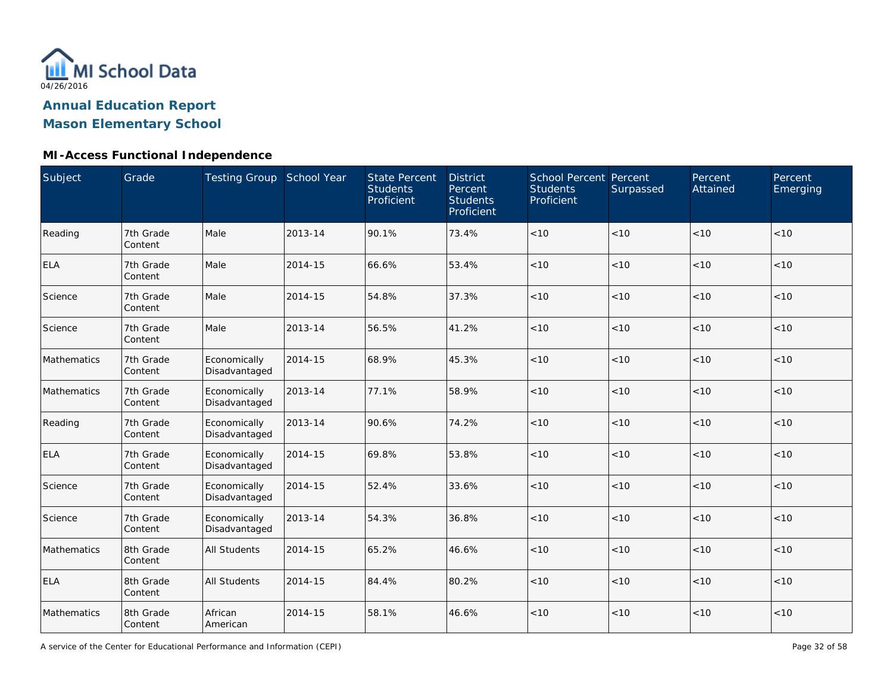

## **Mason Elementary School**

### **MI-Access Functional Independence**

| Subject     | Grade                | Testing Group School Year     |         | <b>State Percent</b><br><b>Students</b><br>Proficient | <b>District</b><br>Percent<br><b>Students</b><br>Proficient | School Percent Percent<br><b>Students</b><br>Proficient | Surpassed | Percent<br>Attained | Percent<br>Emerging |
|-------------|----------------------|-------------------------------|---------|-------------------------------------------------------|-------------------------------------------------------------|---------------------------------------------------------|-----------|---------------------|---------------------|
| Reading     | 7th Grade<br>Content | Male                          | 2013-14 | 90.1%                                                 | 73.4%                                                       | < 10                                                    | < 10      | < 10                | < 10                |
| <b>ELA</b>  | 7th Grade<br>Content | Male                          | 2014-15 | 66.6%                                                 | 53.4%                                                       | < 10                                                    | < 10      | < 10                | < 10                |
| Science     | 7th Grade<br>Content | Male                          | 2014-15 | 54.8%                                                 | 37.3%                                                       | < 10                                                    | < 10      | < 10                | < 10                |
| Science     | 7th Grade<br>Content | Male                          | 2013-14 | 56.5%                                                 | 41.2%                                                       | < 10                                                    | < 10      | < 10                | < 10                |
| Mathematics | 7th Grade<br>Content | Economically<br>Disadvantaged | 2014-15 | 68.9%                                                 | 45.3%                                                       | < 10                                                    | < 10      | < 10                | < 10                |
| Mathematics | 7th Grade<br>Content | Economically<br>Disadvantaged | 2013-14 | 77.1%                                                 | 58.9%                                                       | < 10                                                    | < 10      | < 10                | < 10                |
| Reading     | 7th Grade<br>Content | Economically<br>Disadvantaged | 2013-14 | 90.6%                                                 | 74.2%                                                       | < 10                                                    | < 10      | < 10                | < 10                |
| <b>ELA</b>  | 7th Grade<br>Content | Economically<br>Disadvantaged | 2014-15 | 69.8%                                                 | 53.8%                                                       | < 10                                                    | < 10      | < 10                | < 10                |
| Science     | 7th Grade<br>Content | Economically<br>Disadvantaged | 2014-15 | 52.4%                                                 | 33.6%                                                       | $<10$                                                   | < 10      | < 10                | < 10                |
| Science     | 7th Grade<br>Content | Economically<br>Disadvantaged | 2013-14 | 54.3%                                                 | 36.8%                                                       | $<10$                                                   | < 10      | < 10                | < 10                |
| Mathematics | 8th Grade<br>Content | <b>All Students</b>           | 2014-15 | 65.2%                                                 | 46.6%                                                       | $<10$                                                   | < 10      | < 10                | < 10                |
| <b>ELA</b>  | 8th Grade<br>Content | <b>All Students</b>           | 2014-15 | 84.4%                                                 | 80.2%                                                       | $<10$                                                   | < 10      | < 10                | < 10                |
| Mathematics | 8th Grade<br>Content | African<br>American           | 2014-15 | 58.1%                                                 | 46.6%                                                       | < 10                                                    | < 10      | < 10                | < 10                |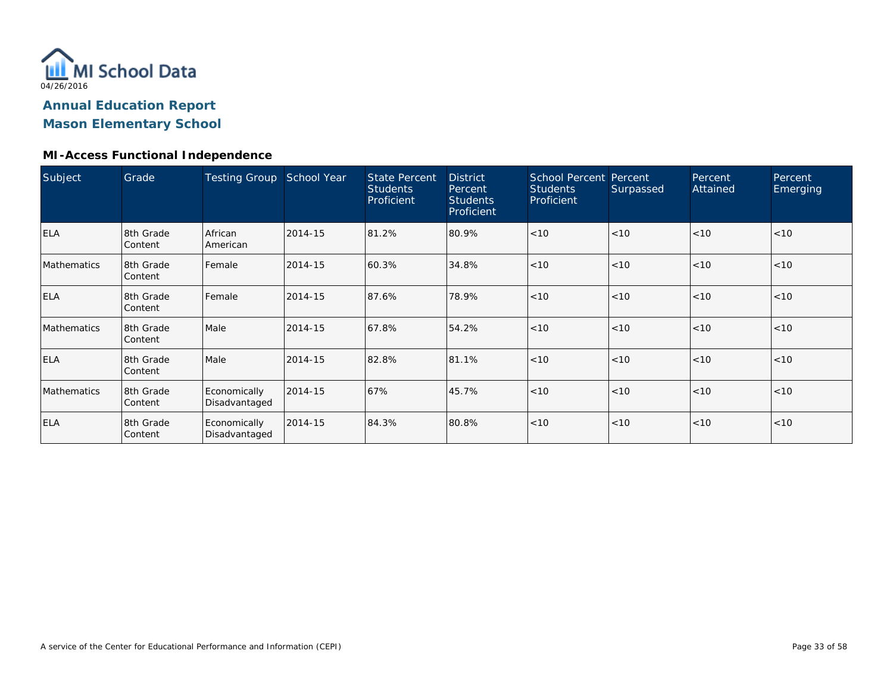

## **Mason Elementary School**

### **MI-Access Functional Independence**

| Subject            | Grade                | <b>Testing Group</b>          | School Year | <b>State Percent</b><br><b>Students</b><br>Proficient | <b>District</b><br>Percent<br><b>Students</b><br>Proficient | <b>School Percent Percent</b><br><b>Students</b><br>Proficient | Surpassed | Percent<br>Attained | Percent<br>Emerging |
|--------------------|----------------------|-------------------------------|-------------|-------------------------------------------------------|-------------------------------------------------------------|----------------------------------------------------------------|-----------|---------------------|---------------------|
| <b>ELA</b>         | 8th Grade<br>Content | African<br>American           | 2014-15     | 81.2%                                                 | 80.9%                                                       | < 10                                                           | < 10      | < 10                | < 10                |
| <b>Mathematics</b> | 8th Grade<br>Content | Female                        | 2014-15     | 60.3%                                                 | 34.8%                                                       | < 10                                                           | < 10      | < 10                | < 10                |
| <b>ELA</b>         | 8th Grade<br>Content | Female                        | 2014-15     | 87.6%                                                 | 78.9%                                                       | < 10                                                           | < 10      | < 10                | < 10                |
| <b>Mathematics</b> | 8th Grade<br>Content | Male                          | 2014-15     | 67.8%                                                 | 54.2%                                                       | < 10                                                           | < 10      | < 10                | < 10                |
| <b>ELA</b>         | 8th Grade<br>Content | Male                          | 2014-15     | 82.8%                                                 | 81.1%                                                       | < 10                                                           | < 10      | < 10                | < 10                |
| Mathematics        | 8th Grade<br>Content | Economically<br>Disadvantaged | 2014-15     | 67%                                                   | 45.7%                                                       | < 10                                                           | < 10      | < 10                | < 10                |
| <b>ELA</b>         | 8th Grade<br>Content | Economically<br>Disadvantaged | 2014-15     | 84.3%                                                 | 80.8%                                                       | < 10                                                           | < 10      | < 10                | < 10                |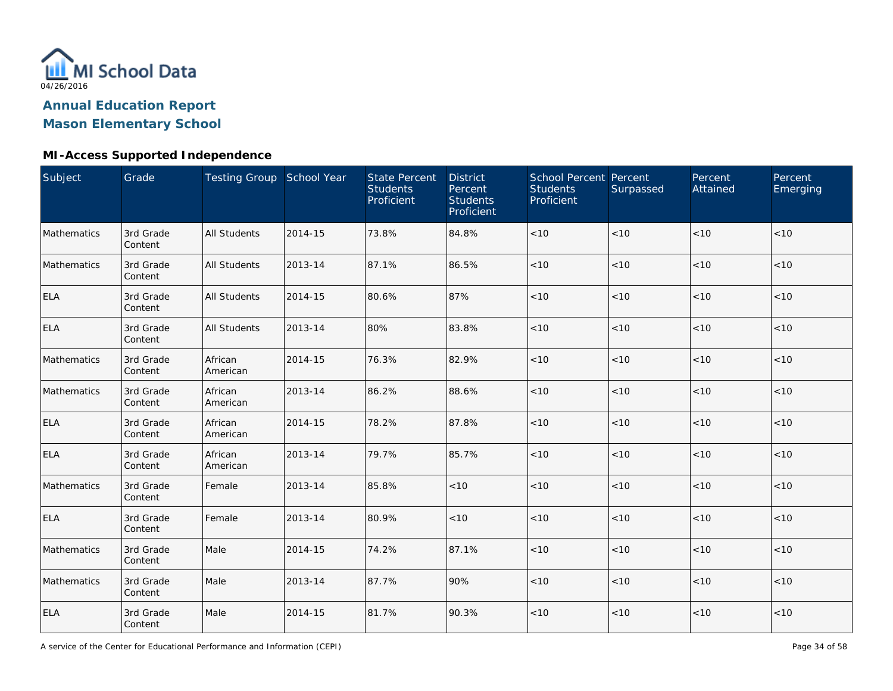

## **Mason Elementary School**

### **MI-Access Supported Independence**

| Subject     | Grade                | Testing Group School Year |         | <b>State Percent</b><br><b>Students</b><br>Proficient | <b>District</b><br>Percent<br><b>Students</b><br>Proficient | <b>School Percent Percent</b><br><b>Students</b><br>Proficient | Surpassed | Percent<br>Attained | Percent<br>Emerging |
|-------------|----------------------|---------------------------|---------|-------------------------------------------------------|-------------------------------------------------------------|----------------------------------------------------------------|-----------|---------------------|---------------------|
| Mathematics | 3rd Grade<br>Content | <b>All Students</b>       | 2014-15 | 73.8%                                                 | 84.8%                                                       | < 10                                                           | < 10      | < 10                | < 10                |
| Mathematics | 3rd Grade<br>Content | <b>All Students</b>       | 2013-14 | 87.1%                                                 | 86.5%                                                       | $<10$                                                          | < 10      | < 10                | $<10$               |
| <b>ELA</b>  | 3rd Grade<br>Content | <b>All Students</b>       | 2014-15 | 80.6%                                                 | 87%                                                         | < 10                                                           | < 10      | < 10                | < 10                |
| <b>ELA</b>  | 3rd Grade<br>Content | <b>All Students</b>       | 2013-14 | 80%                                                   | 83.8%                                                       | $<10$                                                          | < 10      | < 10                | $<10$               |
| Mathematics | 3rd Grade<br>Content | African<br>American       | 2014-15 | 76.3%                                                 | 82.9%                                                       | $<10$                                                          | < 10      | $<10$               | $<10$               |
| Mathematics | 3rd Grade<br>Content | African<br>American       | 2013-14 | 86.2%                                                 | 88.6%                                                       | < 10                                                           | < 10      | < 10                | < 10                |
| <b>ELA</b>  | 3rd Grade<br>Content | African<br>American       | 2014-15 | 78.2%                                                 | 87.8%                                                       | < 10                                                           | < 10      | < 10                | < 10                |
| <b>ELA</b>  | 3rd Grade<br>Content | African<br>American       | 2013-14 | 79.7%                                                 | 85.7%                                                       | < 10                                                           | < 10      | < 10                | < 10                |
| Mathematics | 3rd Grade<br>Content | Female                    | 2013-14 | 85.8%                                                 | < 10                                                        | < 10                                                           | < 10      | < 10                | $<10$               |
| <b>ELA</b>  | 3rd Grade<br>Content | Female                    | 2013-14 | 80.9%                                                 | < 10                                                        | < 10                                                           | < 10      | < 10                | < 10                |
| Mathematics | 3rd Grade<br>Content | Male                      | 2014-15 | 74.2%                                                 | 87.1%                                                       | $<10$                                                          | <10       | $<10$               | $<10$               |
| Mathematics | 3rd Grade<br>Content | Male                      | 2013-14 | 87.7%                                                 | 90%                                                         | $<10$                                                          | < 10      | $<10$               | $<10$               |
| <b>ELA</b>  | 3rd Grade<br>Content | Male                      | 2014-15 | 81.7%                                                 | 90.3%                                                       | < 10                                                           | $<10$     | < 10                | $<10$               |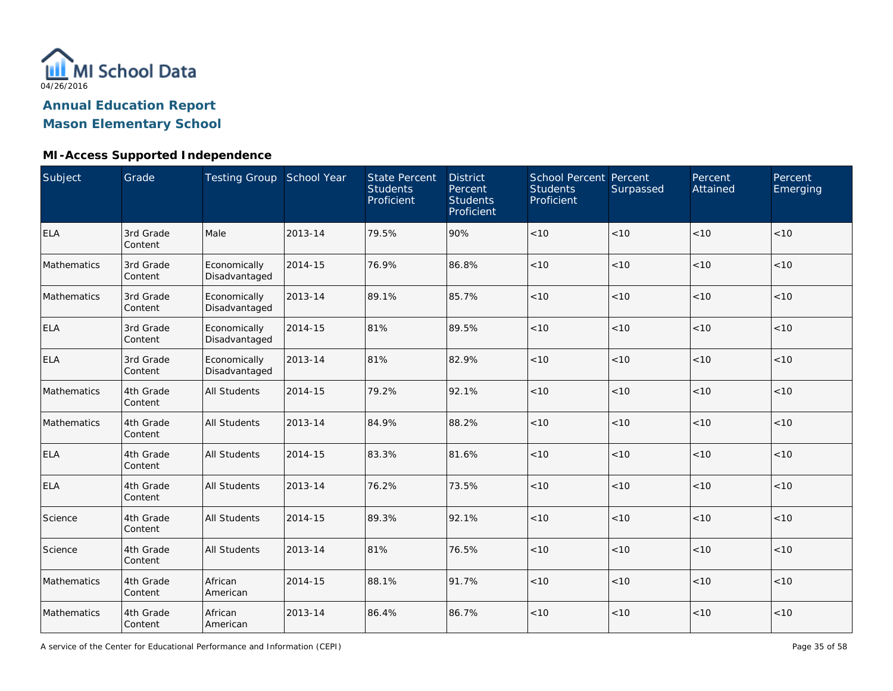

## **Mason Elementary School**

### **MI-Access Supported Independence**

| Subject     | Grade                | Testing Group School Year     |         | <b>State Percent</b><br><b>Students</b><br>Proficient | <b>District</b><br>Percent<br><b>Students</b><br>Proficient | School Percent Percent<br><b>Students</b><br>Proficient | Surpassed | Percent<br>Attained | Percent<br>Emerging |
|-------------|----------------------|-------------------------------|---------|-------------------------------------------------------|-------------------------------------------------------------|---------------------------------------------------------|-----------|---------------------|---------------------|
| <b>ELA</b>  | 3rd Grade<br>Content | Male                          | 2013-14 | 79.5%                                                 | 90%                                                         | < 10                                                    | < 10      | < 10                | < 10                |
| Mathematics | 3rd Grade<br>Content | Economically<br>Disadvantaged | 2014-15 | 76.9%                                                 | 86.8%                                                       | < 10                                                    | <10       | < 10                | < 10                |
| Mathematics | 3rd Grade<br>Content | Economically<br>Disadvantaged | 2013-14 | 89.1%                                                 | 85.7%                                                       | < 10                                                    | <10       | < 10                | < 10                |
| <b>ELA</b>  | 3rd Grade<br>Content | Economically<br>Disadvantaged | 2014-15 | 81%                                                   | 89.5%                                                       | < 10                                                    | <10       | < 10                | < 10                |
| <b>ELA</b>  | 3rd Grade<br>Content | Economically<br>Disadvantaged | 2013-14 | 81%                                                   | 82.9%                                                       | < 10                                                    | <10       | < 10                | < 10                |
| Mathematics | 4th Grade<br>Content | <b>All Students</b>           | 2014-15 | 79.2%                                                 | 92.1%                                                       | $<10$                                                   | <10       | < 10                | $<10$               |
| Mathematics | 4th Grade<br>Content | <b>All Students</b>           | 2013-14 | 84.9%                                                 | 88.2%                                                       | $<10$                                                   | <10       | < 10                | $<10$               |
| <b>ELA</b>  | 4th Grade<br>Content | <b>All Students</b>           | 2014-15 | 83.3%                                                 | 81.6%                                                       | $<10$                                                   | < 10      | < 10                | < 10                |
| <b>ELA</b>  | 4th Grade<br>Content | <b>All Students</b>           | 2013-14 | 76.2%                                                 | 73.5%                                                       | $<10$                                                   | <10       | < 10                | $<10$               |
| Science     | 4th Grade<br>Content | <b>All Students</b>           | 2014-15 | 89.3%                                                 | 92.1%                                                       | $<10$                                                   | <10       | < 10                | < 10                |
| Science     | 4th Grade<br>Content | <b>All Students</b>           | 2013-14 | 81%                                                   | 76.5%                                                       | < 10                                                    | <10       | < 10                | $<10$               |
| Mathematics | 4th Grade<br>Content | African<br>American           | 2014-15 | 88.1%                                                 | 91.7%                                                       | $<10$                                                   | <10       | < 10                | < 10                |
| Mathematics | 4th Grade<br>Content | African<br>American           | 2013-14 | 86.4%                                                 | 86.7%                                                       | $<10$                                                   | <10       | < 10                | < 10                |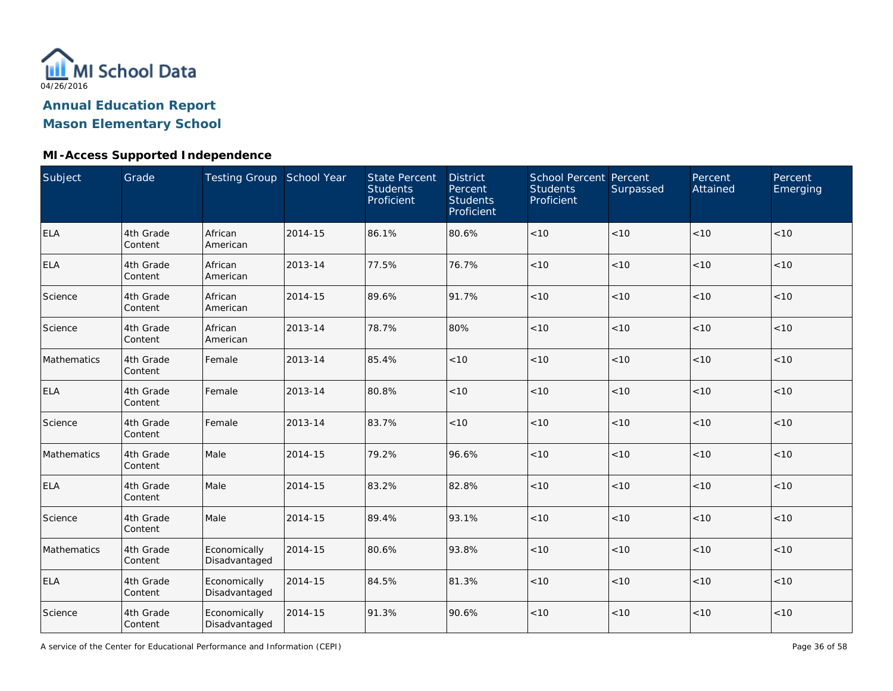

## **Mason Elementary School**

### **MI-Access Supported Independence**

| Subject     | Grade                | Testing Group School Year     |         | <b>State Percent</b><br><b>Students</b><br>Proficient | <b>District</b><br>Percent<br><b>Students</b><br>Proficient | <b>School Percent Percent</b><br><b>Students</b><br>Proficient | Surpassed | Percent<br>Attained | Percent<br>Emerging |
|-------------|----------------------|-------------------------------|---------|-------------------------------------------------------|-------------------------------------------------------------|----------------------------------------------------------------|-----------|---------------------|---------------------|
| <b>ELA</b>  | 4th Grade<br>Content | African<br>American           | 2014-15 | 86.1%                                                 | 80.6%                                                       | < 10                                                           | <10       | < 10                | < 10                |
| <b>ELA</b>  | 4th Grade<br>Content | African<br>American           | 2013-14 | 77.5%                                                 | 76.7%                                                       | < 10                                                           | < 10      | < 10                | < 10                |
| Science     | 4th Grade<br>Content | African<br>American           | 2014-15 | 89.6%                                                 | 91.7%                                                       | $<10$                                                          | < 10      | < 10                | $<10$               |
| Science     | 4th Grade<br>Content | African<br>American           | 2013-14 | 78.7%                                                 | 80%                                                         | $<10$                                                          | < 10      | < 10                | $<10$               |
| Mathematics | 4th Grade<br>Content | Female                        | 2013-14 | 85.4%                                                 | < 10                                                        | < 10                                                           | < 10      | < 10                | < 10                |
| <b>ELA</b>  | 4th Grade<br>Content | Female                        | 2013-14 | 80.8%                                                 | < 10                                                        | < 10                                                           | < 10      | < 10                | < 10                |
| Science     | 4th Grade<br>Content | Female                        | 2013-14 | 83.7%                                                 | < 10                                                        | < 10                                                           | < 10      | < 10                | $<10$               |
| Mathematics | 4th Grade<br>Content | Male                          | 2014-15 | 79.2%                                                 | 96.6%                                                       | < 10                                                           | < 10      | < 10                | < 10                |
| <b>ELA</b>  | 4th Grade<br>Content | Male                          | 2014-15 | 83.2%                                                 | 82.8%                                                       | $<10$                                                          | < 10      | < 10                | < 10                |
| Science     | 4th Grade<br>Content | Male                          | 2014-15 | 89.4%                                                 | 93.1%                                                       | $<10$                                                          | < 10      | < 10                | $<10$               |
| Mathematics | 4th Grade<br>Content | Economically<br>Disadvantaged | 2014-15 | 80.6%                                                 | 93.8%                                                       | $<10$                                                          | < 10      | < 10                | $<10$               |
| <b>ELA</b>  | 4th Grade<br>Content | Economically<br>Disadvantaged | 2014-15 | 84.5%                                                 | 81.3%                                                       | < 10                                                           | < 10      | < 10                | < 10                |
| Science     | 4th Grade<br>Content | Economically<br>Disadvantaged | 2014-15 | 91.3%                                                 | 90.6%                                                       | $<10$                                                          | < 10      | < 10                | $<10$               |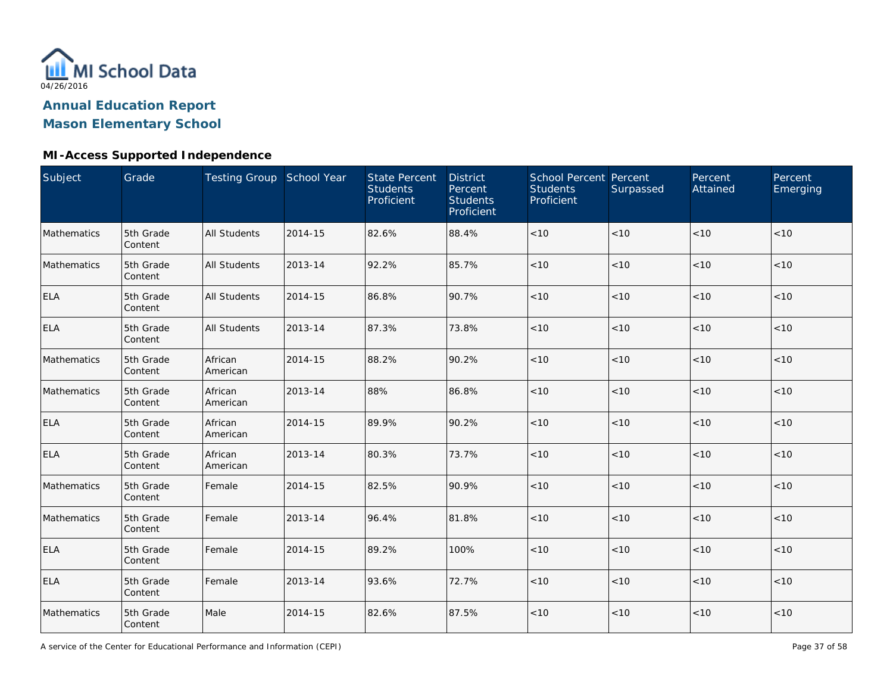

## **Mason Elementary School**

### **MI-Access Supported Independence**

| <b>Subject</b> | Grade                | Testing Group School Year |         | <b>State Percent</b><br><b>Students</b><br>Proficient | <b>District</b><br>Percent<br><b>Students</b><br>Proficient | School Percent Percent<br><b>Students</b><br>Proficient | Surpassed | Percent<br>Attained | Percent<br>Emerging |
|----------------|----------------------|---------------------------|---------|-------------------------------------------------------|-------------------------------------------------------------|---------------------------------------------------------|-----------|---------------------|---------------------|
| Mathematics    | 5th Grade<br>Content | <b>All Students</b>       | 2014-15 | 82.6%                                                 | 88.4%                                                       | $<10$                                                   | <10       | < 10                | < 10                |
| Mathematics    | 5th Grade<br>Content | <b>All Students</b>       | 2013-14 | 92.2%                                                 | 85.7%                                                       | < 10                                                    | <10       | < 10                | < 10                |
| <b>ELA</b>     | 5th Grade<br>Content | <b>All Students</b>       | 2014-15 | 86.8%                                                 | 90.7%                                                       | < 10                                                    | <10       | < 10                | < 10                |
| <b>ELA</b>     | 5th Grade<br>Content | <b>All Students</b>       | 2013-14 | 87.3%                                                 | 73.8%                                                       | < 10                                                    | < 10      | < 10                | < 10                |
| Mathematics    | 5th Grade<br>Content | African<br>American       | 2014-15 | 88.2%                                                 | 90.2%                                                       | < 10                                                    | <10       | < 10                | < 10                |
| Mathematics    | 5th Grade<br>Content | African<br>American       | 2013-14 | 88%                                                   | 86.8%                                                       | $<10$                                                   | <10       | < 10                | $<10$               |
| <b>ELA</b>     | 5th Grade<br>Content | African<br>American       | 2014-15 | 89.9%                                                 | 90.2%                                                       | $<10$                                                   | <10       | < 10                | $<10$               |
| <b>ELA</b>     | 5th Grade<br>Content | African<br>American       | 2013-14 | 80.3%                                                 | 73.7%                                                       | < 10                                                    | < 10      | $<10$               | < 10                |
| Mathematics    | 5th Grade<br>Content | Female                    | 2014-15 | 82.5%                                                 | 90.9%                                                       | $<10$                                                   | <10       | $<10$               | $<10$               |
| Mathematics    | 5th Grade<br>Content | Female                    | 2013-14 | 96.4%                                                 | 81.8%                                                       | $<10$                                                   | <10       | < 10                | < 10                |
| <b>ELA</b>     | 5th Grade<br>Content | Female                    | 2014-15 | 89.2%                                                 | 100%                                                        | $<10$                                                   | <10       | < 10                | $<10$               |
| <b>ELA</b>     | 5th Grade<br>Content | Female                    | 2013-14 | 93.6%                                                 | 72.7%                                                       | $<10$                                                   | <10       | < 10                | < 10                |
| Mathematics    | 5th Grade<br>Content | Male                      | 2014-15 | 82.6%                                                 | 87.5%                                                       | < 10                                                    | < 10      | < 10                | < 10                |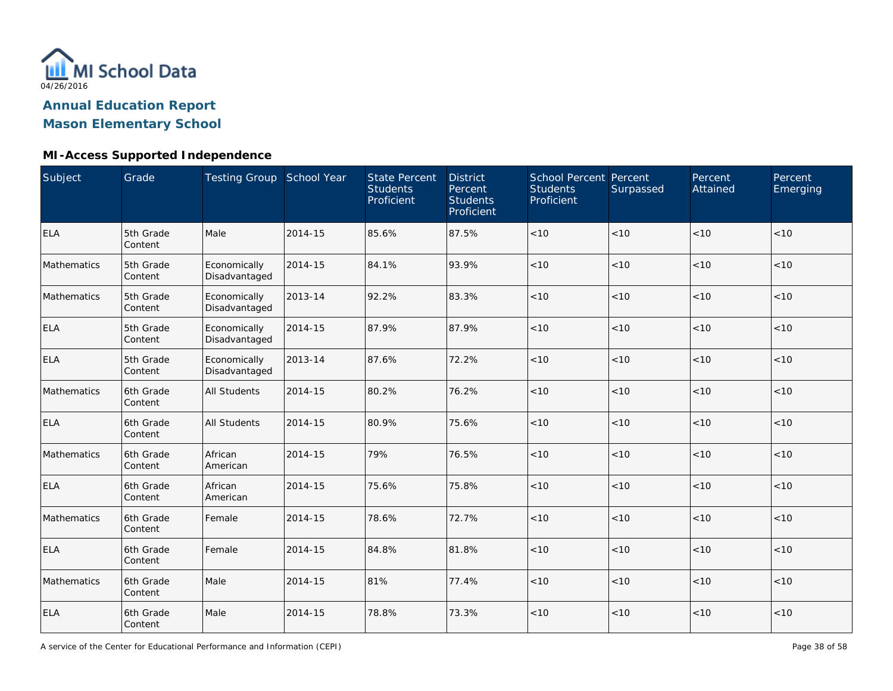

## **Mason Elementary School**

### **MI-Access Supported Independence**

| <b>Subject</b> | Grade                | Testing Group School Year     |         | <b>State Percent</b><br><b>Students</b><br>Proficient | <b>District</b><br>Percent<br><b>Students</b><br>Proficient | School Percent Percent<br><b>Students</b><br>Proficient | Surpassed | Percent<br>Attained | Percent<br>Emerging |
|----------------|----------------------|-------------------------------|---------|-------------------------------------------------------|-------------------------------------------------------------|---------------------------------------------------------|-----------|---------------------|---------------------|
| <b>ELA</b>     | 5th Grade<br>Content | Male                          | 2014-15 | 85.6%                                                 | 87.5%                                                       | < 10                                                    | < 10      | < 10                | < 10                |
| Mathematics    | 5th Grade<br>Content | Economically<br>Disadvantaged | 2014-15 | 84.1%                                                 | 93.9%                                                       | < 10                                                    | <10       | < 10                | < 10                |
| Mathematics    | 5th Grade<br>Content | Economically<br>Disadvantaged | 2013-14 | 92.2%                                                 | 83.3%                                                       | < 10                                                    | <10       | < 10                | < 10                |
| <b>ELA</b>     | 5th Grade<br>Content | Economically<br>Disadvantaged | 2014-15 | 87.9%                                                 | 87.9%                                                       | < 10                                                    | < 10      | < 10                | < 10                |
| <b>ELA</b>     | 5th Grade<br>Content | Economically<br>Disadvantaged | 2013-14 | 87.6%                                                 | 72.2%                                                       | < 10                                                    | <10       | < 10                | < 10                |
| Mathematics    | 6th Grade<br>Content | <b>All Students</b>           | 2014-15 | 80.2%                                                 | 76.2%                                                       | < 10                                                    | <10       | < 10                | $<10$               |
| <b>ELA</b>     | 6th Grade<br>Content | <b>All Students</b>           | 2014-15 | 80.9%                                                 | 75.6%                                                       | < 10                                                    | <10       | < 10                | < 10                |
| Mathematics    | 6th Grade<br>Content | African<br>American           | 2014-15 | 79%                                                   | 76.5%                                                       | $<10$                                                   | < 10      | < 10                | < 10                |
| <b>ELA</b>     | 6th Grade<br>Content | African<br>American           | 2014-15 | 75.6%                                                 | 75.8%                                                       | $<10$                                                   | <10       | $<10$               | $<10$               |
| Mathematics    | 6th Grade<br>Content | Female                        | 2014-15 | 78.6%                                                 | 72.7%                                                       | < 10                                                    | <10       | < 10                | < 10                |
| <b>ELA</b>     | 6th Grade<br>Content | Female                        | 2014-15 | 84.8%                                                 | 81.8%                                                       | $<10$                                                   | <10       | < 10                | $<10$               |
| Mathematics    | 6th Grade<br>Content | Male                          | 2014-15 | 81%                                                   | 77.4%                                                       | < 10                                                    | <10       | < 10                | < 10                |
| <b>ELA</b>     | 6th Grade<br>Content | Male                          | 2014-15 | 78.8%                                                 | 73.3%                                                       | $<10$                                                   | <10       | < 10                | $<10$               |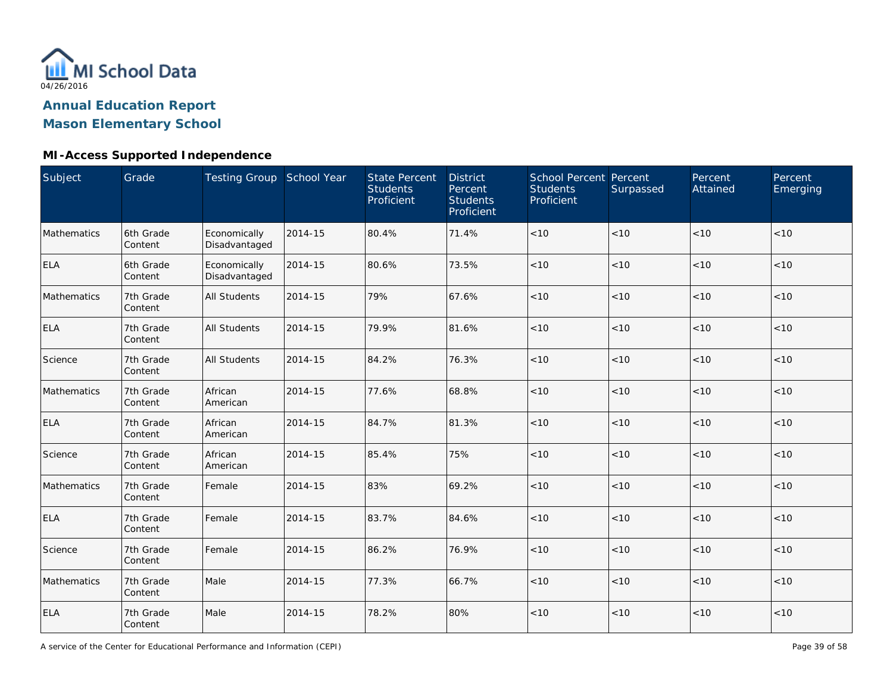

# **Mason Elementary School**

### **MI-Access Supported Independence**

| Subject     | Grade                | Testing Group School Year     |         | <b>State Percent</b><br><b>Students</b><br>Proficient | <b>District</b><br>Percent<br><b>Students</b><br>Proficient | School Percent Percent<br><b>Students</b><br>Proficient | Surpassed | Percent<br>Attained | Percent<br>Emerging |
|-------------|----------------------|-------------------------------|---------|-------------------------------------------------------|-------------------------------------------------------------|---------------------------------------------------------|-----------|---------------------|---------------------|
| Mathematics | 6th Grade<br>Content | Economically<br>Disadvantaged | 2014-15 | 80.4%                                                 | 71.4%                                                       | $<10$                                                   | < 10      | < 10                | < 10                |
| <b>ELA</b>  | 6th Grade<br>Content | Economically<br>Disadvantaged | 2014-15 | 80.6%                                                 | 73.5%                                                       | $<10$                                                   | < 10      | < 10                | < 10                |
| Mathematics | 7th Grade<br>Content | <b>All Students</b>           | 2014-15 | 79%                                                   | 67.6%                                                       | $<10$                                                   | < 10      | < 10                | < 10                |
| <b>ELA</b>  | 7th Grade<br>Content | All Students                  | 2014-15 | 79.9%                                                 | 81.6%                                                       | $<10$                                                   | < 10      | <10                 | < 10                |
| Science     | 7th Grade<br>Content | <b>All Students</b>           | 2014-15 | 84.2%                                                 | 76.3%                                                       | < 10                                                    | < 10      | < 10                | < 10                |
| Mathematics | 7th Grade<br>Content | African<br>American           | 2014-15 | 77.6%                                                 | 68.8%                                                       | < 10                                                    | < 10      | < 10                | < 10                |
| <b>ELA</b>  | 7th Grade<br>Content | African<br>American           | 2014-15 | 84.7%                                                 | 81.3%                                                       | < 10                                                    | < 10      | < 10                | < 10                |
| Science     | 7th Grade<br>Content | African<br>American           | 2014-15 | 85.4%                                                 | 75%                                                         | $<10$                                                   | < 10      | < 10                | < 10                |
| Mathematics | 7th Grade<br>Content | Female                        | 2014-15 | 83%                                                   | 69.2%                                                       | < 10                                                    | < 10      | < 10                | < 10                |
| <b>ELA</b>  | 7th Grade<br>Content | Female                        | 2014-15 | 83.7%                                                 | 84.6%                                                       | $<10$                                                   | < 10      | < 10                | < 10                |
| Science     | 7th Grade<br>Content | Female                        | 2014-15 | 86.2%                                                 | 76.9%                                                       | < 10                                                    | < 10      | < 10                | < 10                |
| Mathematics | 7th Grade<br>Content | Male                          | 2014-15 | 77.3%                                                 | 66.7%                                                       | $<10$                                                   | < 10      | < 10                | < 10                |
| <b>ELA</b>  | 7th Grade<br>Content | Male                          | 2014-15 | 78.2%                                                 | 80%                                                         | < 10                                                    | $<10$     | < 10                | < 10                |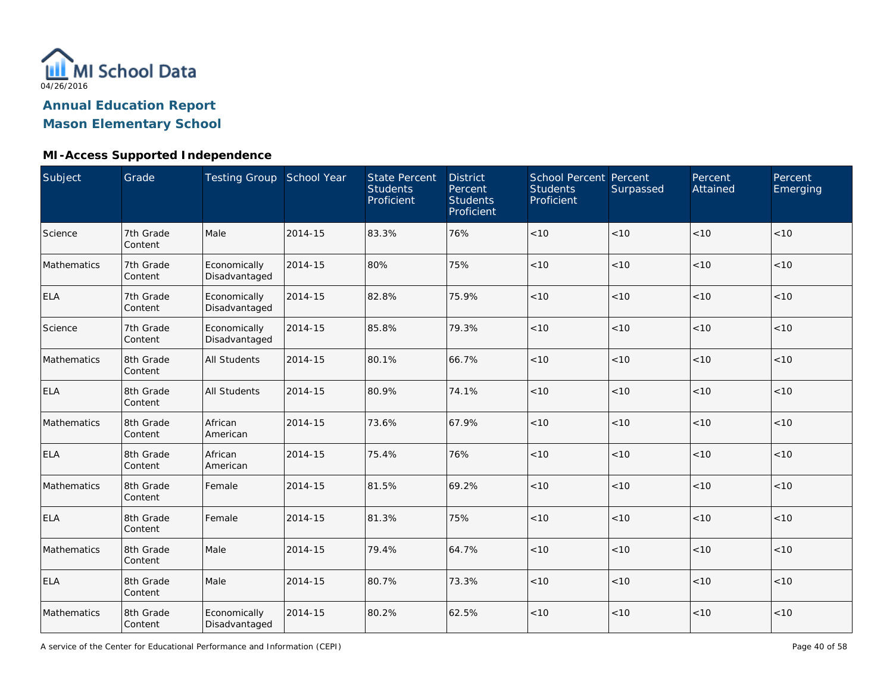

## **Mason Elementary School**

### **MI-Access Supported Independence**

| Subject     | Grade                | Testing Group School Year     |         | <b>State Percent</b><br><b>Students</b><br>Proficient | <b>District</b><br>Percent<br><b>Students</b><br>Proficient | <b>School Percent Percent</b><br><b>Students</b><br>Proficient | Surpassed | Percent<br>Attained | Percent<br>Emerging |
|-------------|----------------------|-------------------------------|---------|-------------------------------------------------------|-------------------------------------------------------------|----------------------------------------------------------------|-----------|---------------------|---------------------|
| Science     | 7th Grade<br>Content | Male                          | 2014-15 | 83.3%                                                 | 76%                                                         | < 10                                                           | < 10      | < 10                | < 10                |
| Mathematics | 7th Grade<br>Content | Economically<br>Disadvantaged | 2014-15 | 80%                                                   | 75%                                                         | < 10                                                           | < 10      | < 10                | < 10                |
| <b>ELA</b>  | 7th Grade<br>Content | Economically<br>Disadvantaged | 2014-15 | 82.8%                                                 | 75.9%                                                       | < 10                                                           | < 10      | < 10                | < 10                |
| Science     | 7th Grade<br>Content | Economically<br>Disadvantaged | 2014-15 | 85.8%                                                 | 79.3%                                                       | < 10                                                           | < 10      | < 10                | < 10                |
| Mathematics | 8th Grade<br>Content | All Students                  | 2014-15 | 80.1%                                                 | 66.7%                                                       | < 10                                                           | < 10      | < 10                | < 10                |
| <b>ELA</b>  | 8th Grade<br>Content | <b>All Students</b>           | 2014-15 | 80.9%                                                 | 74.1%                                                       | $<10$                                                          | <10       | < 10                | $<10$               |
| Mathematics | 8th Grade<br>Content | African<br>American           | 2014-15 | 73.6%                                                 | 67.9%                                                       | $<10$                                                          | < 10      | < 10                | $<10$               |
| <b>ELA</b>  | 8th Grade<br>Content | African<br>American           | 2014-15 | 75.4%                                                 | 76%                                                         | $<10$                                                          | < 10      | < 10                | < 10                |
| Mathematics | 8th Grade<br>Content | Female                        | 2014-15 | 81.5%                                                 | 69.2%                                                       | $<10$                                                          | < 10      | < 10                | $<10$               |
| <b>ELA</b>  | 8th Grade<br>Content | Female                        | 2014-15 | 81.3%                                                 | 75%                                                         | < 10                                                           | < 10      | < 10                | < 10                |
| Mathematics | 8th Grade<br>Content | Male                          | 2014-15 | 79.4%                                                 | 64.7%                                                       | $<10$                                                          | < 10      | < 10                | $<10$               |
| <b>ELA</b>  | 8th Grade<br>Content | Male                          | 2014-15 | 80.7%                                                 | 73.3%                                                       | $<10$                                                          | < 10      | < 10                | < 10                |
| Mathematics | 8th Grade<br>Content | Economically<br>Disadvantaged | 2014-15 | 80.2%                                                 | 62.5%                                                       | < 10                                                           | < 10      | < 10                | < 10                |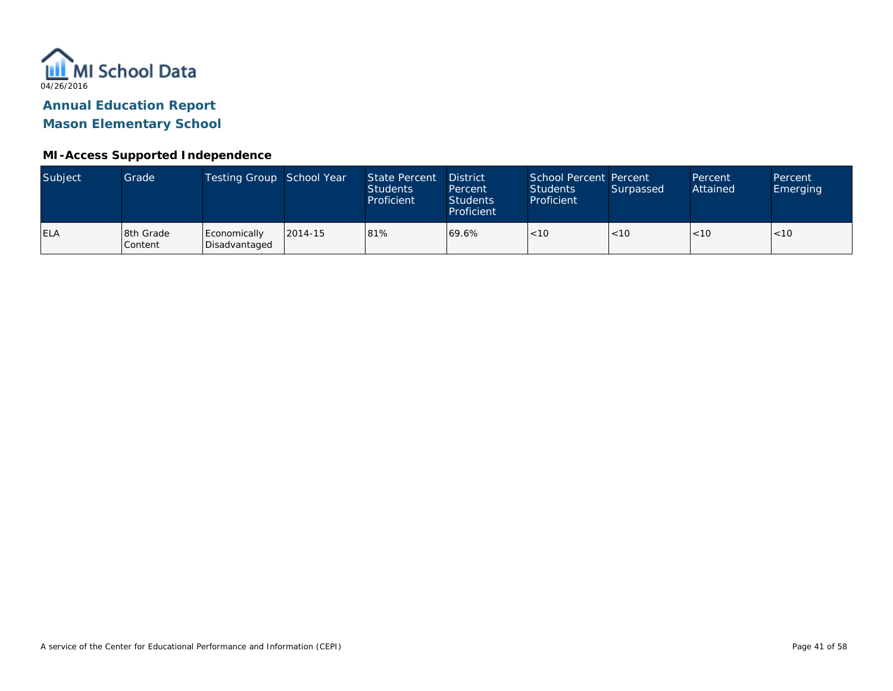

**Mason Elementary School**

#### **MI-Access Supported Independence**

| Subject    | Grade                | Testing Group School Year     |         | <b>State Percent</b><br><b>Students</b><br>Proficient | <b>District</b><br>Percent<br><b>Students</b><br>Proficient | School Percent Percent<br><b>Students</b><br>Proficient | Surpassed | Percent<br>Attained | Percent<br>Emerging |
|------------|----------------------|-------------------------------|---------|-------------------------------------------------------|-------------------------------------------------------------|---------------------------------------------------------|-----------|---------------------|---------------------|
| <b>ELA</b> | 8th Grade<br>Content | Economically<br>Disadvantaged | 2014-15 | 81%                                                   | 69.6%                                                       | < 10                                                    | < 10      | < 10                | < 10                |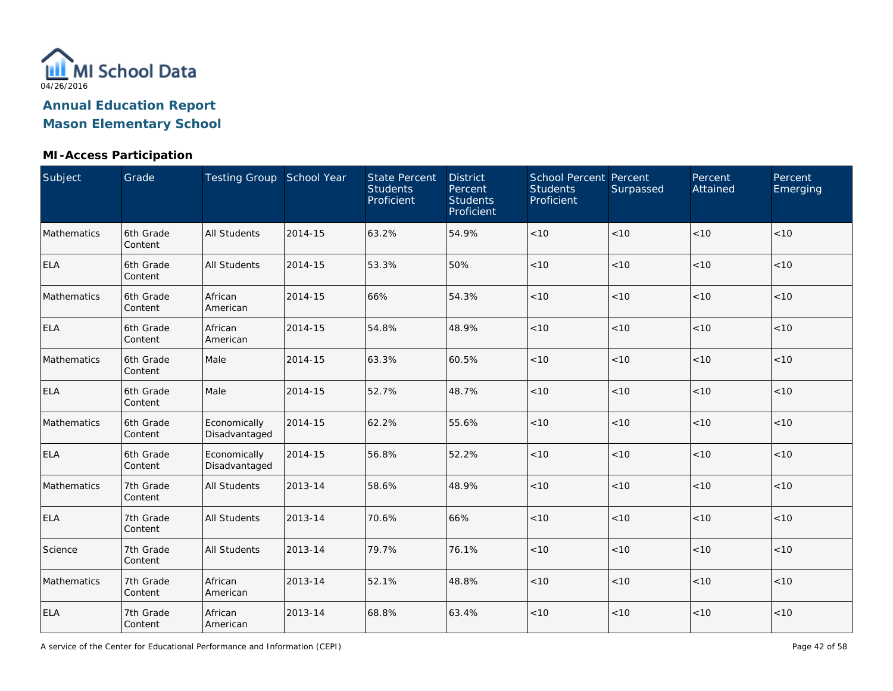

### **MI-Access Participation**

| Subject     | Grade                | Testing Group School Year     |         | <b>State Percent</b><br><b>Students</b><br>Proficient | <b>District</b><br>Percent<br><b>Students</b><br>Proficient | School Percent Percent<br><b>Students</b><br>Proficient | Surpassed | Percent<br>Attained | Percent<br>Emerging |
|-------------|----------------------|-------------------------------|---------|-------------------------------------------------------|-------------------------------------------------------------|---------------------------------------------------------|-----------|---------------------|---------------------|
| Mathematics | 6th Grade<br>Content | <b>All Students</b>           | 2014-15 | 63.2%                                                 | 54.9%                                                       | < 10                                                    | < 10      | < 10                | < 10                |
| <b>ELA</b>  | 6th Grade<br>Content | <b>All Students</b>           | 2014-15 | 53.3%                                                 | 50%                                                         | < 10                                                    | < 10      | < 10                | < 10                |
| Mathematics | 6th Grade<br>Content | African<br>American           | 2014-15 | 66%                                                   | 54.3%                                                       | < 10                                                    | < 10      | < 10                | < 10                |
| <b>ELA</b>  | 6th Grade<br>Content | African<br>American           | 2014-15 | 54.8%                                                 | 48.9%                                                       | < 10                                                    | < 10      | < 10                | < 10                |
| Mathematics | 6th Grade<br>Content | Male                          | 2014-15 | 63.3%                                                 | 60.5%                                                       | < 10                                                    | < 10      | < 10                | < 10                |
| <b>ELA</b>  | 6th Grade<br>Content | Male                          | 2014-15 | 52.7%                                                 | 48.7%                                                       | $<10$                                                   | < 10      | < 10                | < 10                |
| Mathematics | 6th Grade<br>Content | Economically<br>Disadvantaged | 2014-15 | 62.2%                                                 | 55.6%                                                       | < 10                                                    | < 10      | < 10                | < 10                |
| <b>ELA</b>  | 6th Grade<br>Content | Economically<br>Disadvantaged | 2014-15 | 56.8%                                                 | 52.2%                                                       | < 10                                                    | < 10      | < 10                | < 10                |
| Mathematics | 7th Grade<br>Content | <b>All Students</b>           | 2013-14 | 58.6%                                                 | 48.9%                                                       | $<10$                                                   | < 10      | < 10                | < 10                |
| <b>ELA</b>  | 7th Grade<br>Content | <b>All Students</b>           | 2013-14 | 70.6%                                                 | 66%                                                         | $<10$                                                   | < 10      | < 10                | < 10                |
| Science     | 7th Grade<br>Content | <b>All Students</b>           | 2013-14 | 79.7%                                                 | 76.1%                                                       | $<10$                                                   | < 10      | < 10                | < 10                |
| Mathematics | 7th Grade<br>Content | African<br>American           | 2013-14 | 52.1%                                                 | 48.8%                                                       | $<10$                                                   | < 10      | < 10                | < 10                |
| ELA         | 7th Grade<br>Content | African<br>American           | 2013-14 | 68.8%                                                 | 63.4%                                                       | $<10$                                                   | < 10      | < 10                | < 10                |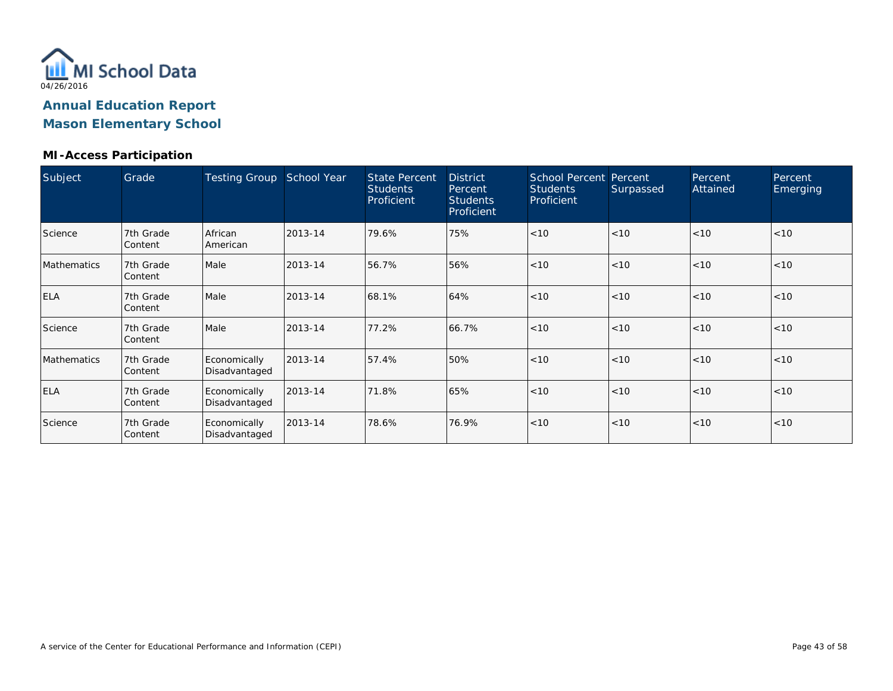

#### **MI-Access Participation**

| Subject            | Grade                | <b>Testing Group</b>          | School Year | <b>State Percent</b><br><b>Students</b><br>Proficient | <b>District</b><br>Percent<br><b>Students</b><br>Proficient | <b>School Percent Percent</b><br><b>Students</b><br>Proficient | Surpassed | Percent<br>Attained | Percent<br>Emerging |
|--------------------|----------------------|-------------------------------|-------------|-------------------------------------------------------|-------------------------------------------------------------|----------------------------------------------------------------|-----------|---------------------|---------------------|
| Science            | 7th Grade<br>Content | African<br>American           | 2013-14     | 79.6%                                                 | 75%                                                         | $ $ < 10                                                       | < 10      | < 10                | < 10                |
| <b>Mathematics</b> | 7th Grade<br>Content | Male                          | 2013-14     | 56.7%                                                 | 56%                                                         | < 10                                                           | < 10      | < 10                | < 10                |
| <b>ELA</b>         | 7th Grade<br>Content | Male                          | 2013-14     | 68.1%                                                 | 64%                                                         | < 10                                                           | < 10      | < 10                | < 10                |
| Science            | 7th Grade<br>Content | Male                          | 2013-14     | 77.2%                                                 | 66.7%                                                       | < 10                                                           | < 10      | < 10                | < 10                |
| Mathematics        | 7th Grade<br>Content | Economically<br>Disadvantaged | 2013-14     | 57.4%                                                 | 50%                                                         | < 10                                                           | < 10      | < 10                | < 10                |
| <b>ELA</b>         | 7th Grade<br>Content | Economically<br>Disadvantaged | 2013-14     | 71.8%                                                 | 65%                                                         | < 10                                                           | < 10      | < 10                | < 10                |
| Science            | 7th Grade<br>Content | Economically<br>Disadvantaged | 2013-14     | 78.6%                                                 | 76.9%                                                       | < 10                                                           | < 10      | < 10                | < 10                |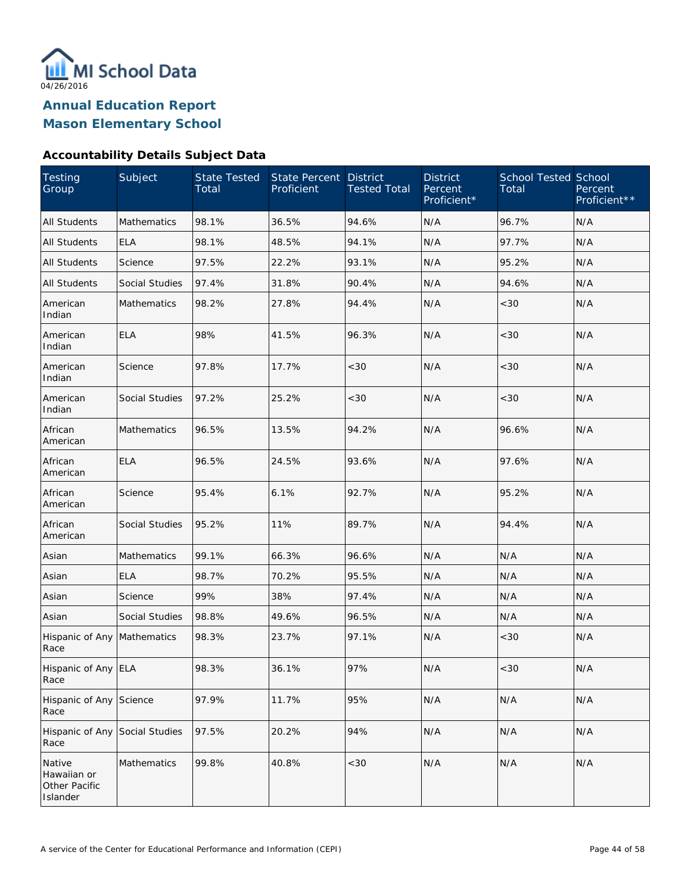

**Mason Elementary School**

#### **Accountability Details Subject Data**

| Testing<br>Group                                   | Subject            | <b>State Tested</b><br>Total | State Percent<br>Proficient | <b>District</b><br><b>Tested Total</b> | <b>District</b><br>Percent<br>Proficient* | <b>School Tested School</b><br>Total | Percent<br>Proficient** |
|----------------------------------------------------|--------------------|------------------------------|-----------------------------|----------------------------------------|-------------------------------------------|--------------------------------------|-------------------------|
| <b>All Students</b>                                | <b>Mathematics</b> | 98.1%                        | 36.5%                       | 94.6%                                  | N/A                                       | 96.7%                                | N/A                     |
| <b>All Students</b>                                | <b>ELA</b>         | 98.1%                        | 48.5%                       | 94.1%                                  | N/A                                       | 97.7%                                | N/A                     |
| <b>All Students</b>                                | Science            | 97.5%                        | 22.2%                       | 93.1%                                  | N/A                                       | 95.2%                                | N/A                     |
| <b>All Students</b>                                | Social Studies     | 97.4%                        | 31.8%                       | 90.4%                                  | N/A                                       | 94.6%                                | N/A                     |
| American<br>Indian                                 | <b>Mathematics</b> | 98.2%                        | 27.8%                       | 94.4%                                  | N/A                                       | <30                                  | N/A                     |
| American<br>Indian                                 | <b>ELA</b>         | 98%                          | 41.5%                       | 96.3%                                  | N/A                                       | <30                                  | N/A                     |
| American<br>Indian                                 | Science            | 97.8%                        | 17.7%                       | <30                                    | N/A                                       | <30                                  | N/A                     |
| American<br>Indian                                 | Social Studies     | 97.2%                        | 25.2%                       | <30                                    | N/A                                       | <30                                  | N/A                     |
| African<br>American                                | <b>Mathematics</b> | 96.5%                        | 13.5%                       | 94.2%                                  | N/A                                       | 96.6%                                | N/A                     |
| African<br>American                                | <b>ELA</b>         | 96.5%                        | 24.5%                       | 93.6%                                  | N/A                                       | 97.6%                                | N/A                     |
| African<br>American                                | Science            | 95.4%                        | 6.1%                        | 92.7%                                  | N/A                                       | 95.2%                                | N/A                     |
| African<br>American                                | Social Studies     | 95.2%                        | 11%                         | 89.7%                                  | N/A                                       | 94.4%                                | N/A                     |
| Asian                                              | Mathematics        | 99.1%                        | 66.3%                       | 96.6%                                  | N/A                                       | N/A                                  | N/A                     |
| Asian                                              | <b>ELA</b>         | 98.7%                        | 70.2%                       | 95.5%                                  | N/A                                       | N/A                                  | N/A                     |
| Asian                                              | Science            | 99%                          | 38%                         | 97.4%                                  | N/A                                       | N/A                                  | N/A                     |
| Asian                                              | Social Studies     | 98.8%                        | 49.6%                       | 96.5%                                  | N/A                                       | N/A                                  | N/A                     |
| Hispanic of Any Mathematics<br>Race                |                    | 98.3%                        | 23.7%                       | 97.1%                                  | N/A                                       | <30                                  | N/A                     |
| Hispanic of Any ELA<br>Race                        |                    | 98.3%                        | 36.1%                       | 97%                                    | N/A                                       | < 30                                 | N/A                     |
| Hispanic of Any Science<br>Race                    |                    | 97.9%                        | 11.7%                       | 95%                                    | N/A                                       | N/A                                  | N/A                     |
| Hispanic of Any<br>Race                            | Social Studies     | 97.5%                        | 20.2%                       | 94%                                    | N/A                                       | N/A                                  | N/A                     |
| Native<br>Hawaiian or<br>Other Pacific<br>Islander | Mathematics        | 99.8%                        | 40.8%                       | <30                                    | N/A                                       | N/A                                  | N/A                     |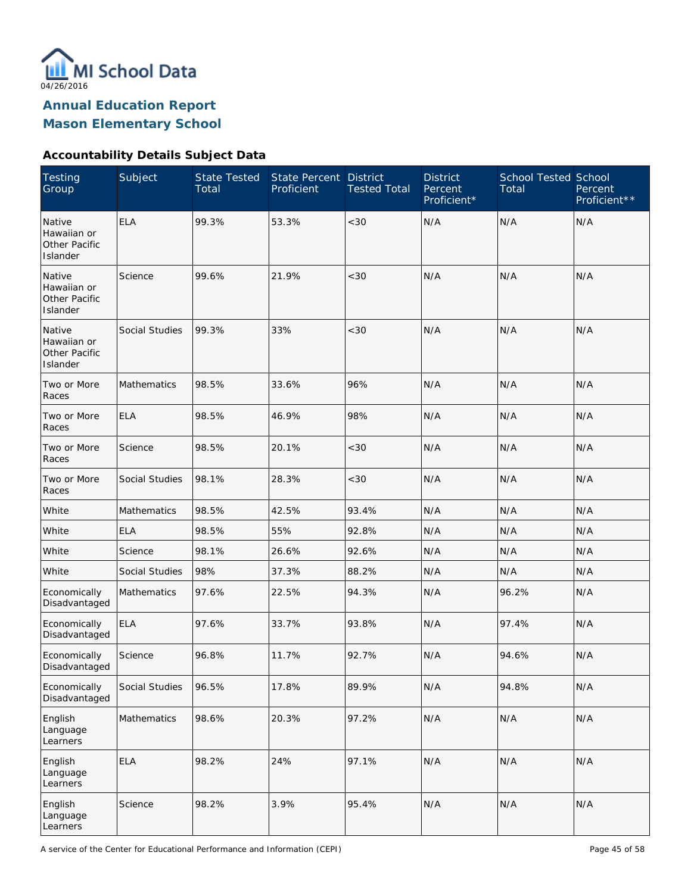

**Mason Elementary School**

#### **Accountability Details Subject Data**

| <b>Testing</b><br>Group                            | Subject            | <b>State Tested</b><br>Total | State Percent<br>Proficient | <b>District</b><br><b>Tested Total</b> | <b>District</b><br>Percent<br>Proficient* | <b>School Tested School</b><br>Total | Percent<br>Proficient** |
|----------------------------------------------------|--------------------|------------------------------|-----------------------------|----------------------------------------|-------------------------------------------|--------------------------------------|-------------------------|
| Native<br>Hawaiian or<br>Other Pacific<br>Islander | <b>ELA</b>         | 99.3%                        | 53.3%                       | < 30                                   | N/A                                       | N/A                                  | N/A                     |
| Native<br>Hawaiian or<br>Other Pacific<br>Islander | Science            | 99.6%                        | 21.9%                       | < 30                                   | N/A                                       | N/A                                  | N/A                     |
| Native<br>Hawaiian or<br>Other Pacific<br>Islander | Social Studies     | 99.3%                        | 33%                         | < 30                                   | N/A                                       | N/A                                  | N/A                     |
| Two or More<br>Races                               | Mathematics        | 98.5%                        | 33.6%                       | 96%                                    | N/A                                       | N/A                                  | N/A                     |
| Two or More<br>Races                               | <b>ELA</b>         | 98.5%                        | 46.9%                       | 98%                                    | N/A                                       | N/A                                  | N/A                     |
| Two or More<br>Races                               | Science            | 98.5%                        | 20.1%                       | $<30$                                  | N/A                                       | N/A                                  | N/A                     |
| Two or More<br>Races                               | Social Studies     | 98.1%                        | 28.3%                       | $<30$                                  | N/A                                       | N/A                                  | N/A                     |
| White                                              | <b>Mathematics</b> | 98.5%                        | 42.5%                       | 93.4%                                  | N/A                                       | N/A                                  | N/A                     |
| White                                              | <b>ELA</b>         | 98.5%                        | 55%                         | 92.8%                                  | N/A                                       | N/A                                  | N/A                     |
| White                                              | Science            | 98.1%                        | 26.6%                       | 92.6%                                  | N/A                                       | N/A                                  | N/A                     |
| White                                              | Social Studies     | 98%                          | 37.3%                       | 88.2%                                  | N/A                                       | N/A                                  | N/A                     |
| Economically<br>Disadvantaged                      | <b>Mathematics</b> | 97.6%                        | 22.5%                       | 94.3%                                  | N/A                                       | 96.2%                                | N/A                     |
| Economically<br>Disadvantaged                      | <b>ELA</b>         | 97.6%                        | 33.7%                       | 93.8%                                  | N/A                                       | 97.4%                                | N/A                     |
| Economically<br>Disadvantaged                      | Science            | 96.8%                        | 11.7%                       | 92.7%                                  | N/A                                       | 94.6%                                | N/A                     |
| Economically<br>Disadvantaged                      | Social Studies     | 96.5%                        | 17.8%                       | 89.9%                                  | N/A                                       | 94.8%                                | N/A                     |
| English<br>Language<br>Learners                    | Mathematics        | 98.6%                        | 20.3%                       | 97.2%                                  | N/A                                       | N/A                                  | N/A                     |
| English<br>Language<br>Learners                    | <b>ELA</b>         | 98.2%                        | 24%                         | 97.1%                                  | N/A                                       | N/A                                  | N/A                     |
| English<br>Language<br>Learners                    | Science            | 98.2%                        | 3.9%                        | 95.4%                                  | N/A                                       | N/A                                  | N/A                     |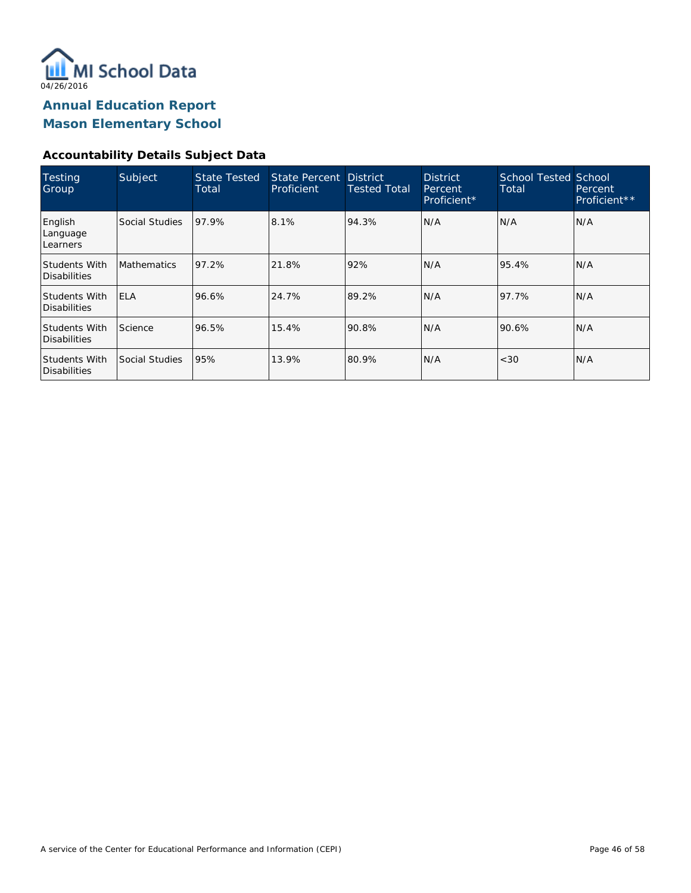

**Mason Elementary School**

### **Accountability Details Subject Data**

| Testing<br>Group                     | Subject            | <b>State Tested</b><br>Total | State Percent District<br>Proficient | <b>Tested Total</b> | <b>District</b><br>Percent<br>Proficient* | <b>School Tested School</b><br>Total | <b>Percent</b><br>Proficient** |
|--------------------------------------|--------------------|------------------------------|--------------------------------------|---------------------|-------------------------------------------|--------------------------------------|--------------------------------|
| English<br>Language<br>Learners      | Social Studies     | 97.9%                        | 8.1%                                 | 94.3%               | N/A                                       | N/A                                  | N/A                            |
| <b>Students With</b><br>Disabilities | <b>Mathematics</b> | 97.2%                        | 21.8%                                | 92%                 | N/A                                       | 95.4%                                | N/A                            |
| Students With<br>Disabilities        | <b>IELA</b>        | 96.6%                        | 24.7%                                | 89.2%               | N/A                                       | 97.7%                                | IN/A                           |
| <b>Students With</b><br>Disabilities | Science            | 96.5%                        | 15.4%                                | 90.8%               | N/A                                       | 90.6%                                | N/A                            |
| Students With<br>Disabilities        | Social Studies     | 95%                          | 13.9%                                | 80.9%               | N/A                                       | < 30                                 | N/A                            |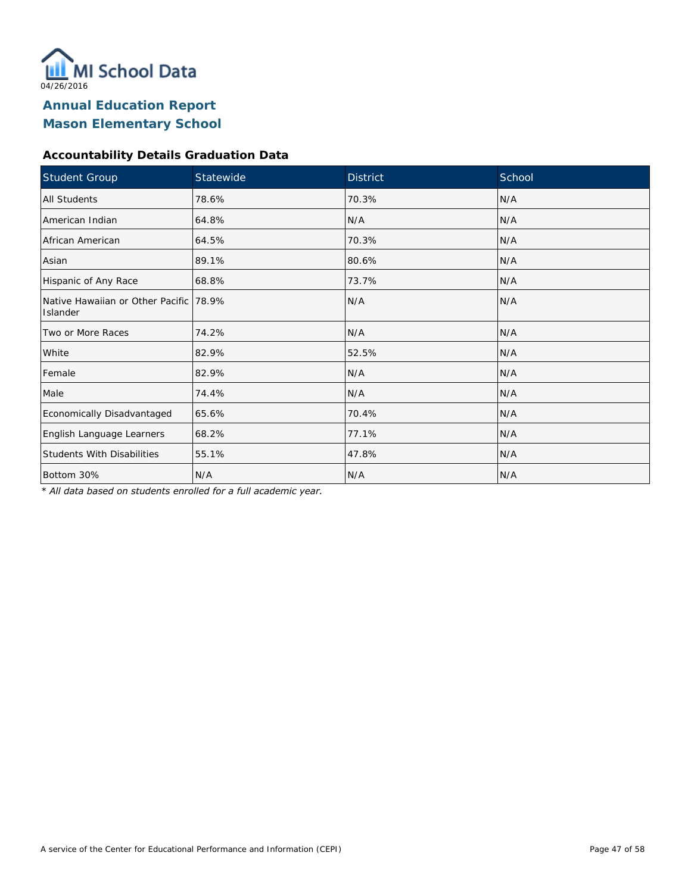

### **Accountability Details Graduation Data**

| Student Group                                      | Statewide | <b>District</b> | School |
|----------------------------------------------------|-----------|-----------------|--------|
| <b>All Students</b>                                | 78.6%     | 70.3%           | N/A    |
| American Indian                                    | 64.8%     | N/A             | N/A    |
| African American                                   | 64.5%     | 70.3%           | N/A    |
| Asian                                              | 89.1%     | 80.6%           | N/A    |
| Hispanic of Any Race                               | 68.8%     | 73.7%           | N/A    |
| Native Hawaiian or Other Pacific 78.9%<br>Islander |           | N/A             | N/A    |
| Two or More Races                                  | 74.2%     | N/A             | N/A    |
| White                                              | 82.9%     | 52.5%           | N/A    |
| Female                                             | 82.9%     | N/A             | N/A    |
| Male                                               | 74.4%     | N/A             | N/A    |
| Economically Disadvantaged                         | 65.6%     | 70.4%           | N/A    |
| English Language Learners                          | 68.2%     | 77.1%           | N/A    |
| <b>Students With Disabilities</b>                  | 55.1%     | 47.8%           | N/A    |
| Bottom 30%                                         | N/A       | N/A             | N/A    |

*\* All data based on students enrolled for a full academic year.*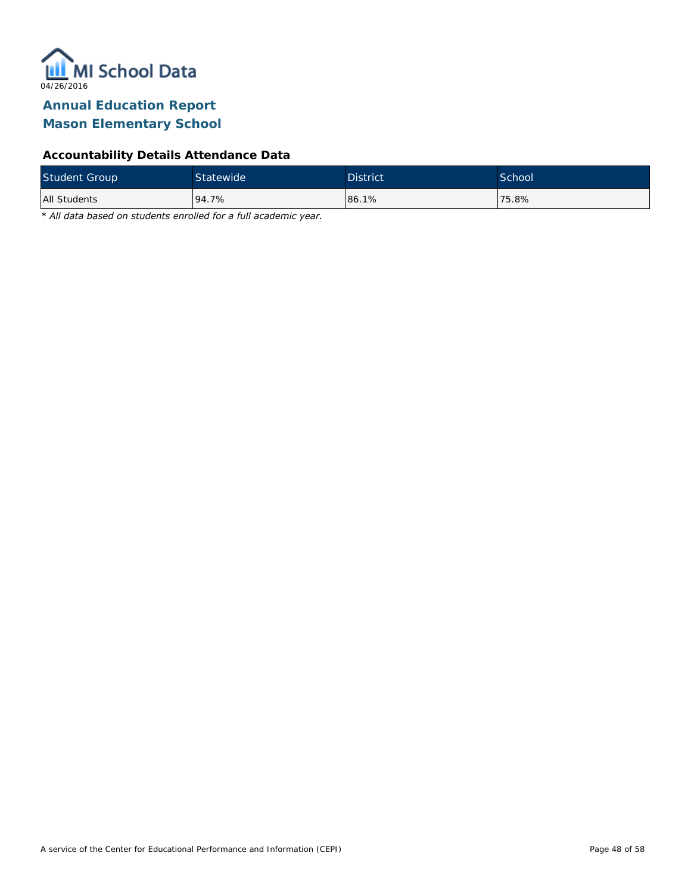

## **Mason Elementary School**

#### **Accountability Details Attendance Data**

| <b>Student Group</b> | Statewide | <b>District</b> | School <sup>'</sup> |
|----------------------|-----------|-----------------|---------------------|
| All Students         | 94.7%     | 86.1%           | 75.8%               |

*\* All data based on students enrolled for a full academic year.*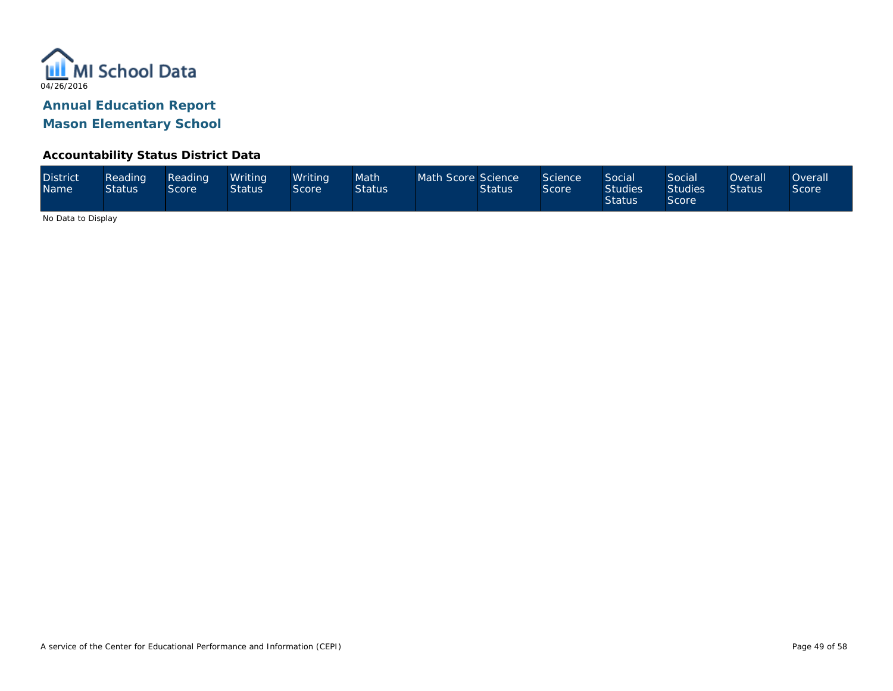

#### **Accountability Status District Data**

| <b>District</b><br><b>Name</b> | Reading<br><b>Status</b> | Reading<br>Score | Writing<br><b>Status</b> | Writina<br>Score | Math<br><b>Status</b> | Math Score Science | <b>Status</b> | Science<br>Score | <b>Social</b><br><b>Studies</b><br><b>Status</b> | Social<br><b>Studies</b><br><b>Score</b> | <b>Overall</b><br><b>Status</b> | Overall<br><b>Score</b> |
|--------------------------------|--------------------------|------------------|--------------------------|------------------|-----------------------|--------------------|---------------|------------------|--------------------------------------------------|------------------------------------------|---------------------------------|-------------------------|
|--------------------------------|--------------------------|------------------|--------------------------|------------------|-----------------------|--------------------|---------------|------------------|--------------------------------------------------|------------------------------------------|---------------------------------|-------------------------|

No Data to Display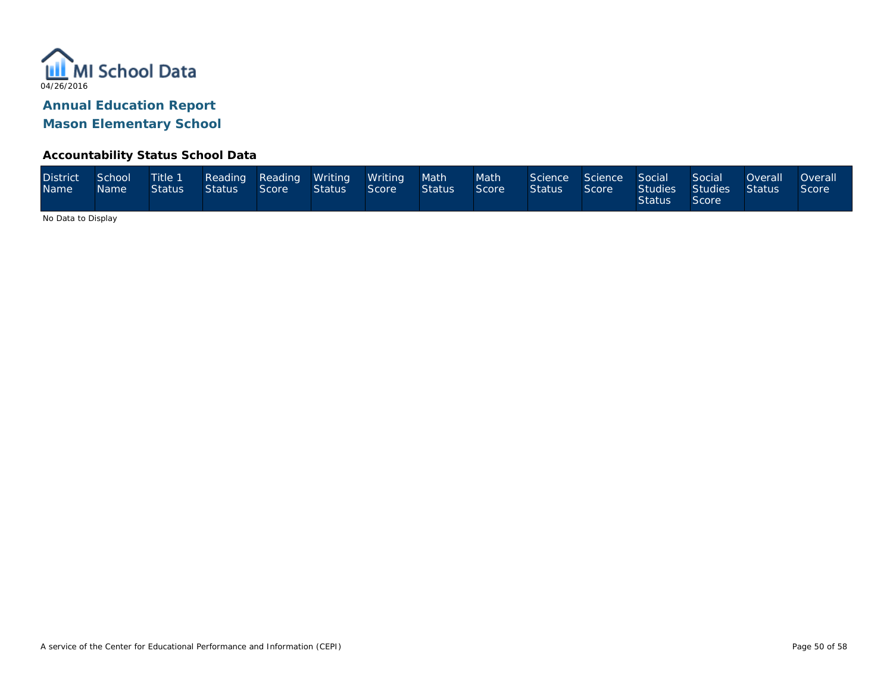

#### **Accountability Status School Data**

| <b>District</b><br><b>Name</b> | School<br>Name <sup>1</sup> | Title 1<br><b>Status</b> | Status 1 | Reading Reading Writing<br>Score | <b>Status</b> | / Writing<br>Score | Math <sup>1</sup><br>Status | Math <sup>1</sup><br>Score <sup>1</sup> | Science Science<br><b>Status</b> | Score | Social<br>Studies<br><b>Status</b> | Social<br>Studies<br>Score | <b>Overall</b><br>Status | <b>Overall</b><br><i><b>Score</b></i> |
|--------------------------------|-----------------------------|--------------------------|----------|----------------------------------|---------------|--------------------|-----------------------------|-----------------------------------------|----------------------------------|-------|------------------------------------|----------------------------|--------------------------|---------------------------------------|
|--------------------------------|-----------------------------|--------------------------|----------|----------------------------------|---------------|--------------------|-----------------------------|-----------------------------------------|----------------------------------|-------|------------------------------------|----------------------------|--------------------------|---------------------------------------|

No Data to Display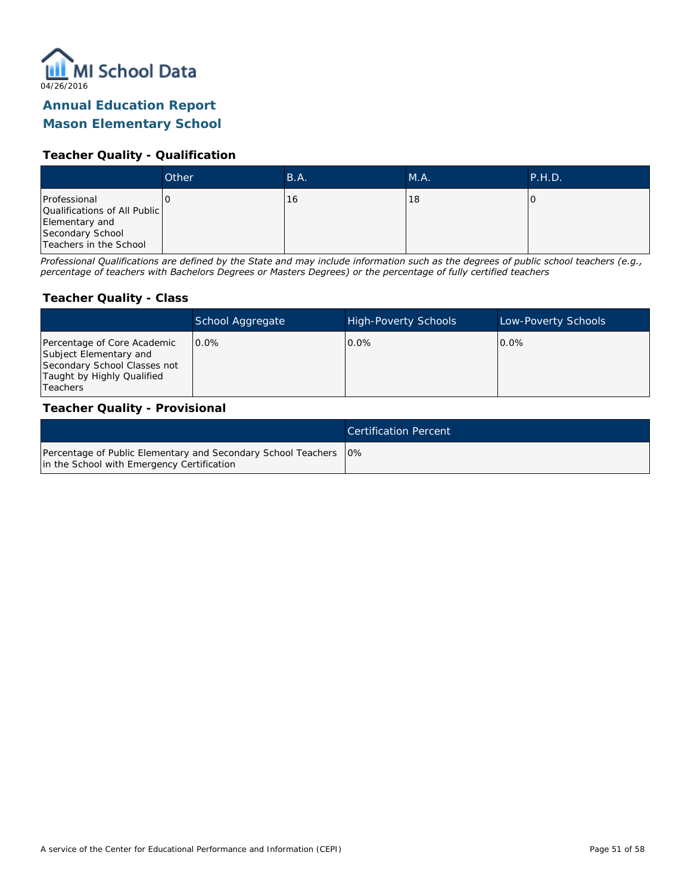

### **Mason Elementary School**

#### **Teacher Quality - Qualification**

|                                                                                                              | Other | B.A. | M.A. | <b>P.H.D.</b> |
|--------------------------------------------------------------------------------------------------------------|-------|------|------|---------------|
| Professional<br>Qualifications of All Public<br>Elementary and<br>Secondary School<br>Teachers in the School |       | 16   | 18   |               |

*Professional Qualifications are defined by the State and may include information such as the degrees of public school teachers (e.g., percentage of teachers with Bachelors Degrees or Masters Degrees) or the percentage of fully certified teachers*

#### **Teacher Quality - Class**

|                                                                                                                                   | School Aggregate | <b>High-Poverty Schools</b> | Low-Poverty Schools |
|-----------------------------------------------------------------------------------------------------------------------------------|------------------|-----------------------------|---------------------|
| Percentage of Core Academic<br>Subject Elementary and<br>Secondary School Classes not<br>Taught by Highly Qualified<br>l Teachers | $0.0\%$          | $0.0\%$                     | $0.0\%$             |

#### **Teacher Quality - Provisional**

|                                                                                                                  | Certification Percent |
|------------------------------------------------------------------------------------------------------------------|-----------------------|
| Percentage of Public Elementary and Secondary School Teachers   0%<br>in the School with Emergency Certification |                       |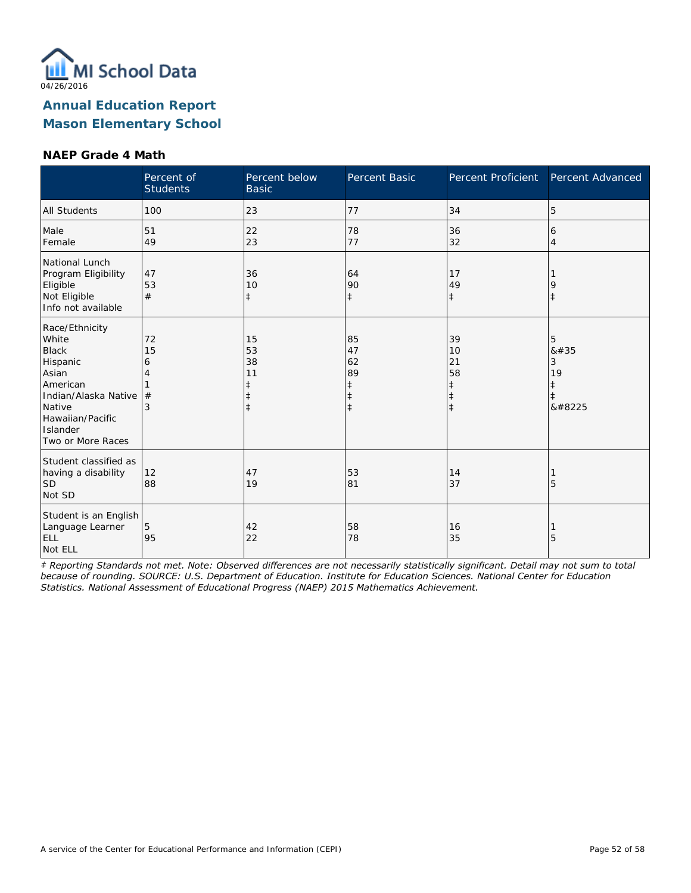

#### **NAEP Grade 4 Math**

|                                                                                                                                                                 | Percent of<br><b>Students</b> | Percent below<br><b>Basic</b>           | Percent Basic                                         | Percent Proficient                                             | Percent Advanced                     |
|-----------------------------------------------------------------------------------------------------------------------------------------------------------------|-------------------------------|-----------------------------------------|-------------------------------------------------------|----------------------------------------------------------------|--------------------------------------|
| <b>All Students</b>                                                                                                                                             | 100                           | 23                                      | 77                                                    | 34                                                             | 5                                    |
| Male<br>Female                                                                                                                                                  | 51<br>49                      | 22<br>23                                | 78<br>77                                              | 36<br>32                                                       | 6<br>$\overline{4}$                  |
| National Lunch<br>Program Eligibility<br>Eligible<br>Not Eligible<br>Info not available                                                                         | 47<br>53<br>#                 | 36<br>10<br>$\ddagger$                  | 64<br>90<br>$\ddagger$                                | 17<br>49<br>$\ddagger$                                         | 9<br>$\ddagger$                      |
| Race/Ethnicity<br>White<br><b>Black</b><br>Hispanic<br>Asian<br>American<br>Indian/Alaska Native<br>Native<br>Hawaiian/Pacific<br>Islander<br>Two or More Races | 72<br>15<br>6<br>#            | 15<br>53<br>38<br>11<br>$\ddagger$<br>ŧ | 85<br>47<br>62<br>89<br>$\ddagger$<br>ŧ<br>$\ddagger$ | 39<br>10<br>21<br>58<br>$\ddagger$<br>$\ddagger$<br>$\ddagger$ | 5<br>#<br>3<br>19<br>$\ddagger$<br>‡ |
| Student classified as<br>having a disability<br>SD<br>Not SD                                                                                                    | 12<br>88                      | 47<br>19                                | 53<br>81                                              | 14<br>37                                                       | 5                                    |
| Student is an English<br>Language Learner<br><b>ELL</b><br>Not ELL                                                                                              | 5<br>95                       | 42<br>22                                | 58<br>78                                              | 16<br>35                                                       | 5                                    |

*‡ Reporting Standards not met. Note: Observed differences are not necessarily statistically significant. Detail may not sum to total because of rounding. SOURCE: U.S. Department of Education. Institute for Education Sciences. National Center for Education Statistics. National Assessment of Educational Progress (NAEP) 2015 Mathematics Achievement.*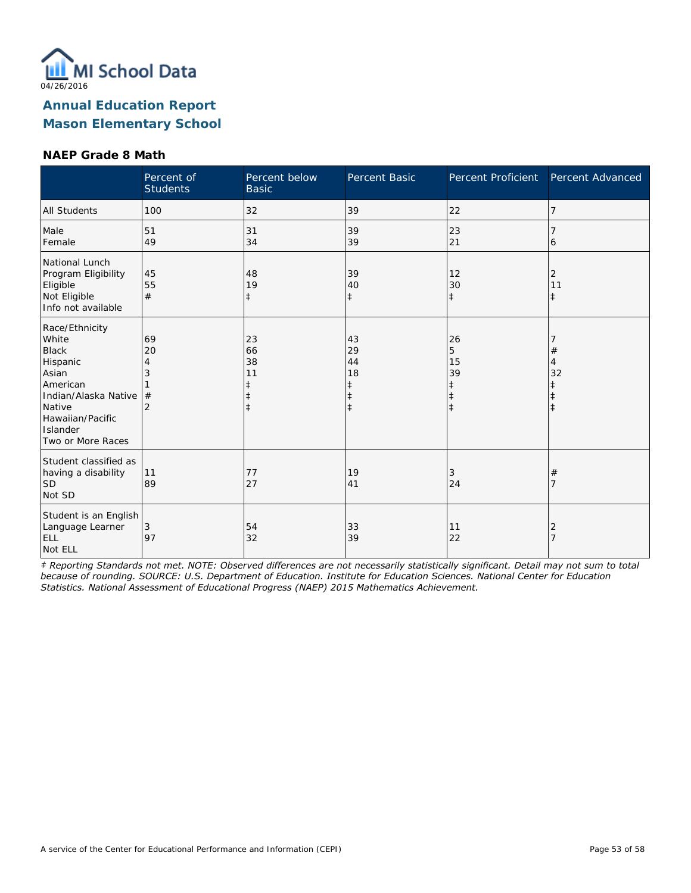

#### **NAEP Grade 8 Math**

|                                                                                                                                                                 | Percent of<br><b>Students</b> | Percent below<br><b>Basic</b>                    | Percent Basic                                    | Percent Proficient                                   | Percent Advanced      |
|-----------------------------------------------------------------------------------------------------------------------------------------------------------------|-------------------------------|--------------------------------------------------|--------------------------------------------------|------------------------------------------------------|-----------------------|
| <b>All Students</b>                                                                                                                                             | 100                           | 32                                               | 39                                               | 22                                                   | 7                     |
| Male<br>Female                                                                                                                                                  | 51<br>49                      | 31<br>34                                         | 39<br>39                                         | 23<br>21                                             | 6                     |
| National Lunch<br>Program Eligibility<br>Eligible<br>Not Eligible<br>Info not available                                                                         | 45<br>55<br>#                 | 48<br>19<br>$\ddagger$                           | 39<br>40<br>$\ddagger$                           | 12<br>30<br>$\ddagger$                               | 2<br>11<br>$\ddagger$ |
| Race/Ethnicity<br>White<br><b>Black</b><br>Hispanic<br>Asian<br>American<br>Indian/Alaska Native<br>Native<br>Hawaiian/Pacific<br>Islander<br>Two or More Races | 69<br>20<br>4<br>3<br>#<br>2  | 23<br>66<br>38<br>11<br>ŧ<br>$\ddagger$<br>$\pm$ | 43<br>29<br>44<br>18<br>$\ddagger$<br>$\ddagger$ | 26<br>5<br>15<br>39<br>‡<br>$\ddagger$<br>$\ddagger$ | #<br>4<br>32<br>ŧ     |
| Student classified as<br>having a disability<br>SD <sup>1</sup><br>Not SD                                                                                       | 11<br>89                      | 77<br>27                                         | 19<br>41                                         | 3<br>24                                              | $^{\#}$<br>7          |
| Student is an English<br>Language Learner<br>ELL<br>Not ELL                                                                                                     | 3<br>97                       | 54<br>32                                         | 33<br>39                                         | 11<br>22                                             | 2                     |

*‡ Reporting Standards not met. NOTE: Observed differences are not necessarily statistically significant. Detail may not sum to total because of rounding. SOURCE: U.S. Department of Education. Institute for Education Sciences. National Center for Education Statistics. National Assessment of Educational Progress (NAEP) 2015 Mathematics Achievement.*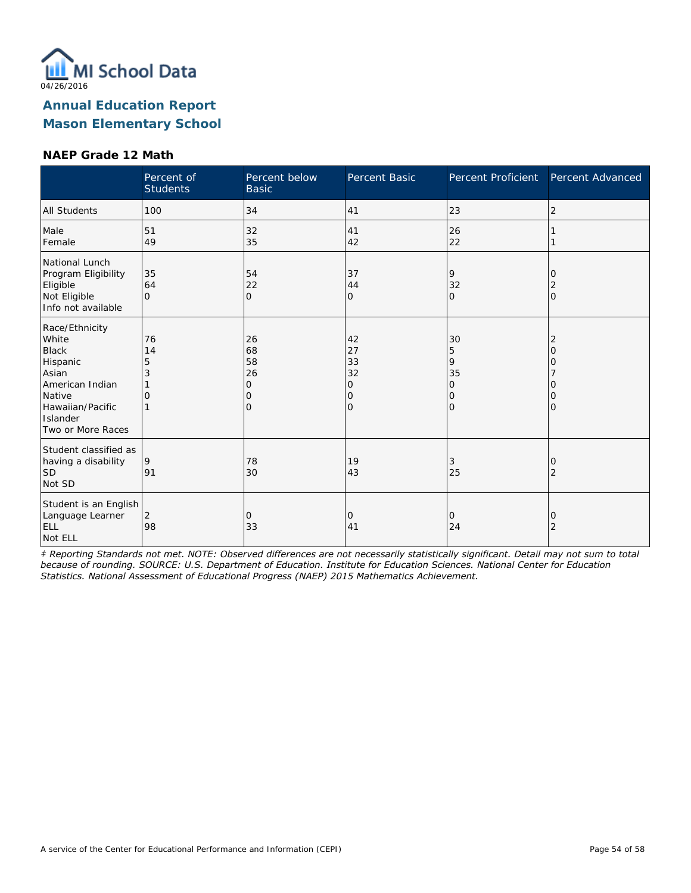

#### **NAEP Grade 12 Math**

|                                                                                                                                                | Percent of<br><b>Students</b> | Percent below<br><b>Basic</b>              | Percent Basic                                   | Percent Proficient                       | Percent Advanced                  |
|------------------------------------------------------------------------------------------------------------------------------------------------|-------------------------------|--------------------------------------------|-------------------------------------------------|------------------------------------------|-----------------------------------|
| <b>All Students</b>                                                                                                                            | 100                           | 34                                         | 41                                              | 23                                       | 2                                 |
| Male<br>Female                                                                                                                                 | 51<br>49                      | 32<br>35                                   | 41<br>42                                        | 26<br>22                                 |                                   |
| National Lunch<br>Program Eligibility<br>Eligible<br>Not Eligible<br>Info not available                                                        | 35<br>64<br>$\Omega$          | 54<br>22<br>$\Omega$                       | 37<br>44<br>0                                   | 9<br>32<br>$\circ$                       | 0<br>2<br>$\Omega$                |
| Race/Ethnicity<br>White<br><b>Black</b><br>Hispanic<br>Asian<br>American Indian<br>Native<br>Hawaiian/Pacific<br>Islander<br>Two or More Races | 76<br>14<br>5<br>3<br>O       | 26<br>68<br>58<br>26<br>0<br>Ω<br>$\Omega$ | 42<br>27<br>33<br>32<br>0<br>0<br>$\mathcal{O}$ | 30<br>5<br>9<br>35<br>0<br>0<br>$\Omega$ | 2<br>O<br>Ω<br>O<br>O<br>$\Omega$ |
| Student classified as<br>having a disability<br>ISD<br>Not SD                                                                                  | 9<br>91                       | 78<br>30                                   | 19<br>43                                        | 3<br>25                                  | 0<br>2                            |
| Student is an English<br>Language Learner<br><b>ELL</b><br>Not ELL                                                                             | 2<br>98                       | 0<br>33                                    | 0<br>41                                         | $\circ$<br>24                            | 0<br>2                            |

*‡ Reporting Standards not met. NOTE: Observed differences are not necessarily statistically significant. Detail may not sum to total because of rounding. SOURCE: U.S. Department of Education. Institute for Education Sciences. National Center for Education Statistics. National Assessment of Educational Progress (NAEP) 2015 Mathematics Achievement.*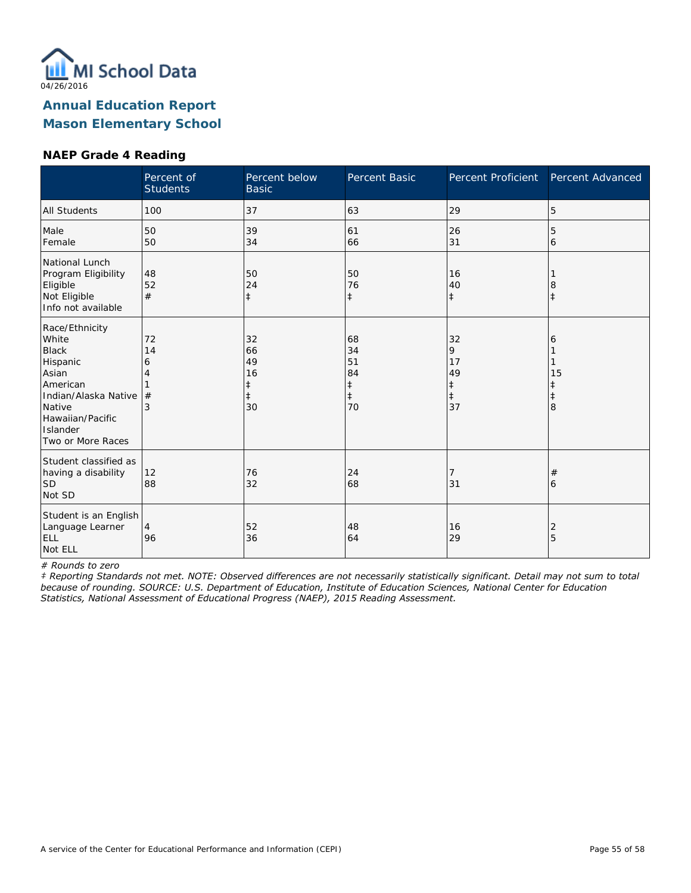

#### **NAEP Grade 4 Reading**

|                                                                                                                                                                 | Percent of<br><b>Students</b> | Percent below<br><b>Basic</b>                 | Percent Basic                                          | <b>Percent Proficient</b>                             | Percent Advanced  |
|-----------------------------------------------------------------------------------------------------------------------------------------------------------------|-------------------------------|-----------------------------------------------|--------------------------------------------------------|-------------------------------------------------------|-------------------|
| <b>All Students</b>                                                                                                                                             | 100                           | 37                                            | 63                                                     | 29                                                    | 5                 |
| Male<br>Female                                                                                                                                                  | 50<br>50                      | 39<br>34                                      | 61<br>66                                               | 26<br>31                                              | 5<br>6            |
| National Lunch<br>Program Eligibility<br>Eligible<br>Not Eligible<br>Info not available                                                                         | 48<br>52<br>#                 | 50<br>24<br>$\ddagger$                        | 50<br>76<br>$\ddagger$                                 | 16<br>40<br>$\ddagger$                                | 8<br>$\ddagger$   |
| Race/Ethnicity<br>White<br><b>Black</b><br>Hispanic<br>Asian<br>American<br>Indian/Alaska Native<br>Native<br>Hawaiian/Pacific<br>Islander<br>Two or More Races | 72<br>14<br>6<br>4<br>#<br>3  | 32<br>66<br>49<br>16<br>ŧ<br>$\ddagger$<br>30 | 68<br>34<br>51<br>84<br>$\ddagger$<br>$\ddagger$<br>70 | 32<br>9<br>17<br>49<br>$\ddagger$<br>$\ddagger$<br>37 | 6<br>15<br>ŧ<br>8 |
| Student classified as<br>having a disability<br><b>SD</b><br>Not SD                                                                                             | 12<br>88                      | 76<br>32                                      | 24<br>68                                               | 7<br>31                                               | $^{\#}$<br>6      |
| Student is an English<br>Language Learner<br>ELL<br>Not ELL                                                                                                     | 4<br>96                       | 52<br>36                                      | 48<br>64                                               | 16<br>29                                              | 2<br>5            |

*# Rounds to zero*

*‡ Reporting Standards not met. NOTE: Observed differences are not necessarily statistically significant. Detail may not sum to total because of rounding. SOURCE: U.S. Department of Education, Institute of Education Sciences, National Center for Education Statistics, National Assessment of Educational Progress (NAEP), 2015 Reading Assessment.*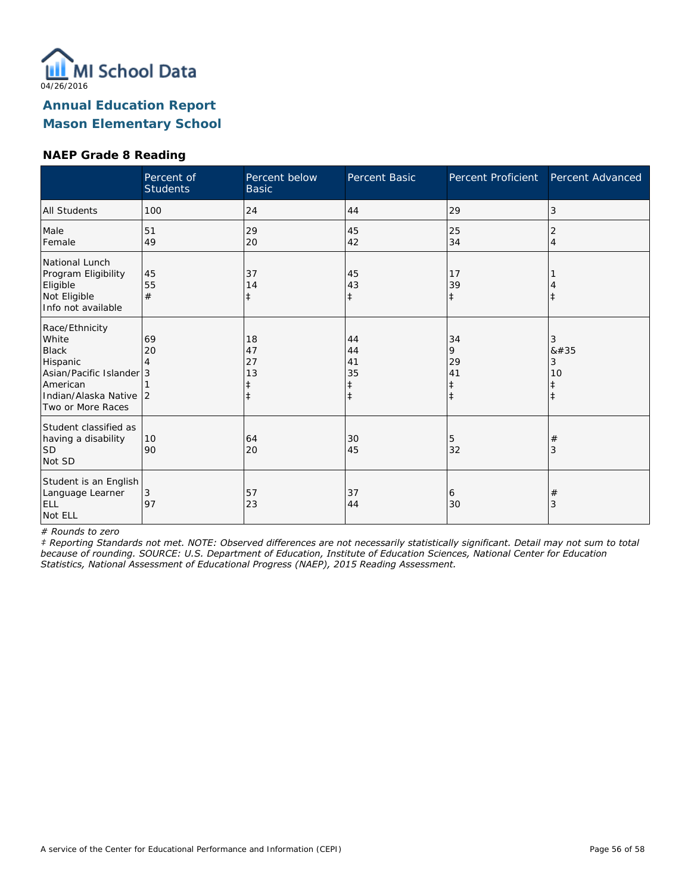

### **NAEP Grade 8 Reading**

|                                                                                                                                            | Percent of<br><b>Students</b> | Percent below<br><b>Basic</b>      | Percent Basic                           | Percent Proficient                     | Percent Advanced     |
|--------------------------------------------------------------------------------------------------------------------------------------------|-------------------------------|------------------------------------|-----------------------------------------|----------------------------------------|----------------------|
| All Students                                                                                                                               | 100                           | 24                                 | 44                                      | 29                                     | 3                    |
| Male<br>Female                                                                                                                             | 51<br>49                      | 29<br>20                           | 45<br>42                                | 25<br>34                               | 2<br>4               |
| National Lunch<br>Program Eligibility<br>Eligible<br>Not Eligible<br>Info not available                                                    | 45<br>55<br>#                 | 37<br>14<br>ŧ                      | 45<br>43<br>$\ddagger$                  | 17<br>39<br>$\ddagger$                 |                      |
| Race/Ethnicity<br>White<br><b>Black</b><br>Hispanic<br>Asian/Pacific Islander 3<br>American<br>Indian/Alaska Native 2<br>Two or More Races | 69<br>20                      | 18<br>47<br>27<br>13<br>$\ddagger$ | 44<br>44<br>41<br>35<br>ŧ<br>$\ddagger$ | 34<br>9<br>29<br>41<br>ŧ<br>$\ddagger$ | 3<br>8#35<br>3<br>10 |
| Student classified as<br>having a disability<br><b>SD</b><br>Not SD                                                                        | 10<br>90                      | 64<br>20                           | 30<br>45                                | 5<br>32                                | #<br>3               |
| Student is an English<br>Language Learner<br><b>ELL</b><br>Not ELL                                                                         | 3<br>97                       | 57<br>23                           | 37<br>44                                | 6<br>30                                | $^{\#}$<br>3         |

*# Rounds to zero*

*‡ Reporting Standards not met. NOTE: Observed differences are not necessarily statistically significant. Detail may not sum to total because of rounding. SOURCE: U.S. Department of Education, Institute of Education Sciences, National Center for Education Statistics, National Assessment of Educational Progress (NAEP), 2015 Reading Assessment.*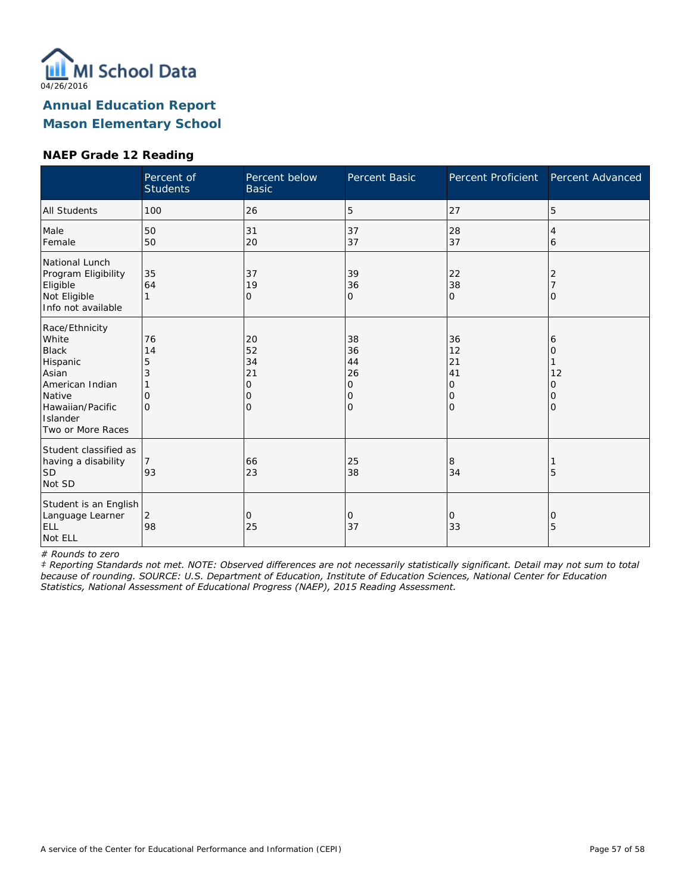

## **NAEP Grade 12 Reading**

|                                                                                                                                                | Percent of<br><b>Students</b>       | Percent below<br><b>Basic</b>                    | Percent Basic                       | Percent Proficient                    | Percent Advanced            |
|------------------------------------------------------------------------------------------------------------------------------------------------|-------------------------------------|--------------------------------------------------|-------------------------------------|---------------------------------------|-----------------------------|
| <b>All Students</b>                                                                                                                            | 100                                 | 26                                               | 5                                   | 27                                    | 5                           |
| Male<br>Female                                                                                                                                 | 50<br>50                            | 31<br>20                                         | 37<br>37                            | 28<br>37                              | 4<br>6                      |
| National Lunch<br>Program Eligibility<br>Eligible<br>Not Eligible<br>Info not available                                                        | 35<br>64                            | 37<br>19<br>0                                    | 39<br>36<br>0                       | 22<br>38<br>0                         | 2<br>Ω                      |
| Race/Ethnicity<br>White<br><b>Black</b><br>Hispanic<br>Asian<br>American Indian<br>Native<br>Hawaiian/Pacific<br>Islander<br>Two or More Races | 76<br>14<br>5<br>3<br>0<br>$\Omega$ | 20<br>52<br>34<br>21<br>$\circ$<br>0<br>$\Omega$ | 38<br>36<br>44<br>26<br>0<br>0<br>0 | 36<br>12<br>21<br>41<br>0<br>10<br>l0 | 6<br>Ω<br>12<br>Ω<br>0<br>Ω |
| Student classified as<br>having a disability<br> SD<br>Not SD                                                                                  | 93                                  | 66<br>23                                         | 25<br>38                            | 8<br>34                               | 5                           |
| Student is an English<br>Language Learner<br>ELL<br>Not ELL                                                                                    | 2<br>98                             | 0<br>25                                          | 0<br>37                             | 0<br>33                               | 0<br>5                      |

*# Rounds to zero*

*‡ Reporting Standards not met. NOTE: Observed differences are not necessarily statistically significant. Detail may not sum to total because of rounding. SOURCE: U.S. Department of Education, Institute of Education Sciences, National Center for Education Statistics, National Assessment of Educational Progress (NAEP), 2015 Reading Assessment.*